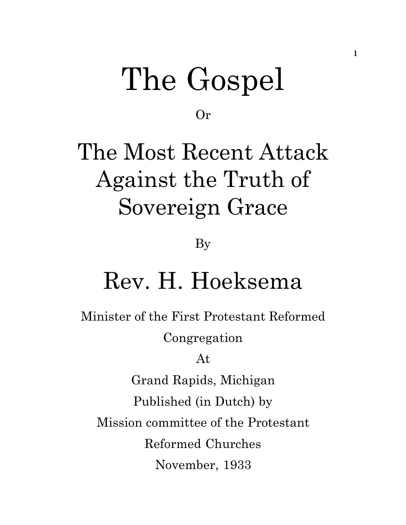# The Gospel

Or

## The Most Recent Attack Against the Truth of Sovereign Grace

By

## Rev. H. Hoeksema

Minister of the First Protestant Reformed Congregation

At

Grand Rapids, Michigan Published (in Dutch) by Mission committee of the Protestant Reformed Churches November, 1933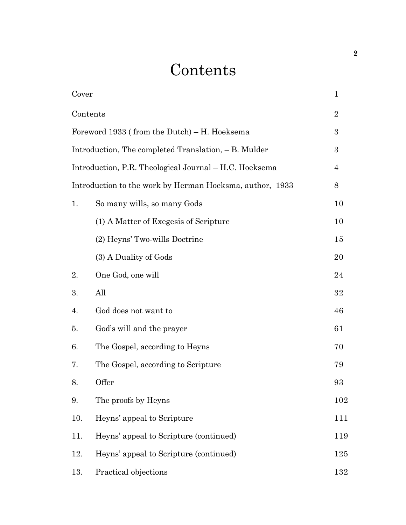## **Contents**

| Cover                                                    |                                        | $\mathbf{1}$   |
|----------------------------------------------------------|----------------------------------------|----------------|
| Contents                                                 |                                        | $\overline{2}$ |
| Foreword 1933 (from the Dutch) – H. Hoeksema             |                                        | 3              |
| Introduction, The completed Translation, - B. Mulder     |                                        | 3              |
| Introduction, P.R. Theological Journal – H.C. Hoeksema   |                                        | 4              |
| Introduction to the work by Herman Hoeksma, author, 1933 |                                        | 8              |
| 1.                                                       | So many wills, so many Gods            | 10             |
|                                                          | (1) A Matter of Exegesis of Scripture  | 10             |
|                                                          | (2) Heyns' Two-wills Doctrine          | 15             |
|                                                          | (3) A Duality of Gods                  | 20             |
| 2.                                                       | One God, one will                      | 24             |
| 3.                                                       | All                                    | 32             |
| 4.                                                       | God does not want to                   | 46             |
| 5.                                                       | God's will and the prayer              | 61             |
| 6.                                                       | The Gospel, according to Heyns         | 70             |
| 7.                                                       | The Gospel, according to Scripture     | 79             |
| 8.                                                       | Offer                                  | 93             |
| 9.                                                       | The proofs by Heyns                    | 102            |
| 10.                                                      | Heyns' appeal to Scripture             | 111            |
| 11.                                                      | Heyns' appeal to Scripture (continued) | 119            |
| 12.                                                      | Heyns' appeal to Scripture (continued) | 125            |
| 13.                                                      | Practical objections                   | 132            |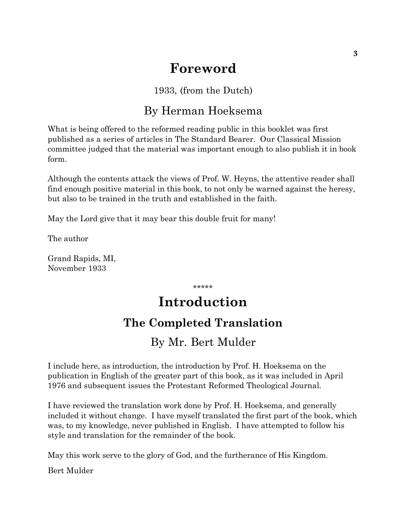## **Foreword**

### 1933, (from the Dutch)

### By Herman Hoeksema

What is being offered to the reformed reading public in this booklet was first published as a series of articles in The Standard Bearer. Our Classical Mission committee judged that the material was important enough to also publish it in book form.

Although the contents attack the views of Prof. W. Heyns, the attentive reader shall find enough positive material in this book, to not only be warned against the heresy, but also to be trained in the truth and established in the faith.

May the Lord give that it may bear this double fruit for many!

The author

Grand Rapids, MI, November 1933

\*\*\*\*\*

## **Introduction**

## **The Completed Translation**

## By Mr. Bert Mulder

I include here, as introduction, the introduction by Prof. H. Hoeksema on the publication in English of the greater part of this book, as it was included in April 1976 and subsequent issues the Protestant Reformed Theological Journal.

I have reviewed the translation work done by Prof. H. Hoeksema, and generally included it without change. I have myself translated the first part of the book, which was, to my knowledge, never published in English. I have attempted to follow his style and translation for the remainder of the book.

May this work serve to the glory of God, and the furtherance of His Kingdom.

Bert Mulder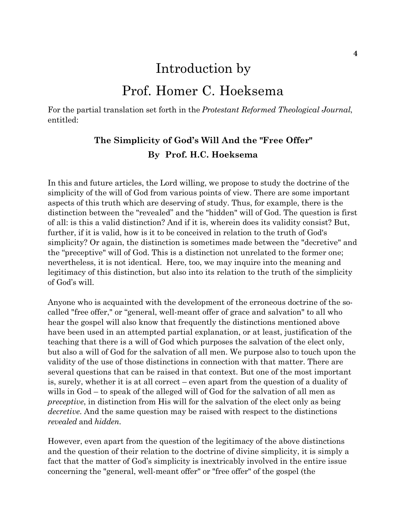## Introduction by

## Prof. Homer C. Hoeksema

For the partial translation set forth in the *Protestant Reformed Theological Journal*, entitled:

### **The Simplicity of God's Will And the "Free Offer" By Prof. H.C. Hoeksema**

In this and future articles, the Lord willing, we propose to study the doctrine of the simplicity of the will of God from various points of view. There are some important aspects of this truth which are deserving of study. Thus, for example, there is the distinction between the "revealed" and the "hidden" will of God. The question is first of all: is this a valid distinction? And if it is, wherein does its validity consist? But, further, if it is valid, how is it to be conceived in relation to the truth of God's simplicity? Or again, the distinction is sometimes made between the "decretive" and the "preceptive" will of God. This is a distinction not unrelated to the former one; nevertheless, it is not identical. Here, too, we may inquire into the meaning and legitimacy of this distinction, but also into its relation to the truth of the simplicity of God's will.

Anyone who is acquainted with the development of the erroneous doctrine of the socalled "free offer," or "general, well-meant offer of grace and salvation" to all who hear the gospel will also know that frequently the distinctions mentioned above have been used in an attempted partial explanation, or at least, justification of the teaching that there is a will of God which purposes the salvation of the elect only, but also a will of God for the salvation of all men. We purpose also to touch upon the validity of the use of those distinctions in connection with that matter. There are several questions that can be raised in that context. But one of the most important is, surely, whether it is at all correct – even apart from the question of a duality of wills in God – to speak of the alleged will of God for the salvation of all men as *preceptive*, in distinction from His will for the salvation of the elect only as being *decretive*. And the same question may be raised with respect to the distinctions *revealed* and *hidden*.

However, even apart from the question of the legitimacy of the above distinctions and the question of their relation to the doctrine of divine simplicity, it is simply a fact that the matter of God's simplicity is inextricably involved in the entire issue concerning the "general, well-meant offer" or "free offer" of the gospel (the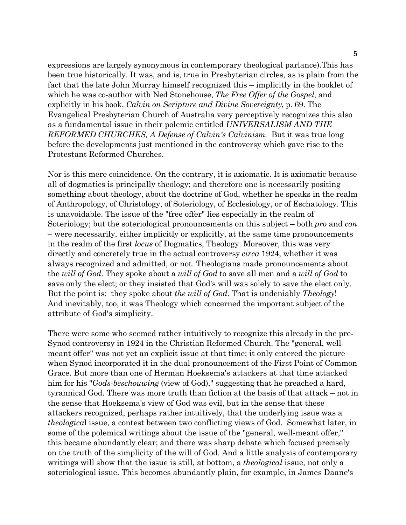expressions are largely synonymous in contemporary theological parlance).This has been true historically. It was, and is, true in Presbyterian circles, as is plain from the fact that the late John Murray himself recognized this – implicitly in the booklet of which he was co-author with Ned Stonehouse, *The Free Offer of the Gospel*, and explicitly in his book, *Calvin on Scripture and Divine Sovereignty*, p. 69. The Evangelical Presbyterian Church of Australia very perceptively recognizes this also as a fundamental issue in their polemic entitled *UNIVERSALISM AND THE REFORMED CHURCHES, A Defense of Calvin's Calvinism*. But it was true long before the developments just mentioned in the controversy which gave rise to the Protestant Reformed Churches.

Nor is this mere coincidence. On the contrary, it is axiomatic. It is axiomatic because all of dogmatics is principally theology; and therefore one is necessarily positing something about theology, about the doctrine of God, whether he speaks in the realm of Anthropology, of Christology, of Soteriology, of Ecclesiology, or of Eschatology. This is unavoidable. The issue of the "free offer" lies especially in the realm of Soteriology; but the soteriological pronouncements on this subject – both *pro* and *con* – were necessarily, either implicitly or explicitly, at the same time pronouncements in the realm of the first *locus* of Dogmatics, Theology. Moreover, this was very directly and concretely true in the actual controversy *circa* 1924, whether it was always recognized and admitted, or not. Theologians made pronouncements about the *will of God*. They spoke about a *will of God* to save all men and a *will of God* to save only the elect; or they insisted that God's will was solely to save the elect only. But the point is: they spoke about *the will of God*. That is undeniably *Theology*! And inevitably, too, it was Theology which concerned the important subject of the attribute of God's simplicity.

There were some who seemed rather intuitively to recognize this already in the pre-Synod controversy in 1924 in the Christian Reformed Church. The "general, wellmeant offer" was not yet an explicit issue at that time; it only entered the picture when Synod incorporated it in the dual pronouncement of the First Point of Common Grace. But more than one of Herman Hoeksema's attackers at that time attacked him for his "*Gods-beschouwing* (view of God)," suggesting that he preached a hard, tyrannical God. There was more truth than fiction at the basis of that attack – not in the sense that Hoeksema's view of God was evil, but in the sense that these attackers recognized, perhaps rather intuitively, that the underlying issue was a *theologica*l issue, a contest between two conflicting views of God. Somewhat later, in some of the polemical writings about the issue of the "general, well-meant offer," this became abundantly clear; and there was sharp debate which focused precisely on the truth of the simplicity of the will of God. And a little analysis of contemporary writings will show that the issue is still, at bottom, a *theological* issue, not only a soteriological issue. This becomes abundantly plain, for example, in James Daane's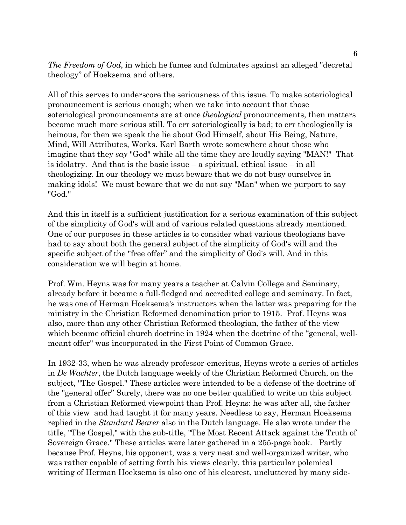*The Freedom of God*, in which he fumes and fulminates against an alleged "decretal theology" of Hoeksema and others.

All of this serves to underscore the seriousness of this issue. To make soteriological pronouncement is serious enough; when we take into account that those soteriological pronouncements are at once *theological* pronouncements, then matters become much more serious still. To err soteriologically is bad; to err theologically is heinous, for then we speak the lie about God Himself, about His Being, Nature, Mind, Will Attributes, Works. Karl Barth wrote somewhere about those who imagine that they *say* "God" while all the time they are loudly saying "MAN!" That is idolatry. And that is the basic issue  $-$  a spiritual, ethical issue  $-$  in all theologizing. In our theology we must beware that we do not busy ourselves in making idols! We must beware that we do not say "Man" when we purport to say "God."

And this in itself is a sufficient justification for a serious examination of this subject of the simplicity of God's will and of various related questions already mentioned. One of our purposes in these articles is to consider what various theologians have had to say about both the general subject of the simplicity of God's will and the specific subject of the "free offer" and the simplicity of God's will. And in this consideration we will begin at home.

Prof. Wm. Heyns was for many years a teacher at Calvin College and Seminary, already before it became a full-fledged and accredited college and seminary. In fact, he was one of Herman Hoeksema's instructors when the latter was preparing for the ministry in the Christian Reformed denomination prior to 1915. Prof. Heyns was also, more than any other Christian Reformed theologian, the father of the view which became official church doctrine in 1924 when the doctrine of the "general, wellmeant offer" was incorporated in the First Point of Common Grace.

In 1932-33, when he was already professor-emeritus, Heyns wrote a series of articles in *De Wachter*, the Dutch language weekly of the Christian Reformed Church, on the subject, "The Gospel." These articles were intended to be a defense of the doctrine of the "general offer" Surely, there was no one better qualified to write un this subject from a Christian Reformed viewpoint than Prof. Heyns: he was after all, the father of this view and had taught it for many years. Needless to say, Herman Hoeksema replied in the *Standard Bearer* also in the Dutch language. He also wrote under the titIe, "The Gospel," with the sub-title, "The Most Recent Attack against the Truth of Sovereign Grace." These articles were later gathered in a 255-page book. Partly because Prof. Heyns, his opponent, was a very neat and well-organized writer, who was rather capable of setting forth his views clearly, this particular polemical writing of Herman Hoeksema is also one of his clearest, uncluttered by many side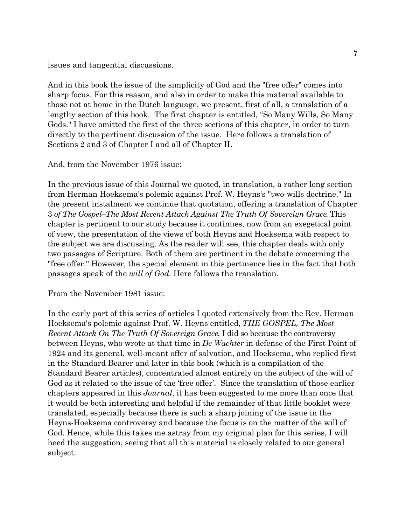issues and tangential discussions.

And in this book the issue of the simplicity of God and the "free offer" comes into sharp focus. For this reason, and also in order to make this material available to those not at home in the Dutch language, we present, first of all, a translation of a lengthy section of this book. The first chapter is entitled, "So Many Wills, So Many Gods." I have omitted the first of the three sections of this chapter, in order to turn directly to the pertinent discussion of the issue. Here follows a translation of Sections 2 and 3 of Chapter I and all of Chapter II.

And, from the November 1976 issue:

In the previous issue of this Journal we quoted, in translation, a rather long section from Herman Hoeksema's polemic against Prof. W. Heyns's "two-wills doctrine." In the present instalment we continue that quotation, offering a translation of Chapter 3 *of The Gospel–The Most Recent Attack Against The Truth Of Sovereign Grace*. This chapter is pertinent to our study because it continues, now from an exegetical point of view, the presentation of the views of both Heyns and Hoeksema with respect to the subject we are discussing. As the reader will see, this chapter deals with only two passages of Scripture. Both of them are pertinent in the debate concerning the "free offer." However, the special element in this pertinence lies in the fact that both passages speak of the *will of God*. Here follows the translation.

From the November 1981 issue:

In the early part of this series of articles I quoted extensively from the Rev. Herman Hoeksema's polemic against Prof. W. Heyns entitled, *THE GOSPEL, The Most Recent Attack On The Truth Of Sovereign Grace*. I did so because the controversy between Heyns, who wrote at that time in *De Wachter* in defense of the First Point of 1924 and its general, well-meant offer of salvation, and Hoeksema, who replied first in the Standard Bearer and later in this book (which is a compilation of the Standard Bearer articles), concentrated almost entirely on the subject of the will of God as it related to the issue of the 'free offer'. Since the translation of those earlier chapters appeared in this *Journal*, it has been suggested to me more than once that it would be both interesting and helpful if the remainder of that little booklet were translated, especially because there is such a sharp joining of the issue in the Heyns-Hoeksema controversy and because the focus is on the matter of the will of God. Hence, while this takes me astray from my original plan for this series, I will heed the suggestion, seeing that all this material is closely related to our general subject.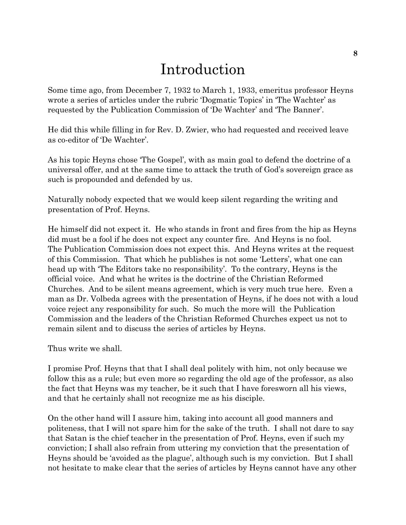## Introduction

Some time ago, from December 7, 1932 to March 1, 1933, emeritus professor Heyns wrote a series of articles under the rubric 'Dogmatic Topics' in 'The Wachter' as requested by the Publication Commission of 'De Wachter' and 'The Banner'.

He did this while filling in for Rev. D. Zwier, who had requested and received leave as co-editor of 'De Wachter'.

As his topic Heyns chose 'The Gospel', with as main goal to defend the doctrine of a universal offer, and at the same time to attack the truth of God's sovereign grace as such is propounded and defended by us.

Naturally nobody expected that we would keep silent regarding the writing and presentation of Prof. Heyns.

He himself did not expect it. He who stands in front and fires from the hip as Heyns did must be a fool if he does not expect any counter fire. And Heyns is no fool. The Publication Commission does not expect this. And Heyns writes at the request of this Commission. That which he publishes is not some 'Letters', what one can head up with 'The Editors take no responsibility'. To the contrary, Heyns is the official voice. And what he writes is the doctrine of the Christian Reformed Churches. And to be silent means agreement, which is very much true here. Even a man as Dr. Volbeda agrees with the presentation of Heyns, if he does not with a loud voice reject any responsibility for such. So much the more will the Publication Commission and the leaders of the Christian Reformed Churches expect us not to remain silent and to discuss the series of articles by Heyns.

Thus write we shall.

I promise Prof. Heyns that that I shall deal politely with him, not only because we follow this as a rule; but even more so regarding the old age of the professor, as also the fact that Heyns was my teacher, be it such that I have foresworn all his views, and that he certainly shall not recognize me as his disciple.

On the other hand will I assure him, taking into account all good manners and politeness, that I will not spare him for the sake of the truth. I shall not dare to say that Satan is the chief teacher in the presentation of Prof. Heyns, even if such my conviction; I shall also refrain from uttering my conviction that the presentation of Heyns should be 'avoided as the plague', although such is my conviction. But I shall not hesitate to make clear that the series of articles by Heyns cannot have any other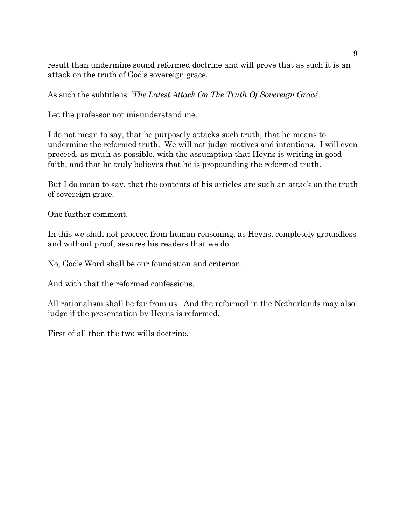result than undermine sound reformed doctrine and will prove that as such it is an attack on the truth of God's sovereign grace.

As such the subtitle is: '*The Latest Attack On The Truth Of Sovereign Grace*'.

Let the professor not misunderstand me.

I do not mean to say, that he purposely attacks such truth; that he means to undermine the reformed truth. We will not judge motives and intentions. I will even proceed, as much as possible, with the assumption that Heyns is writing in good faith, and that he truly believes that he is propounding the reformed truth.

But I do mean to say, that the contents of his articles are such an attack on the truth of sovereign grace.

One further comment.

In this we shall not proceed from human reasoning, as Heyns, completely groundless and without proof, assures his readers that we do.

No, God's Word shall be our foundation and criterion.

And with that the reformed confessions.

All rationalism shall be far from us. And the reformed in the Netherlands may also judge if the presentation by Heyns is reformed.

First of all then the two wills doctrine.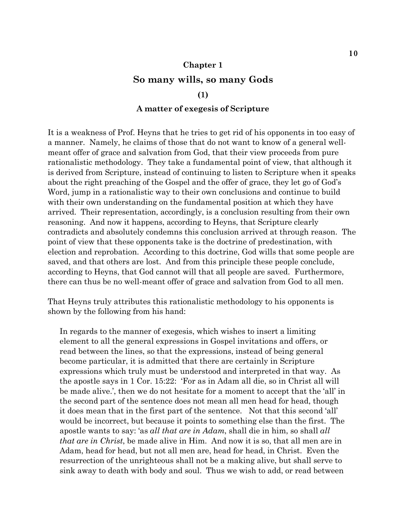## **Chapter 1 So many wills, so many Gods**

#### **(1)**

#### **A matter of exegesis of Scripture**

It is a weakness of Prof. Heyns that he tries to get rid of his opponents in too easy of a manner. Namely, he claims of those that do not want to know of a general wellmeant offer of grace and salvation from God, that their view proceeds from pure rationalistic methodology. They take a fundamental point of view, that although it is derived from Scripture, instead of continuing to listen to Scripture when it speaks about the right preaching of the Gospel and the offer of grace, they let go of God's Word, jump in a rationalistic way to their own conclusions and continue to build with their own understanding on the fundamental position at which they have arrived. Their representation, accordingly, is a conclusion resulting from their own reasoning. And now it happens, according to Heyns, that Scripture clearly contradicts and absolutely condemns this conclusion arrived at through reason. The point of view that these opponents take is the doctrine of predestination, with election and reprobation. According to this doctrine, God wills that some people are saved, and that others are lost. And from this principle these people conclude, according to Heyns, that God cannot will that all people are saved. Furthermore, there can thus be no well-meant offer of grace and salvation from God to all men.

That Heyns truly attributes this rationalistic methodology to his opponents is shown by the following from his hand:

In regards to the manner of exegesis, which wishes to insert a limiting element to all the general expressions in Gospel invitations and offers, or read between the lines, so that the expressions, instead of being general become particular, it is admitted that there are certainly in Scripture expressions which truly must be understood and interpreted in that way. As the apostle says in 1 Cor. 15:22: 'For as in Adam all die, so in Christ all will be made alive.', then we do not hesitate for a moment to accept that the 'all' in the second part of the sentence does not mean all men head for head, though it does mean that in the first part of the sentence. Not that this second 'all' would be incorrect, but because it points to something else than the first. The apostle wants to say: 'as *all that are in Adam*, shall die in him, so shall *all that are in Christ*, be made alive in Him. And now it is so, that all men are in Adam, head for head, but not all men are, head for head, in Christ. Even the resurrection of the unrighteous shall not be a making alive, but shall serve to sink away to death with body and soul. Thus we wish to add, or read between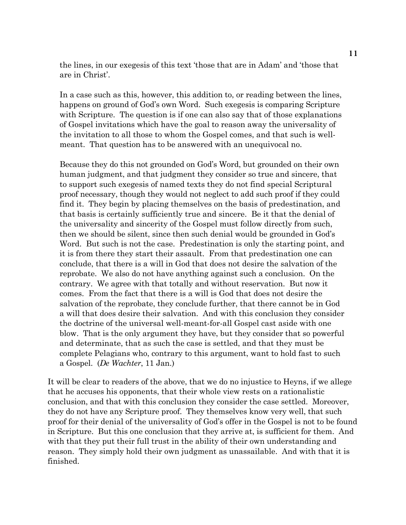the lines, in our exegesis of this text 'those that are in Adam' and 'those that are in Christ'.

In a case such as this, however, this addition to, or reading between the lines, happens on ground of God's own Word. Such exegesis is comparing Scripture with Scripture. The question is if one can also say that of those explanations of Gospel invitations which have the goal to reason away the universality of the invitation to all those to whom the Gospel comes, and that such is wellmeant. That question has to be answered with an unequivocal no.

Because they do this not grounded on God's Word, but grounded on their own human judgment, and that judgment they consider so true and sincere, that to support such exegesis of named texts they do not find special Scriptural proof necessary, though they would not neglect to add such proof if they could find it. They begin by placing themselves on the basis of predestination, and that basis is certainly sufficiently true and sincere. Be it that the denial of the universality and sincerity of the Gospel must follow directly from such, then we should be silent, since then such denial would be grounded in God's Word. But such is not the case. Predestination is only the starting point, and it is from there they start their assault. From that predestination one can conclude, that there is a will in God that does not desire the salvation of the reprobate. We also do not have anything against such a conclusion. On the contrary. We agree with that totally and without reservation. But now it comes. From the fact that there is a will is God that does not desire the salvation of the reprobate, they conclude further, that there cannot be in God a will that does desire their salvation. And with this conclusion they consider the doctrine of the universal well-meant-for-all Gospel cast aside with one blow. That is the only argument they have, but they consider that so powerful and determinate, that as such the case is settled, and that they must be complete Pelagians who, contrary to this argument, want to hold fast to such a Gospel. (*De Wachter*, 11 Jan.)

It will be clear to readers of the above, that we do no injustice to Heyns, if we allege that he accuses his opponents, that their whole view rests on a rationalistic conclusion, and that with this conclusion they consider the case settled. Moreover, they do not have any Scripture proof. They themselves know very well, that such proof for their denial of the universality of God's offer in the Gospel is not to be found in Scripture. But this one conclusion that they arrive at, is sufficient for them. And with that they put their full trust in the ability of their own understanding and reason. They simply hold their own judgment as unassailable. And with that it is finished.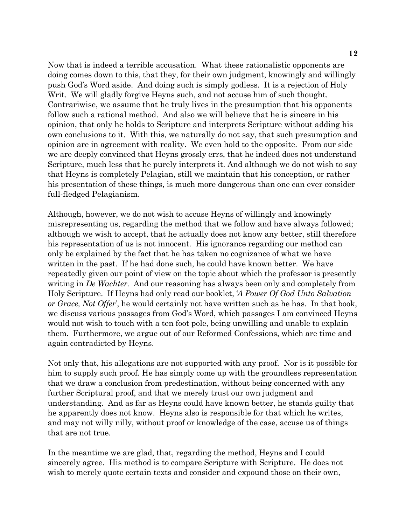Now that is indeed a terrible accusation. What these rationalistic opponents are doing comes down to this, that they, for their own judgment, knowingly and willingly push God's Word aside. And doing such is simply godless. It is a rejection of Holy Writ. We will gladly forgive Heyns such, and not accuse him of such thought. Contrariwise, we assume that he truly lives in the presumption that his opponents follow such a rational method. And also we will believe that he is sincere in his opinion, that only he holds to Scripture and interprets Scripture without adding his own conclusions to it. With this, we naturally do not say, that such presumption and opinion are in agreement with reality. We even hold to the opposite. From our side we are deeply convinced that Heyns grossly errs, that he indeed does not understand Scripture, much less that he purely interprets it. And although we do not wish to say that Heyns is completely Pelagian, still we maintain that his conception, or rather his presentation of these things, is much more dangerous than one can ever consider full-fledged Pelagianism.

Although, however, we do not wish to accuse Heyns of willingly and knowingly misrepresenting us, regarding the method that we follow and have always followed; although we wish to accept, that he actually does not know any better, still therefore his representation of us is not innocent. His ignorance regarding our method can only be explained by the fact that he has taken no cognizance of what we have written in the past. If he had done such, he could have known better. We have repeatedly given our point of view on the topic about which the professor is presently writing in *De Wachter.* And our reasoning has always been only and completely from Holy Scripture. If Heyns had only read our booklet, '*A Power Of God Unto Salvation or Grace, Not Offer*', he would certainly not have written such as he has. In that book, we discuss various passages from God's Word, which passages I am convinced Heyns would not wish to touch with a ten foot pole, being unwilling and unable to explain them. Furthermore, we argue out of our Reformed Confessions, which are time and again contradicted by Heyns.

Not only that, his allegations are not supported with any proof. Nor is it possible for him to supply such proof. He has simply come up with the groundless representation that we draw a conclusion from predestination, without being concerned with any further Scriptural proof, and that we merely trust our own judgment and understanding. And as far as Heyns could have known better, he stands guilty that he apparently does not know. Heyns also is responsible for that which he writes, and may not willy nilly, without proof or knowledge of the case, accuse us of things that are not true.

In the meantime we are glad, that, regarding the method, Heyns and I could sincerely agree. His method is to compare Scripture with Scripture. He does not wish to merely quote certain texts and consider and expound those on their own,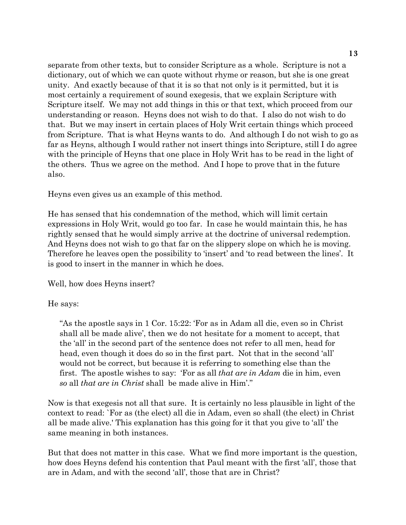separate from other texts, but to consider Scripture as a whole. Scripture is not a dictionary, out of which we can quote without rhyme or reason, but she is one great unity. And exactly because of that it is so that not only is it permitted, but it is most certainly a requirement of sound exegesis, that we explain Scripture with Scripture itself. We may not add things in this or that text, which proceed from our understanding or reason. Heyns does not wish to do that. I also do not wish to do that. But we may insert in certain places of Holy Writ certain things which proceed from Scripture. That is what Heyns wants to do. And although I do not wish to go as far as Heyns, although I would rather not insert things into Scripture, still I do agree with the principle of Heyns that one place in Holy Writ has to be read in the light of the others. Thus we agree on the method. And I hope to prove that in the future also.

Heyns even gives us an example of this method.

He has sensed that his condemnation of the method, which will limit certain expressions in Holy Writ, would go too far. In case he would maintain this, he has rightly sensed that he would simply arrive at the doctrine of universal redemption. And Heyns does not wish to go that far on the slippery slope on which he is moving. Therefore he leaves open the possibility to 'insert' and 'to read between the lines'. It is good to insert in the manner in which he does.

Well, how does Heyns insert?

He says:

"As the apostle says in 1 Cor. 15:22: 'For as in Adam all die, even so in Christ shall all be made alive', then we do not hesitate for a moment to accept, that the 'all' in the second part of the sentence does not refer to all men, head for head, even though it does do so in the first part. Not that in the second 'all' would not be correct, but because it is referring to something else than the first. The apostle wishes to say: 'For as all *that are in Adam* die in him, even *so* all *that are in Christ* shall be made alive in Him'."

Now is that exegesis not all that sure. It is certainly no less plausible in light of the context to read: `For as (the elect) all die in Adam, even so shall (the elect) in Christ all be made alive.' This explanation has this going for it that you give to 'all' the same meaning in both instances.

But that does not matter in this case. What we find more important is the question, how does Heyns defend his contention that Paul meant with the first 'all', those that are in Adam, and with the second 'all', those that are in Christ?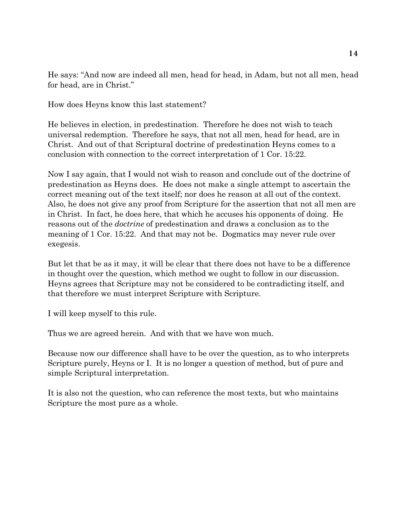He says: "And now are indeed all men, head for head, in Adam, but not all men, head for head, are in Christ."

How does Heyns know this last statement?

He believes in election, in predestination. Therefore he does not wish to teach universal redemption. Therefore he says, that not all men, head for head, are in Christ. And out of that Scriptural doctrine of predestination Heyns comes to a conclusion with connection to the correct interpretation of 1 Cor. 15:22.

Now I say again, that I would not wish to reason and conclude out of the doctrine of predestination as Heyns does. He does not make a single attempt to ascertain the correct meaning out of the text itself; nor does he reason at all out of the context. Also, he does not give any proof from Scripture for the assertion that not all men are in Christ. In fact, he does here, that which he accuses his opponents of doing. He reasons out of the *doctrine* of predestination and draws a conclusion as to the meaning of 1 Cor. 15:22. And that may not be. Dogmatics may never rule over exegesis.

But let that be as it may, it will be clear that there does not have to be a difference in thought over the question, which method we ought to follow in our discussion. Heyns agrees that Scripture may not be considered to be contradicting itself, and that therefore we must interpret Scripture with Scripture.

I will keep myself to this rule.

Thus we are agreed herein. And with that we have won much.

Because now our difference shall have to be over the question, as to who interprets Scripture purely, Heyns or I. It is no longer a question of method, but of pure and simple Scriptural interpretation.

It is also not the question, who can reference the most texts, but who maintains Scripture the most pure as a whole.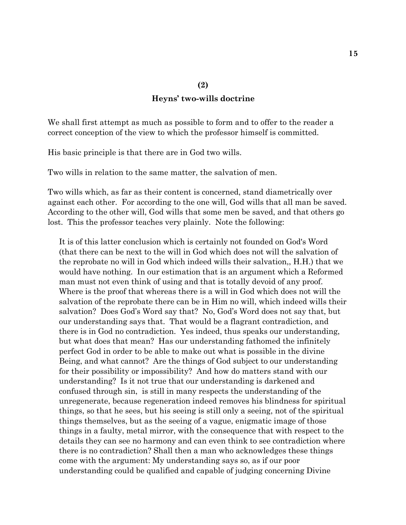#### **Heyns' two-wills doctrine**

We shall first attempt as much as possible to form and to offer to the reader a correct conception of the view to which the professor himself is committed.

His basic principle is that there are in God two wills.

Two wills in relation to the same matter, the salvation of men.

Two wills which, as far as their content is concerned, stand diametrically over against each other. For according to the one will, God wills that all man be saved. According to the other will, God wills that some men be saved, and that others go lost. This the professor teaches very plainly. Note the following:

It is of this latter conclusion which is certainly not founded on God's Word (that there can be next to the will in God which does not will the salvation of the reprobate no will in God which indeed wills their salvation,, H.H.) that we would have nothing. In our estimation that is an argument which a Reformed man must not even think of using and that is totally devoid of any proof. Where is the proof that whereas there is a will in God which does not will the salvation of the reprobate there can be in Him no will, which indeed wills their salvation? Does God's Word say that? No, God's Word does not say that, but our understanding says that. That would be a flagrant contradiction, and there is in God no contradiction. Yes indeed, thus speaks our understanding, but what does that mean? Has our understanding fathomed the infinitely perfect God in order to be able to make out what is possible in the divine Being, and what cannot? Are the things of God subject to our understanding for their possibility or impossibility? And how do matters stand with our understanding? Is it not true that our understanding is darkened and confused through sin, is still in many respects the understanding of the unregenerate, because regeneration indeed removes his blindness for spiritual things, so that he sees, but his seeing is still only a seeing, not of the spiritual things themselves, but as the seeing of a vague, enigmatic image of those things in a faulty, metal mirror, with the consequence that with respect to the details they can see no harmony and can even think to see contradiction where there is no contradiction? Shall then a man who acknowledges these things come with the argument: My understanding says so, as if our poor understanding could be qualified and capable of judging concerning Divine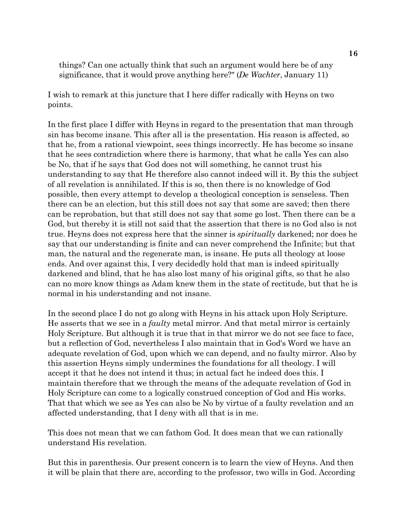things? Can one actually think that such an argument would here be of any significance, that it would prove anything here?" (*De Wachter*, January 11)

I wish to remark at this juncture that I here differ radically with Heyns on two points.

In the first place I differ with Heyns in regard to the presentation that man through sin has become insane. This after all is the presentation. His reason is affected, so that he, from a rational viewpoint, sees things incorrectly. He has become so insane that he sees contradiction where there is harmony, that what he calls Yes can also be No, that if he says that God does not will something, he cannot trust his understanding to say that He therefore also cannot indeed will it. By this the subject of all revelation is annihilated. If this is so, then there is no knowledge of God possible, then every attempt to develop a theological conception is senseless. Then there can be an election, but this still does not say that some are saved; then there can be reprobation, but that still does not say that some go lost. Then there can be a God, but thereby it is still not said that the assertion that there is no God also is not true. Heyns does not express here that the sinner is *spiritually* darkened; nor does he say that our understanding is finite and can never comprehend the Infinite; but that man, the natural and the regenerate man, is insane. He puts all theology at loose ends. And over against this, I very decidedly hold that man is indeed spiritually darkened and blind, that he has also lost many of his original gifts, so that he also can no more know things as Adam knew them in the state of rectitude, but that he is normal in his understanding and not insane.

In the second place I do not go along with Heyns in his attack upon Holy Scripture. He asserts that we see in a *faulty* metal mirror. And that metal mirror is certainly Holy Scripture. But although it is true that in that mirror we do not see face to face, but a reflection of God, nevertheless I also maintain that in God's Word we have an adequate revelation of God, upon which we can depend, and no faulty mirror. Also by this assertion Heyns simply undermines the foundations for all theology. I will accept it that he does not intend it thus; in actual fact he indeed does this. I maintain therefore that we through the means of the adequate revelation of God in Holy Scripture can come to a logically construed conception of God and His works. That that which we see as Yes can also be No by virtue of a faulty revelation and an affected understanding, that I deny with all that is in me.

This does not mean that we can fathom God. It does mean that we can rationally understand His revelation.

But this in parenthesis. Our present concern is to learn the view of Heyns. And then it will be plain that there are, according to the professor, two wills in God. According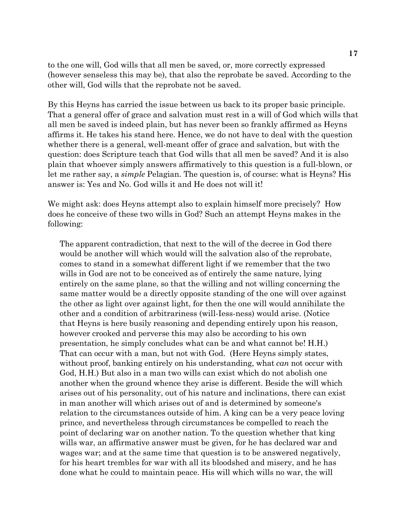to the one will, God wills that all men be saved, or, more correctly expressed (however senseless this may be), that also the reprobate be saved. According to the other will, God wills that the reprobate not be saved.

By this Heyns has carried the issue between us back to its proper basic principle. That a general offer of grace and salvation must rest in a will of God which wills that all men be saved is indeed plain, but has never been so frankly affirmed as Heyns affirms it. He takes his stand here. Hence, we do not have to deal with the question whether there is a general, well-meant offer of grace and salvation, but with the question: does Scripture teach that God wills that all men be saved? And it is also plain that whoever simply answers affirmatively to this question is a full-blown, or let me rather say, a *simple* Pelagian. The question is, of course: what is Heyns? His answer is: Yes and No. God wills it and He does not will it!

We might ask: does Heyns attempt also to explain himself more precisely? How does he conceive of these two wills in God? Such an attempt Heyns makes in the following:

The apparent contradiction, that next to the will of the decree in God there would be another will which would will the salvation also of the reprobate, comes to stand in a somewhat different light if we remember that the two wills in God are not to be conceived as of entirely the same nature, lying entirely on the same plane, so that the willing and not willing concerning the same matter would be a directly opposite standing of the one will over against the other as light over against light, for then the one will would annihilate the other and a condition of arbitrariness (will-Iess-ness) would arise. (Notice that Heyns is here busily reasoning and depending entirely upon his reason, however crooked and perverse this may also be according to his own presentation, he simply concludes what can be and what cannot be! H.H.) That can occur with a man, but not with God. (Here Heyns simply states, without proof, banking entirely on his understanding, what *can* not occur with God, H.H.) But also in a man two wills can exist which do not abolish one another when the ground whence they arise is different. Beside the will which arises out of his personality, out of his nature and inclinations, there can exist in man another will which arises out of and is determined by someone's relation to the circumstances outside of him. A king can be a very peace loving prince, and nevertheless through circumstances be compelled to reach the point of declaring war on another nation. To the question whether that king wills war, an affirmative answer must be given, for he has declared war and wages war; and at the same time that question is to be answered negatively, for his heart trembles for war with all its bloodshed and misery, and he has done what he could to maintain peace. His will which wills no war, the will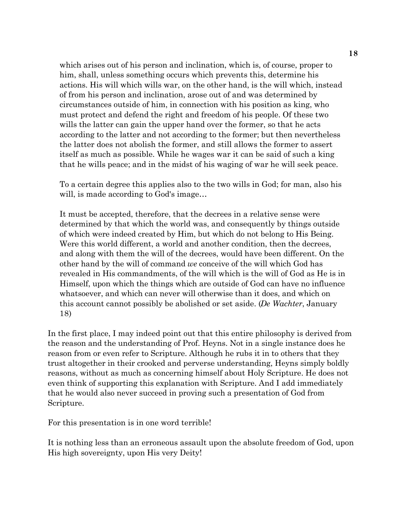which arises out of his person and inclination, which is, of course, proper to him, shall, unless something occurs which prevents this, determine his actions. His will which wills war, on the other hand, is the will which, instead of from his person and inclination, arose out of and was determined by circumstances outside of him, in connection with his position as king, who must protect and defend the right and freedom of his people. Of these two wills the latter can gain the upper hand over the former, so that he acts according to the latter and not according to the former; but then nevertheless the latter does not abolish the former, and still allows the former to assert itself as much as possible. While he wages war it can be said of such a king that he wills peace; and in the midst of his waging of war he will seek peace.

To a certain degree this applies also to the two wills in God; for man, also his will, is made according to God's image…

It must be accepted, therefore, that the decrees in a relative sense were determined by that which the world was, and consequently by things outside of which were indeed created by Him, but which do not belong to His Being. Were this world different, a world and another condition, then the decrees, and along with them the will of the decrees, would have been different. On the other hand by the will of command *we* conceive of the will which God has revealed in His commandments, of the will which is the will of God as He is in Himself, upon which the things which are outside of God can have no influence whatsoever, and which can never will otherwise than it does, and which on this account cannot possibly be abolished or set aside. (*De Wachter*, January 18)

In the first place, I may indeed point out that this entire philosophy is derived from the reason and the understanding of Prof. Heyns. Not in a single instance does he reason from or even refer to Scripture. Although he rubs it in to others that they trust altogether in their crooked and perverse understanding, Heyns simply boldly reasons, without as much as concerning himself about Holy Scripture. He does not even think of supporting this explanation with Scripture. And I add immediately that he would also never succeed in proving such a presentation of God from Scripture.

For this presentation is in one word terrible!

It is nothing less than an erroneous assault upon the absolute freedom of God, upon His high sovereignty, upon His very Deity!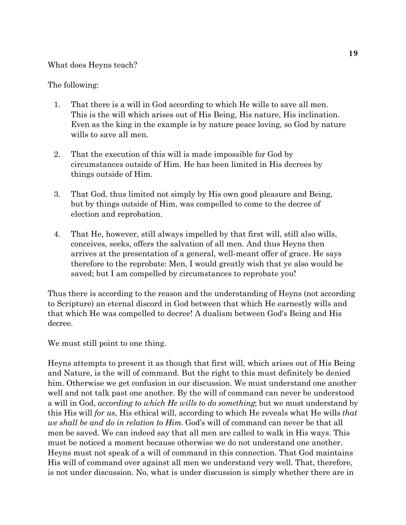#### What does Heyns teach?

#### The following:

- 1. That there is a will in God according to which He wills to save all men. This is the will which arises out of His Being, His nature, His inclination. Even as the king in the example is by nature peace loving, so God by nature wills to save all men.
- 2. That the execution of this will is made impossible for God by circumstances outside of Him. He has been limited in His decrees by things outside of Him.
- 3. That God, thus limited not simply by His own good pleasure and Being, but by things outside of Him, was compelled to come to the decree of election and reprobation.
- 4. That He, however, still always impelled by that first will, still also wills, conceives, seeks, offers the salvation of all men. And thus Heyns then arrives at the presentation of a general, well-meant offer of grace. He says therefore to the reprobate: Men, I would greatly wish that ye also would be saved; but I am compelled by circumstances to reprobate you!

Thus there is according to the reason and the understanding of Heyns (not according to Scripture) an eternal discord in God between that which He earnestly wills and that which He was compelled to decree! A dualism between God's Being and His decree.

We must still point to one thing.

Heyns attempts to present it as though that first will, which arises out of His Being and Nature, is the will of command. But the right to this must definitely be denied him. Otherwise we get confusion in our discussion. We must understand one another well and not talk past one another. By the will of command can never be understood a will in God, *according to which He wills to do something*; but we must understand by this His will *for us*, His ethical will, according to which He reveals what He wills *that we shall be and do in relation to Him*. God's will of command can never be that all men be saved. We can indeed say that all men are called to walk in His ways. This must be noticed a moment because otherwise we do not understand one another. Heyns must not speak of a will of command in this connection. That God maintains His will of command over against all men we understand very well. That, therefore, is not under discussion. No, what is under discussion is simply whether there are in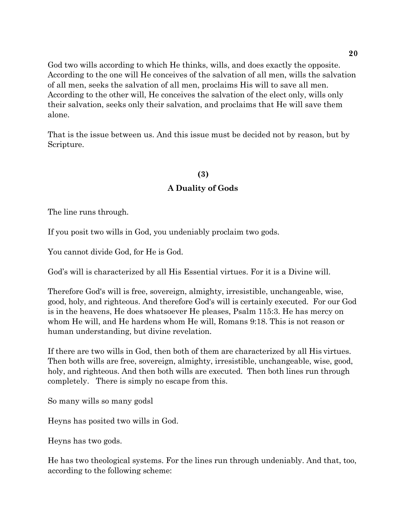God two wills according to which He thinks, wills, and does exactly the opposite. According to the one will He conceives of the salvation of all men, wills the salvation of all men, seeks the salvation of all men, proclaims His will to save all men. According to the other will, He conceives the salvation of the elect only, wills only their salvation, seeks only their salvation, and proclaims that He will save them alone.

That is the issue between us. And this issue must be decided not by reason, but by Scripture.

#### **(3)**

#### **A Duality of Gods**

The line runs through.

If you posit two wills in God, you undeniably proclaim two gods.

You cannot divide God, for He is God.

God's will is characterized by all His Essential virtues. For it is a Divine will.

Therefore God's will is free, sovereign, almighty, irresistible, unchangeable, wise, good, holy, and righteous. And therefore God's will is certainly executed. For our God is in the heavens, He does whatsoever He pleases, Psalm 115:3. He has mercy on whom He will, and He hardens whom He will, Romans 9:18. This is not reason or human understanding, but divine revelation.

If there are two wills in God, then both of them are characterized by all His virtues. Then both wills are free, sovereign, almighty, irresistible, unchangeable, wise, good, holy, and righteous. And then both wills are executed. Then both lines run through completely. There is simply no escape from this.

So many wills so many godsl

Heyns has posited two wills in God.

Heyns has two gods.

He has two theological systems. For the lines run through undeniably. And that, too, according to the following scheme: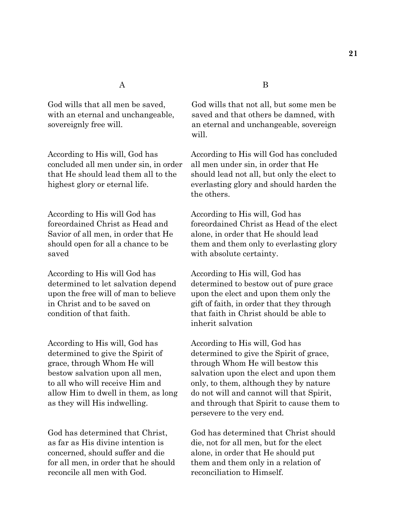concluded all men under sin, in order all men under sin, in order that He

According to His will God has According to His will, God has saved with absolute certainty.

According to His will God has According to His will, God has

According to His will, God has According to His will, God has grace, through Whom He will through Whom He will bestow this

concerned, should suffer and die alone, in order that He should put reconcile all men with God. reconciliation to Himself.

God wills that all men be saved, God wills that not all, but some men be with an eternal and unchangeable, saved and that others be damned, with sovereignly free will.  $\qquad \qquad \text{an eternal and unchangeable, sovereign}$ will.

According to His will, God has According to His will God has concluded that He should lead them all to the should lead not all, but only the elect to highest glory or eternal life. everlasting glory and should harden the the others.

foreordained Christ as Head and foreordained Christ as Head of the elect Savior of all men, in order that He alone, in order that He should lead should open for all a chance to be them and them only to everlasting glory

determined to let salvation depend determined to bestow out of pure grace upon the free will of man to believe upon the elect and upon them only the in Christ and to be saved on gift of faith, in order that they through condition of that faith. that faith in Christ should be able to inherit salvation

determined to give the Spirit of determined to give the Spirit of grace, bestow salvation upon all men, salvation upon the elect and upon them to all who will receive Him and only, to them, although they by nature allow Him to dwell in them, as long do not will and cannot will that Spirit, as they will His indwelling. and through that Spirit to cause them to persevere to the very end.

God has determined that Christ, God has determined that Christ should as far as His divine intention is die, not for all men, but for the elect for all men, in order that he should them and them only in a relation of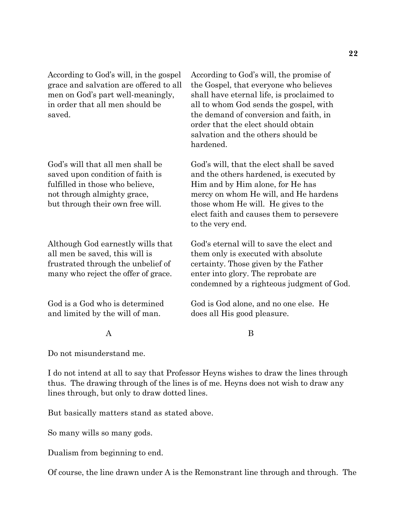many who reject the offer of grace. enter into glory. The reprobate are

and limited by the will of man. does all His good pleasure.

According to God's will, in the gospel According to God's will, the promise of grace and salvation are offered to all the Gospel, that everyone who believes men on God's part well-meaningly, shall have eternal life, is proclaimed to in order that all men should be all to whom God sends the gospel, with saved. **the demand of conversion and faith, in** order that the elect should obtain salvation and the others should be hardened.

God's will that all men shall be God's will, that the elect shall be saved saved upon condition of faith is and the others hardened, is executed by fulfilled in those who believe, Him and by Him alone, for He has not through almighty grace, mercy on whom He will, and He hardens but through their own free will. those whom He will. He gives to the elect faith and causes them to persevere to the very end.

Although God earnestly wills that God's eternal will to save the elect and all men be saved, this will is them only is executed with absolute frustrated through the unbelief of certainty. Those given by the Father condemned by a righteous judgment of God.

God is a God who is determined God is God alone, and no one else. He

#### A B

Do not misunderstand me.

I do not intend at all to say that Professor Heyns wishes to draw the lines through thus. The drawing through of the lines is of me. Heyns does not wish to draw any lines through, but only to draw dotted lines.

But basically matters stand as stated above.

So many wills so many gods.

Dualism from beginning to end.

Of course, the line drawn under A is the Remonstrant line through and through. The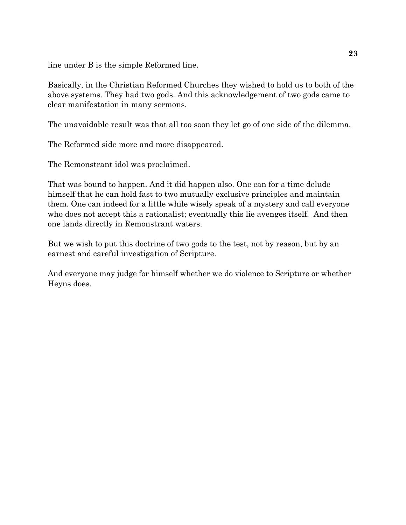line under B is the simple Reformed line.

Basically, in the Christian Reformed Churches they wished to hold us to both of the above systems. They had two gods. And this acknowledgement of two gods came to clear manifestation in many sermons.

The unavoidable result was that all too soon they let go of one side of the dilemma.

The Reformed side more and more disappeared.

The Remonstrant idol was proclaimed.

That was bound to happen. And it did happen also. One can for a time delude himself that he can hold fast to two mutually exclusive principles and maintain them. One can indeed for a little while wisely speak of a mystery and call everyone who does not accept this a rationalist; eventually this lie avenges itself. And then one lands directly in Remonstrant waters.

But we wish to put this doctrine of two gods to the test, not by reason, but by an earnest and careful investigation of Scripture.

And everyone may judge for himself whether we do violence to Scripture or whether Heyns does.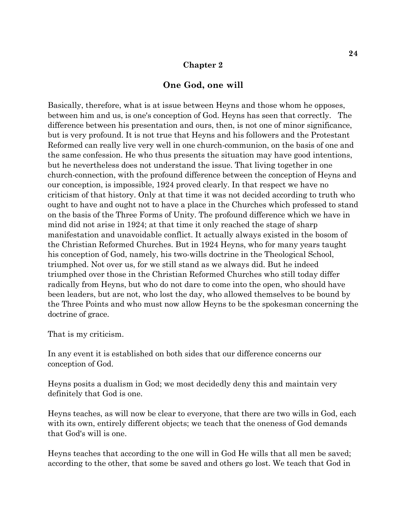#### **Chapter 2**

#### **One God, one will**

Basically, therefore, what is at issue between Heyns and those whom he opposes, between him and us, is one's conception of God. Heyns has seen that correctly. The difference between his presentation and ours, then, is not one of minor significance, but is very profound. It is not true that Heyns and his followers and the Protestant Reformed can really live very well in one church-communion, on the basis of one and the same confession. He who thus presents the situation may have good intentions, but he nevertheless does not understand the issue. That living together in one church-connection, with the profound difference between the conception of Heyns and our conception, is impossible, 1924 proved clearly. In that respect we have no criticism of that history. Only at that time it was not decided according to truth who ought to have and ought not to have a place in the Churches which professed to stand on the basis of the Three Forms of Unity. The profound difference which we have in mind did not arise in 1924; at that time it only reached the stage of sharp manifestation and unavoidable conflict. It actually always existed in the bosom of the Christian Reformed Churches. But in 1924 Heyns, who for many years taught his conception of God, namely, his two-wills doctrine in the Theological School, triumphed. Not over us, for we still stand as we always did. But he indeed triumphed over those in the Christian Reformed Churches who still today differ radically from Heyns, but who do not dare to come into the open, who should have been leaders, but are not, who lost the day, who allowed themselves to be bound by the Three Points and who must now allow Heyns to be the spokesman concerning the doctrine of grace.

That is my criticism.

In any event it is established on both sides that our difference concerns our conception of God.

Heyns posits a dualism in God; we most decidedly deny this and maintain very definitely that God is one.

Heyns teaches, as will now be clear to everyone, that there are two wills in God, each with its own, entirely different objects; we teach that the oneness of God demands that God's will is one.

Heyns teaches that according to the one will in God He wills that all men be saved; according to the other, that some be saved and others go lost. We teach that God in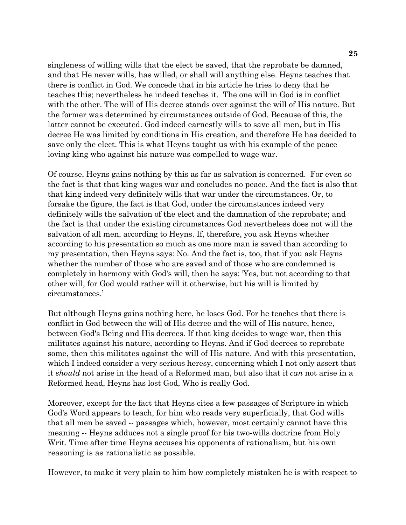singleness of willing wills that the elect be saved, that the reprobate be damned, and that He never wills, has willed, or shall will anything else. Heyns teaches that there is conflict in God. We concede that in his article he tries to deny that he teaches this; nevertheless he indeed teaches it. The one will in God is in conflict with the other. The will of His decree stands over against the will of His nature. But the former was determined by circumstances outside of God. Because of this, the latter cannot be executed. God indeed earnestly wills to save all men, but in His decree He was limited by conditions in His creation, and therefore He has decided to save only the elect. This is what Heyns taught us with his example of the peace loving king who against his nature was compelled to wage war.

Of course, Heyns gains nothing by this as far as salvation is concerned. For even so the fact is that that king wages war and concludes no peace. And the fact is also that that king indeed very definitely wills that war under the circumstances. Or, to forsake the figure, the fact is that God, under the circumstances indeed very definitely wills the salvation of the elect and the damnation of the reprobate; and the fact is that under the existing circumstances God nevertheless does not will the salvation of all men, according to Heyns. If, therefore, you ask Heyns whether according to his presentation so much as one more man is saved than according to my presentation, then Heyns says: No. And the fact is, too, that if you ask Heyns whether the number of those who are saved and of those who are condemned is completely in harmony with God's will, then he says: 'Yes, but not according to that other will, for God would rather will it otherwise, but his will is limited by circumstances.'

But although Heyns gains nothing here, he loses God. For he teaches that there is conflict in God between the will of His decree and the will of His nature, hence, between God's Being and His decrees. If that king decides to wage war, then this militates against his nature, according to Heyns. And if God decrees to reprobate some, then this militates against the will of His nature. And with this presentation, which I indeed consider a very serious heresy, concerning which I not only assert that it *should* not arise in the head of a Reformed man, but also that it *can* not arise in a Reformed head, Heyns has lost God, Who is really God.

Moreover, except for the fact that Heyns cites a few passages of Scripture in which God's Word appears to teach, for him who reads very superficially, that God wills that all men be saved -- passages which, however, most certainly cannot have this meaning -- Heyns adduces not a single proof for his two-wills doctrine from Holy Writ. Time after time Heyns accuses his opponents of rationalism, but his own reasoning is as rationalistic as possible.

However, to make it very plain to him how completely mistaken he is with respect to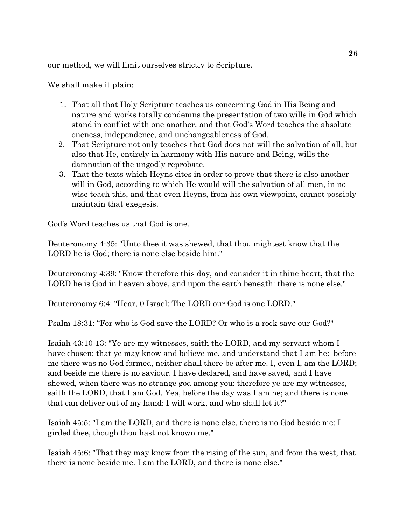our method, we will limit ourselves strictly to Scripture.

We shall make it plain:

- 1. That all that Holy Scripture teaches us concerning God in His Being and nature and works totally condemns the presentation of two wills in God which stand in conflict with one another, and that God's Word teaches the absolute oneness, independence, and unchangeableness of God.
- 2. That Scripture not only teaches that God does not will the salvation of all, but also that He, entirely in harmony with His nature and Being, wills the damnation of the ungodly reprobate.
- 3. That the texts which Heyns cites in order to prove that there is also another will in God, according to which He would will the salvation of all men, in no wise teach this, and that even Heyns, from his own viewpoint, cannot possibly maintain that exegesis.

God's Word teaches us that God is one.

Deuteronomy 4:35: "Unto thee it was shewed, that thou mightest know that the LORD he is God; there is none else beside him."

Deuteronomy 4:39: "Know therefore this day, and consider it in thine heart, that the LORD he is God in heaven above, and upon the earth beneath: there is none else."

Deuteronomy 6:4: "Hear, 0 Israel: The LORD our God is one LORD."

Psalm 18:31: "For who is God save the LORD? Or who is a rock save our God?"

Isaiah 43:10-13: "Ye are my witnesses, saith the LORD, and my servant whom I have chosen: that ye may know and believe me, and understand that I am he: before me there was no God formed, neither shall there be after me. I, even I, am the LORD; and beside me there is no saviour. I have declared, and have saved, and I have shewed, when there was no strange god among you: therefore ye are my witnesses, saith the LORD, that I am God. Yea, before the day was I am he; and there is none that can deliver out of my hand: I will work, and who shall let it?"

Isaiah 45:5: "I am the LORD, and there is none else, there is no God beside me: I girded thee, though thou hast not known me."

Isaiah 45:6: "That they may know from the rising of the sun, and from the west, that there is none beside me. I am the LORD, and there is none else."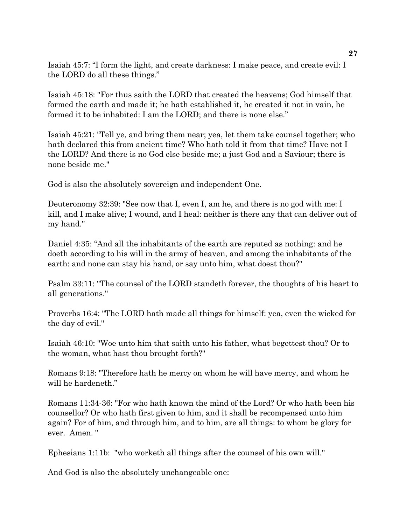Isaiah 45:7: "I form the light, and create darkness: I make peace, and create evil: I the LORD do all these things."

Isaiah 45:18: "For thus saith the LORD that created the heavens; God himself that formed the earth and made it; he hath established it, he created it not in vain, he formed it to be inhabited: I am the LORD; and there is none else."

Isaiah 45:21: "Tell ye, and bring them near; yea, let them take counsel together; who hath declared this from ancient time? Who hath told it from that time? Have not I the LORD? And there is no God else beside me; a just God and a Saviour; there is none beside me."

God is also the absolutely sovereign and independent One.

Deuteronomy 32:39: "See now that I, even I, am he, and there is no god with me: I kill, and I make alive; I wound, and I heal: neither is there any that can deliver out of my hand."

Daniel 4:35: "And all the inhabitants of the earth are reputed as nothing: and he doeth according to his will in the army of heaven, and among the inhabitants of the earth: and none can stay his hand, or say unto him, what doest thou?"

Psalm 33:11: "The counsel of the LORD standeth forever, the thoughts of his heart to all generations."

Proverbs 16:4: "The LORD hath made all things for himself: yea, even the wicked for the day of evil."

Isaiah 46:10: "Woe unto him that saith unto his father, what begettest thou? Or to the woman, what hast thou brought forth?"

Romans 9:18: "Therefore hath he mercy on whom he will have mercy, and whom he will he hardeneth."

Romans 11:34-36: "For who hath known the mind of the Lord? Or who hath been his counsellor? Or who hath first given to him, and it shall be recompensed unto him again? For of him, and through him, and to him, are all things: to whom be glory for ever. Amen. "

Ephesians 1:11b: "who worketh all things after the counsel of his own will."

And God is also the absolutely unchangeable one: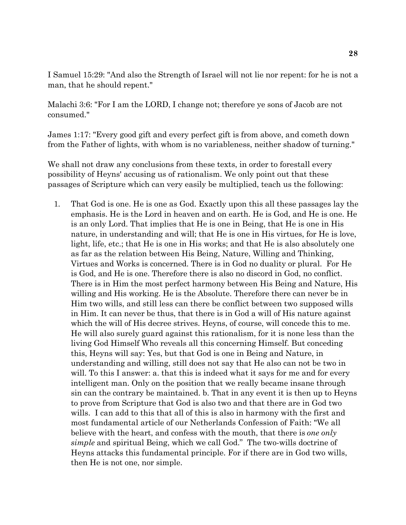I Samuel 15:29: "And also the Strength of Israel will not lie nor repent: for he is not a man, that he should repent."

Malachi 3:6: "For I am the LORD, I change not; therefore ye sons of Jacob are not consumed."

James 1:17: "Every good gift and every perfect gift is from above, and cometh down from the Father of lights, with whom is no variableness, neither shadow of turning."

We shall not draw any conclusions from these texts, in order to forestall every possibility of Heyns' accusing us of rationalism. We only point out that these passages of Scripture which can very easily be multiplied, teach us the following:

 1. That God is one. He is one as God. Exactly upon this all these passages lay the emphasis. He is the Lord in heaven and on earth. He is God, and He is one. He is an only Lord. That implies that He is one in Being, that He is one in His nature, in understanding and will; that He is one in His virtues, for He is love, light, life, etc.; that He is one in His works; and that He is also absolutely one as far as the relation between His Being, Nature, Willing and Thinking, Virtues and Works is concerned. There is in God no duality or plural. For He is God, and He is one. Therefore there is also no discord in God, no conflict. There is in Him the most perfect harmony between His Being and Nature, His willing and His working. He is the Absolute. Therefore there can never be in Him two wills, and still less can there be conflict between two supposed wills in Him. It can never be thus, that there is in God a will of His nature against which the will of His decree strives. Heyns, of course, will concede this to me. He will also surely guard against this rationalism, for it is none less than the living God Himself Who reveals all this concerning Himself. But conceding this, Heyns will say: Yes, but that God is one in Being and Nature, in understanding and willing, still does not say that He also can not be two in will. To this I answer: a. that this is indeed what it says for me and for every intelligent man. Only on the position that we really became insane through sin can the contrary be maintained. b. That in any event it is then up to Heyns to prove from Scripture that God is also two and that there are in God two wills. I can add to this that all of this is also in harmony with the first and most fundamental article of our Netherlands Confession of Faith: "We all believe with the heart, and confess with the mouth, that there is *one only simple* and spiritual Being, which we call God." The two-wills doctrine of Heyns attacks this fundamental principle. For if there are in God two wills, then He is not one, nor simple.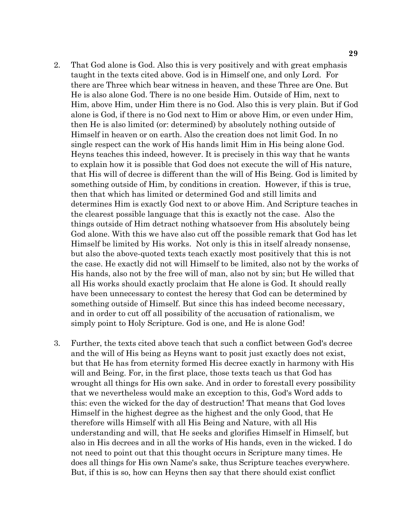- 2. That God alone is God. Also this is very positively and with great emphasis taught in the texts cited above. God is in Himself one, and only Lord. For there are Three which bear witness in heaven, and these Three are One. But He is also alone God. There is no one beside Him. Outside of Him, next to Him, above Him, under Him there is no God. Also this is very plain. But if God alone is God, if there is no God next to Him or above Him, or even under Him, then He is also limited (or: determined) by absolutely nothing outside of Himself in heaven or on earth. Also the creation does not limit God. In no single respect can the work of His hands limit Him in His being alone God. Heyns teaches this indeed, however. It is precisely in this way that he wants to explain how it is possible that God does not execute the will of His nature, that His will of decree is different than the will of His Being. God is limited by something outside of Him, by conditions in creation. However, if this is true, then that which has limited or determined God and still limits and determines Him is exactly God next to or above Him. And Scripture teaches in the clearest possible language that this is exactly not the case. Also the things outside of Him detract nothing whatsoever from His absolutely being God alone. With this we have also cut off the possible remark that God has let Himself be limited by His works. Not only is this in itself already nonsense, but also the above-quoted texts teach exactly most positively that this is not the case. He exactly did not will Himself to be limited, also not by the works of His hands, also not by the free will of man, also not by sin; but He willed that all His works should exactly proclaim that He alone is God. It should really have been unnecessary to contest the heresy that God can be determined by something outside of Himself. But since this has indeed become necessary, and in order to cut off all possibility of the accusation of rationalism, we simply point to Holy Scripture. God is one, and He is alone God!
- 3. Further, the texts cited above teach that such a conflict between God's decree and the will of His being as Heyns want to posit just exactly does not exist, but that He has from eternity formed His decree exactly in harmony with His will and Being. For, in the first place, those texts teach us that God has wrought all things for His own sake. And in order to forestall every possibility that we nevertheless would make an exception to this, God's Word adds to this: even the wicked for the day of destruction! That means that God loves Himself in the highest degree as the highest and the only Good, that He therefore wills Himself with all His Being and Nature, with all His understanding and will, that He seeks and glorifies Himself in Himself, but also in His decrees and in all the works of His hands, even in the wicked. I do not need to point out that this thought occurs in Scripture many times. He does all things for His own Name's sake, thus Scripture teaches everywhere. But, if this is so, how can Heyns then say that there should exist conflict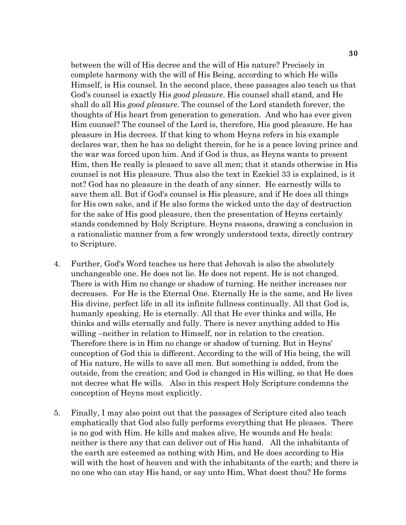between the will of His decree and the will of His nature? Precisely in complete harmony with the will of His Being, according to which He wills Himself, is His counsel. In the second place, these passages also teach us that God's counsel is exactly His *good pleasure*. His counsel shall stand, and He shall do all His *good pleasure*. The counsel of the Lord standeth forever, the thoughts of His heart from generation to generation. And who has ever given Him counsel? The counsel of the Lord is, therefore, His good pleasure. He has pleasure in His decrees. If that king to whom Heyns refers in his example declares war, then he has no delight therein, for he is a peace loving prince and the war was forced upon him. And if God is thus, as Heyns wants to present Him, then He really is pleased to save all men; that it stands otherwise in His counsel is not His pleasure. Thus also the text in Ezekiel 33 is explained, is it not? God has no pleasure in the death of any sinner. He earnestly wills to save them all. But if God's counsel is His pleasure, and if He does all things for His own sake, and if He also forms the wicked unto the day of destruction for the sake of His good pleasure, then the presentation of Heyns certainly stands condemned by Holy Scripture. Heyns reasons, drawing a conclusion in a rationalistic manner from a few wrongly understood texts, directly contrary to Scripture.

- 4. Further, God's Word teaches us here that Jehovah is also the absolutely unchangeable one. He does not lie. He does not repent. He is not changed. There is with Him no change or shadow of turning. He neither increases nor decreases. For He is the Eternal One. Eternally He is the same, and He lives His divine, perfect life in all its infinite fullness continually. All that God is, humanly speaking, He is eternally. All that He ever thinks and wills, He thinks and wills eternally and fully. There is never anything added to His willing –neither in relation to Himself, nor in relation to the creation. Therefore there is in Him no change or shadow of turning. But in Heyns' conception of God this is different. According to the will of His being, the will of His nature, He wills to save all men. But something is added, from the outside, from the creation; and God is changed in His willing, so that He does not decree what He wills. Also in this respect Holy Scripture condemns the conception of Heyns most explicitly.
- 5. Finally, I may also point out that the passages of Scripture cited also teach emphatically that God also fully performs everything that He pleases. There is no god with Him. He kills and makes alive, He wounds and He heals: neither is there any that can deliver out of His hand. All the inhabitants of the earth are esteemed as nothing with Him, and He does according to His will with the host of heaven and with the inhabitants of the earth; and there is no one who can stay His hand, or say unto Him, What doest thou? He forms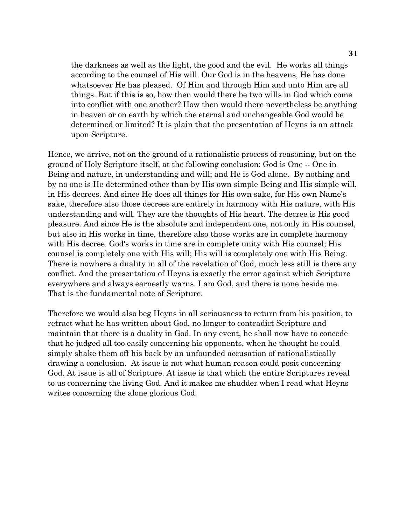the darkness as well as the light, the good and the evil. He works all things according to the counsel of His will. Our God is in the heavens, He has done whatsoever He has pleased. Of Him and through Him and unto Him are all things. But if this is so, how then would there be two wills in God which come into conflict with one another? How then would there nevertheless be anything in heaven or on earth by which the eternal and unchangeable God would be determined or limited? It is plain that the presentation of Heyns is an attack upon Scripture.

Hence, we arrive, not on the ground of a rationalistic process of reasoning, but on the ground of Holy Scripture itself, at the following conclusion: God is One -- One in Being and nature, in understanding and will; and He is God alone. By nothing and by no one is He determined other than by His own simple Being and His simple will, in His decrees. And since He does all things for His own sake, for His own Name's sake, therefore also those decrees are entirely in harmony with His nature, with His understanding and will. They are the thoughts of His heart. The decree is His good pleasure. And since He is the absolute and independent one, not only in His counsel, but also in His works in time, therefore also those works are in complete harmony with His decree. God's works in time are in complete unity with His counsel; His counsel is completely one with His will; His will is completely one with His Being. There is nowhere a duality in all of the revelation of God, much less still is there any conflict. And the presentation of Heyns is exactly the error against which Scripture everywhere and always earnestly warns. I am God, and there is none beside me. That is the fundamental note of Scripture.

Therefore we would also beg Heyns in all seriousness to return from his position, to retract what he has written about God, no longer to contradict Scripture and maintain that there is a duality in God. In any event, he shall now have to concede that he judged all too easily concerning his opponents, when he thought he could simply shake them off his back by an unfounded accusation of rationalistically drawing a conclusion. At issue is not what human reason could posit concerning God. At issue is all of Scripture. At issue is that which the entire Scriptures reveal to us concerning the living God. And it makes me shudder when I read what Heyns writes concerning the alone glorious God.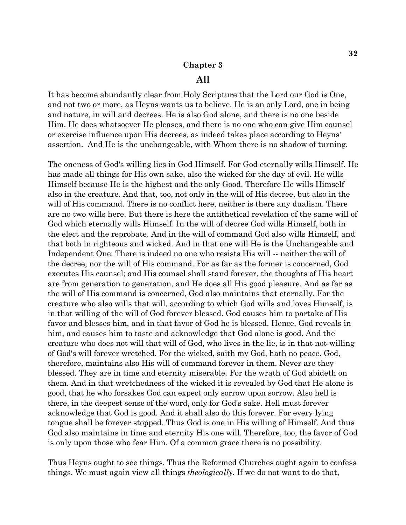#### **Chapter 3**

#### **All**

It has become abundantly clear from Holy Scripture that the Lord our God is One, and not two or more, as Heyns wants us to believe. He is an only Lord, one in being and nature, in will and decrees. He is also God alone, and there is no one beside Him. He does whatsoever He pleases, and there is no one who can give Him counsel or exercise influence upon His decrees, as indeed takes place according to Heyns' assertion. And He is the unchangeable, with Whom there is no shadow of turning.

The oneness of God's willing lies in God Himself. For God eternally wills Himself. He has made all things for His own sake, also the wicked for the day of evil. He wills Himself because He is the highest and the only Good. Therefore He wills Himself also in the creature. And that, too, not only in the will of His decree, but also in the will of His command. There is no conflict here, neither is there any dualism. There are no two wills here. But there is here the antithetical revelation of the same will of God which eternally wills Himself. In the will of decree God wills Himself, both in the elect and the reprobate. And in the will of command God also wills Himself, and that both in righteous and wicked. And in that one will He is the Unchangeable and Independent One. There is indeed no one who resists His will -- neither the will of the decree, nor the will of His command. For as far as the former is concerned, God executes His counsel; and His counsel shall stand forever, the thoughts of His heart are from generation to generation, and He does all His good pleasure. And as far as the will of His command is concerned, God also maintains that eternally. For the creature who also wills that will, according to which God wills and loves Himself, is in that willing of the will of God forever blessed. God causes him to partake of His favor and blesses him, and in that favor of God he is blessed. Hence, God reveals in him, and causes him to taste and acknowledge that God alone is good. And the creature who does not will that will of God, who lives in the lie, is in that not-willing of God's will forever wretched. For the wicked, saith my God, hath no peace. God, therefore, maintains also His will of command forever in them. Never are they blessed. They are in time and eternity miserable. For the wrath of God abideth on them. And in that wretchedness of the wicked it is revealed by God that He alone is good, that he who forsakes God can expect only sorrow upon sorrow. Also hell is there, in the deepest sense of the word, only for God's sake. Hell must forever acknowledge that God is good. And it shall also do this forever. For every lying tongue shall be forever stopped. Thus God is one in His willing of Himself. And thus God also maintains in time and eternity His one will. Therefore, too, the favor of God is only upon those who fear Him. Of a common grace there is no possibility.

Thus Heyns ought to see things. Thus the Reformed Churches ought again to confess things. We must again view all things *theologically*. If we do not want to do that,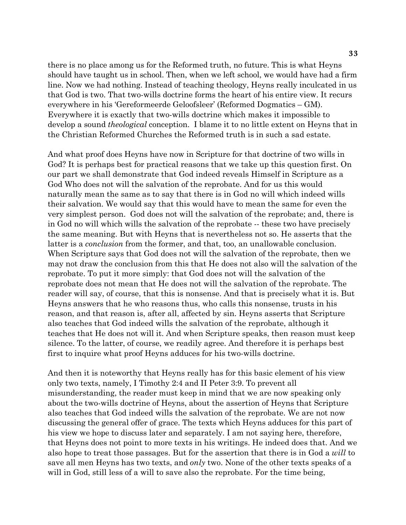there is no place among us for the Reformed truth, no future. This is what Heyns should have taught us in school. Then, when we left school, we would have had a firm line. Now we had nothing. Instead of teaching theology, Heyns really inculcated in us that God is two. That two-wills doctrine forms the heart of his entire view. It recurs everywhere in his 'Gereformeerde Geloofsleer' (Reformed Dogmatics – GM). Everywhere it is exactly that two-wills doctrine which makes it impossible to develop a sound *theological* conception. I blame it to no little extent on Heyns that in the Christian Reformed Churches the Reformed truth is in such a sad estate.

And what proof does Heyns have now in Scripture for that doctrine of two wills in God? It is perhaps best for practical reasons that we take up this question first. On our part we shall demonstrate that God indeed reveals Himself in Scripture as a God Who does not will the salvation of the reprobate. And for us this would naturally mean the same as to say that there is in God no will which indeed wills their salvation. We would say that this would have to mean the same for even the very simplest person. God does not will the salvation of the reprobate; and, there is in God no will which wills the salvation of the reprobate -- these two have precisely the same meaning. But with Heyns that is nevertheless not so. He asserts that the latter is a *conclusion* from the former, and that, too, an unallowable conclusion. When Scripture says that God does not will the salvation of the reprobate, then we may not draw the conclusion from this that He does not also will the salvation of the reprobate. To put it more simply: that God does not will the salvation of the reprobate does not mean that He does not will the salvation of the reprobate. The reader will say, of course, that this is nonsense. And that is precisely what it is. But Heyns answers that he who reasons thus, who calls this nonsense, trusts in his reason, and that reason is, after all, affected by sin. Heyns asserts that Scripture also teaches that God indeed wills the salvation of the reprobate, although it teaches that He does not will it. And when Scripture speaks, then reason must keep silence. To the latter, of course, we readily agree. And therefore it is perhaps best first to inquire what proof Heyns adduces for his two-wills doctrine.

And then it is noteworthy that Heyns really has for this basic element of his view only two texts, namely, I Timothy 2:4 and II Peter 3:9. To prevent all misunderstanding, the reader must keep in mind that we are now speaking only about the two-wills doctrine of Heyns, about the assertion of Heyns that Scripture also teaches that God indeed wills the salvation of the reprobate. We are not now discussing the general offer of grace. The texts which Heyns adduces for this part of his view we hope to discuss later and separately. I am not saying here, therefore, that Heyns does not point to more texts in his writings. He indeed does that. And we also hope to treat those passages. But for the assertion that there is in God a *will* to save all men Heyns has two texts, and *only* two. None of the other texts speaks of a will in God, still less of a will to save also the reprobate. For the time being,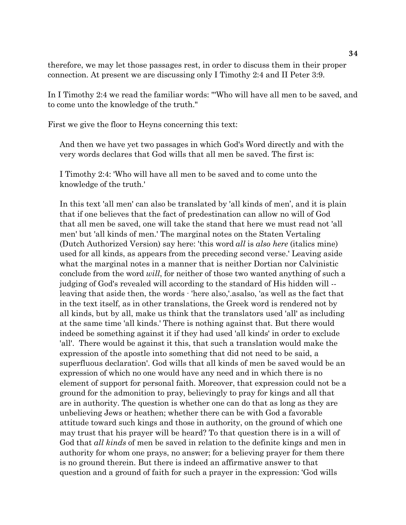therefore, we may let those passages rest, in order to discuss them in their proper connection. At present we are discussing only I Timothy 2:4 and II Peter 3:9.

In I Timothy 2:4 we read the familiar words: '''Who will have all men to be saved, and to come unto the knowledge of the truth."

First we give the floor to Heyns concerning this text:

And then we have yet two passages in which God's Word directly and with the very words declares that God wills that all men be saved. The first is:

I Timothy 2:4: 'Who will have all men to be saved and to come unto the knowledge of the truth.'

In this text 'all men' can also be translated by 'all kinds of men', and it is plain that if one believes that the fact of predestination can allow no will of God that all men be saved, one will take the stand that here we must read not 'all men' but 'all kinds of men.' The marginal notes on the Staten Vertaling (Dutch Authorized Version) say here: 'this word *all* is *also here* (italics mine) used for all kinds, as appears from the preceding second verse.' Leaving aside what the marginal notes in a manner that is neither Dortian nor Calvinistic conclude from the word *will*, for neither of those two wanted anything of such a judging of God's revealed will according to the standard of His hidden will - leaving that aside then, the words · 'here also,'.asalso, 'as well as the fact that in the text itself, as in other translations, the Greek word is rendered not by all kinds, but by all, make us think that the translators used 'all' as including at the same time 'all kinds.' There is nothing against that. But there would indeed be something against it if they had used 'all kinds' in order to exclude 'all'. There would be against it this, that such a translation would make the expression of the apostle into something that did not need to be said, a superfluous declaration'. God wills that all kinds of men be saved would be an expression of which no one would have any need and in which there is no element of support for personal faith. Moreover, that expression could not be a ground for the admonition to pray, believingly to pray for kings and all that are in authority. The question is whether one can do that as long as they are unbelieving Jews or heathen; whether there can be with God a favorable attitude toward such kings and those in authority, on the ground of which one may trust that his prayer will be heard? To that question there is in a will of God that *all kinds* of men be saved in relation to the definite kings and men in authority for whom one prays, no answer; for a believing prayer for them there is no ground therein. But there is indeed an affirmative answer to that question and a ground of faith for such a prayer in the expression: 'God wills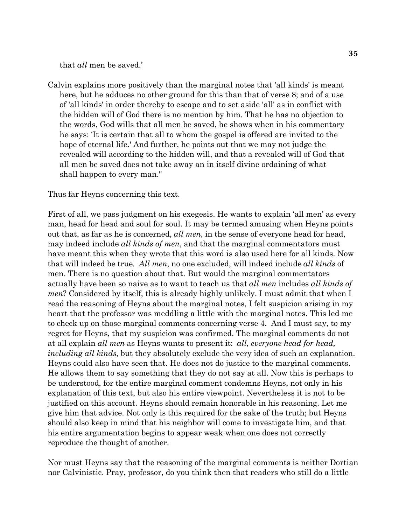that *all* men be saved.'

Calvin explains more positively than the marginal notes that 'all kinds' is meant here, but he adduces no other ground for this than that of verse 8; and of a use of 'all kinds' in order thereby to escape and to set aside 'all' as in conflict with the hidden will of God there is no mention by him. That he has no objection to the words, God wills that all men be saved, he shows when in his commentary he says: 'It is certain that all to whom the gospel is offered are invited to the hope of eternal life.' And further, he points out that we may not judge the revealed will according to the hidden will, and that a revealed will of God that all men be saved does not take away an in itself divine ordaining of what shall happen to every man."

Thus far Heyns concerning this text.

First of all, we pass judgment on his exegesis. He wants to explain 'all men' as every man, head for head and soul for soul. It may be termed amusing when Heyns points out that, as far as he is concerned, *all men*, in the sense of everyone head for head, may indeed include *all kinds of men*, and that the marginal commentators must have meant this when they wrote that this word is also used here for all kinds. Now that will indeed be true*. All men*, no one excluded, will indeed include *all kinds* of men. There is no question about that. But would the marginal commentators actually have been so naive as to want to teach us that *all men* includes *all kinds of men*? Considered by itself, this is already highly unlikely. I must admit that when I read the reasoning of Heyns about the marginal notes, I felt suspicion arising in my heart that the professor was meddling a little with the marginal notes. This led me to check up on those marginal comments concerning verse 4. And I must say, to my regret for Heyns, that my suspicion was confirmed. The marginal comments do not at all explain *all men* as Heyns wants to present it: *all, everyone head for head, including all kinds*, but they absolutely exclude the very idea of such an explanation. Heyns could also have seen that. He does not do justice to the marginal comments. He allows them to say something that they do not say at all. Now this is perhaps to be understood, for the entire marginal comment condemns Heyns, not only in his explanation of this text, but also his entire viewpoint. Nevertheless it is not to be justified on this account. Heyns should remain honorable in his reasoning. Let me give him that advice. Not only is this required for the sake of the truth; but Heyns should also keep in mind that his neighbor will come to investigate him, and that his entire argumentation begins to appear weak when one does not correctly reproduce the thought of another.

Nor must Heyns say that the reasoning of the marginal comments is neither Dortian nor Calvinistic. Pray, professor, do you think then that readers who still do a little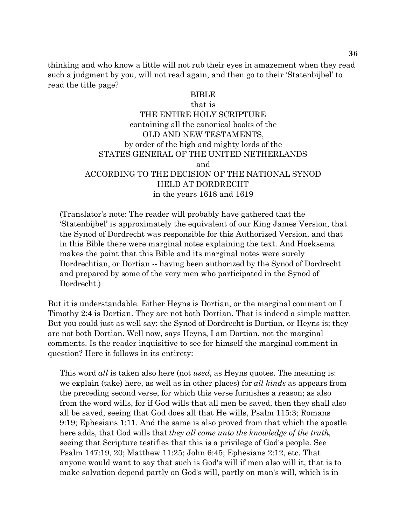thinking and who know a little will not rub their eyes in amazement when they read such a judgment by you, will not read again, and then go to their 'Statenbijbel' to read the title page?

#### BIBLE

#### that is

THE ENTIRE HOLY SCRIPTURE containing all the canonical books of the OLD AND NEW TESTAMENTS, by order of the high and mighty lords of the STATES GENERAL OF THE UNITED NETHERLANDS and ACCORDING TO THE DECISION OF THE NATIONAL SYNOD HELD AT DORDRECHT in the years 1618 and 1619

(Translator's note: The reader will probably have gathered that the 'Statenbijbel' is approximately the equivalent of our King James Version, that the Synod of Dordrecht was responsible for this Authorized Version, and that in this Bible there were marginal notes explaining the text. And Hoeksema makes the point that this Bible and its marginal notes were surely Dordrechtian, or Dortian -- having been authorized by the Synod of Dordrecht and prepared by some of the very men who participated in the Synod of Dordrecht.)

But it is understandable. Either Heyns is Dortian, or the marginal comment on I Timothy 2:4 is Dortian. They are not both Dortian. That is indeed a simple matter. But you could just as well say: the Synod of Dordrecht is Dortian, or Heyns is; they are not both Dortian. Well now, says Heyns, I am Dortian, not the marginal comments. Is the reader inquisitive to see for himself the marginal comment in question? Here it follows in its entirety:

This word *all* is taken also here (not *used*, as Heyns quotes. The meaning is: we explain (take) here, as well as in other places) for *all kinds* as appears from the preceding second verse, for which this verse furnishes a reason; as also from the word wills, for if God wills that all men be saved, then they shall also all be saved, seeing that God does all that He wills, Psalm 115:3; Romans 9:19; Ephesians 1:11. And the same is also proved from that which the apostle here adds, that God wills that *they all come unto the knowledge of the truth*, seeing that Scripture testifies that this is a privilege of God's people. See Psalm 147:19, 20; Matthew 11:25; John 6:45; Ephesians 2:12, etc. That anyone would want to say that such is God's will if men also will it, that is to make salvation depend partly on God's will, partly on man's will, which is in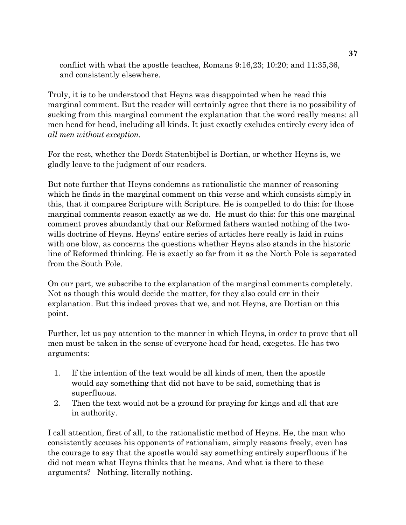conflict with what the apostle teaches, Romans 9:16,23; 10:20; and 11:35,36, and consistently elsewhere.

Truly, it is to be understood that Heyns was disappointed when he read this marginal comment. But the reader will certainly agree that there is no possibility of sucking from this marginal comment the explanation that the word really means: all men head for head, including all kinds. It just exactly excludes entirely every idea of *all men without exception*.

For the rest, whether the Dordt Statenbijbel is Dortian, or whether Heyns is, we gladly leave to the judgment of our readers.

But note further that Heyns condemns as rationalistic the manner of reasoning which he finds in the marginal comment on this verse and which consists simply in this, that it compares Scripture with Scripture. He is compelled to do this: for those marginal comments reason exactly as we do. He must do this: for this one marginal comment proves abundantly that our Reformed fathers wanted nothing of the twowills doctrine of Heyns. Heyns' entire series of articles here really is laid in ruins with one blow, as concerns the questions whether Heyns also stands in the historic line of Reformed thinking. He is exactly so far from it as the North Pole is separated from the South Pole.

On our part, we subscribe to the explanation of the marginal comments completely. Not as though this would decide the matter, for they also could err in their explanation. But this indeed proves that we, and not Heyns, are Dortian on this point.

Further, let us pay attention to the manner in which Heyns, in order to prove that all men must be taken in the sense of everyone head for head, exegetes. He has two arguments:

- 1. If the intention of the text would be all kinds of men, then the apostle would say something that did not have to be said, something that is superfluous.
- 2. Then the text would not be a ground for praying for kings and all that are in authority.

I call attention, first of all, to the rationalistic method of Heyns. He, the man who consistently accuses his opponents of rationalism, simply reasons freely, even has the courage to say that the apostle would say something entirely superfluous if he did not mean what Heyns thinks that he means. And what is there to these arguments? Nothing, literally nothing.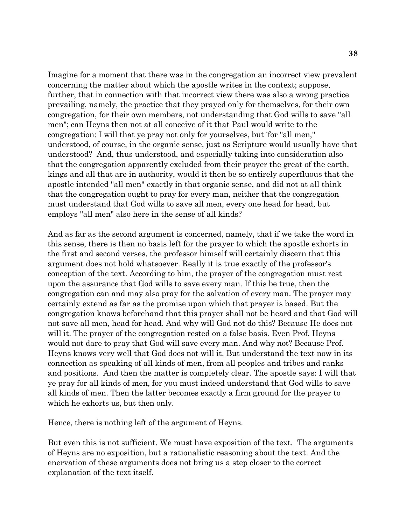Imagine for a moment that there was in the congregation an incorrect view prevalent concerning the matter about which the apostle writes in the context; suppose, further, that in connection with that incorrect view there was also a wrong practice prevailing, namely, the practice that they prayed only for themselves, for their own congregation, for their own members, not understanding that God wills to save "all men"; can Heyns then not at all conceive of it that Paul would write to the congregation: I will that ye pray not only for yourselves, but 'for "all men," understood, of course, in the organic sense, just as Scripture would usually have that understood? And, thus understood, and especially taking into consideration also that the congregation apparently excluded from their prayer the great of the earth, kings and all that are in authority, would it then be so entirely superfluous that the apostle intended "all men" exactly in that organic sense, and did not at all think that the congregation ought to pray for every man, neither that the congregation must understand that God wills to save all men, every one head for head, but employs "all men" also here in the sense of all kinds?

And as far as the second argument is concerned, namely, that if we take the word in this sense, there is then no basis left for the prayer to which the apostle exhorts in the first and second verses, the professor himself will certainly discern that this argument does not hold whatsoever. Really it is true exactly of the professor's conception of the text. According to him, the prayer of the congregation must rest upon the assurance that God wills to save every man. If this be true, then the congregation can and may also pray for the salvation of every man. The prayer may certainly extend as far as the promise upon which that prayer is based. But the congregation knows beforehand that this prayer shall not be heard and that God will not save all men, head for head. And why will God not do this? Because He does not will it. The prayer of the congregation rested on a false basis. Even Prof. Heyns would not dare to pray that God will save every man. And why not? Because Prof. Heyns knows very well that God does not will it. But understand the text now in its connection as speaking of all kinds of men, from all peoples and tribes and ranks and positions. And then the matter is completely clear. The apostle says: I will that ye pray for all kinds of men, for you must indeed understand that God wills to save all kinds of men. Then the latter becomes exactly a firm ground for the prayer to which he exhorts us, but then only.

Hence, there is nothing left of the argument of Heyns.

But even this is not sufficient. We must have exposition of the text. The arguments of Heyns are no exposition, but a rationalistic reasoning about the text. And the enervation of these arguments does not bring us a step closer to the correct explanation of the text itself.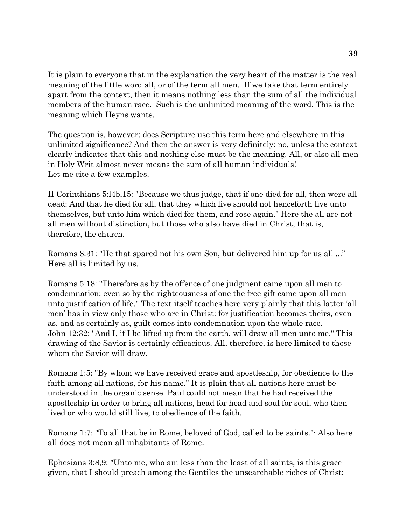It is plain to everyone that in the explanation the very heart of the matter is the real meaning of the little word all, or of the term all men. If we take that term entirely apart from the context, then it means nothing less than the sum of all the individual members of the human race. Such is the unlimited meaning of the word. This is the meaning which Heyns wants.

The question is, however: does Scripture use this term here and elsewhere in this unlimited significance? And then the answer is very definitely: no, unless the context clearly indicates that this and nothing else must be the meaning. All, or also all men in Holy Writ almost never means the sum of all human individuals! Let me cite a few examples.

II Corinthians 5:l4b,15: "Because we thus judge, that if one died for all, then were all dead: And that he died for all, that they which live should not henceforth live unto themselves, but unto him which died for them, and rose again." Here the all are not all men without distinction, but those who also have died in Christ, that is, therefore, the church.

Romans 8:31: "He that spared not his own Son, but delivered him up for us all ..." Here all is limited by us.

Romans 5:18: "Therefore as by the offence of one judgment came upon all men to condemnation; even so by the righteousness of one the free gift came upon all men unto justification of life." The text itself teaches here very plainly that this latter 'all men' has in view only those who are in Christ: for justification becomes theirs, even as, and as certainly as, guilt comes into condemnation upon the whole race. John 12:32: "And I, if I be lifted up from the earth, will draw all men unto me." This drawing of the Savior is certainly efficacious. All, therefore, is here limited to those whom the Savior will draw.

Romans 1:5: "By whom we have received grace and apostleship, for obedience to the faith among all nations, for his name." It is plain that all nations here must be understood in the organic sense. Paul could not mean that he had received the apostleship in order to bring all nations, head for head and soul for soul, who then lived or who would still live, to obedience of the faith.

Romans 1:7: "To all that be in Rome, beloved of God, called to be saints."· Also here all does not mean all inhabitants of Rome.

Ephesians 3:8,9: "Unto me, who am less than the least of all saints, is this grace given, that I should preach among the Gentiles the unsearchable riches of Christ;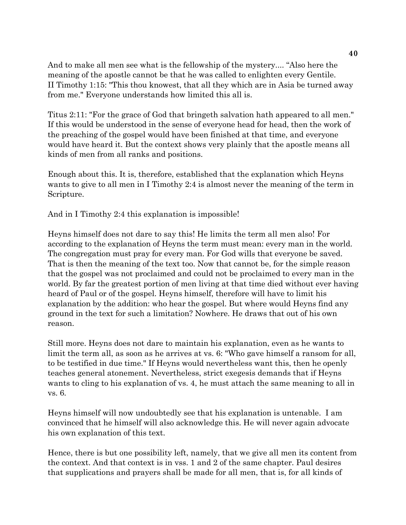And to make all men see what is the fellowship of the mystery.... "Also here the meaning of the apostle cannot be that he was called to enlighten every Gentile. II Timothy 1:15: "This thou knowest, that all they which are in Asia be turned away from me." Everyone understands how limited this all is.

Titus 2:11: "For the grace of God that bringeth salvation hath appeared to all men." If this would be understood in the sense of everyone head for head, then the work of the preaching of the gospel would have been finished at that time, and everyone would have heard it. But the context shows very plainly that the apostle means all kinds of men from all ranks and positions.

Enough about this. It is, therefore, established that the explanation which Heyns wants to give to all men in I Timothy 2:4 is almost never the meaning of the term in Scripture.

And in I Timothy 2:4 this explanation is impossible!

Heyns himself does not dare to say this! He limits the term all men also! For according to the explanation of Heyns the term must mean: every man in the world. The congregation must pray for every man. For God wills that everyone be saved. That is then the meaning of the text too. Now that cannot be, for the simple reason that the gospel was not proclaimed and could not be proclaimed to every man in the world. By far the greatest portion of men living at that time died without ever having heard of Paul or of the gospel. Heyns himself, therefore will have to limit his explanation by the addition: who hear the gospel. But where would Heyns find any ground in the text for such a limitation? Nowhere. He draws that out of his own reason.

Still more. Heyns does not dare to maintain his explanation, even as he wants to limit the term all, as soon as he arrives at vs. 6: "Who gave himself a ransom for all, to be testified in due time." If Heyns would nevertheless want this, then he openly teaches general atonement. Nevertheless, strict exegesis demands that if Heyns wants to cling to his explanation of vs. 4, he must attach the same meaning to all in vs. 6.

Heyns himself will now undoubtedly see that his explanation is untenable. I am convinced that he himself will also acknowledge this. He will never again advocate his own explanation of this text.

Hence, there is but one possibility left, namely, that we give all men its content from the context. And that context is in vss. 1 and 2 of the same chapter. Paul desires that supplications and prayers shall be made for all men, that is, for all kinds of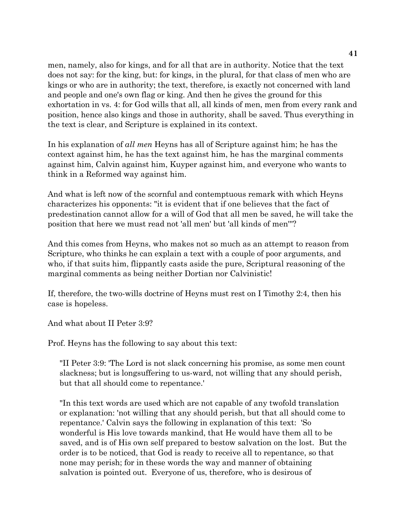men, namely, also for kings, and for all that are in authority. Notice that the text does not say: for the king, but: for kings, in the plural, for that class of men who are kings or who are in authority; the text, therefore, is exactly not concerned with land and people and one's own flag or king. And then he gives the ground for this exhortation in vs. 4: for God wills that all, all kinds of men, men from every rank and position, hence also kings and those in authority, shall be saved. Thus everything in the text is clear, and Scripture is explained in its context.

In his explanation of *all men* Heyns has all of Scripture against him; he has the context against him, he has the text against him, he has the marginal comments against him, Calvin against him, Kuyper against him, and everyone who wants to think in a Reformed way against him.

And what is left now of the scornful and contemptuous remark with which Heyns characterizes his opponents: "it is evident that if one believes that the fact of predestination cannot allow for a will of God that all men be saved, he will take the position that here we must read not 'all men' but 'all kinds of men'''?

And this comes from Heyns, who makes not so much as an attempt to reason from Scripture, who thinks he can explain a text with a couple of poor arguments, and who, if that suits him, flippantly casts aside the pure, Scriptural reasoning of the marginal comments as being neither Dortian nor Calvinistic!

If, therefore, the two-wills doctrine of Heyns must rest on I Timothy 2:4, then his case is hopeless.

And what about II Peter 3:9?

Prof. Heyns has the following to say about this text:

"II Peter 3:9: 'The Lord is not slack concerning his promise, as some men count slackness; but is longsuffering to us-ward, not willing that any should perish, but that all should come to repentance.'

"In this text words are used which are not capable of any twofold translation or explanation: 'not willing that any should perish, but that all should come to repentance.' Calvin says the following in explanation of this text: 'So wonderful is His love towards mankind, that He would have them all to be saved, and is of His own self prepared to bestow salvation on the lost. But the order is to be noticed, that God is ready to receive all to repentance, so that none may perish; for in these words the way and manner of obtaining salvation is pointed out. Everyone of us, therefore, who is desirous of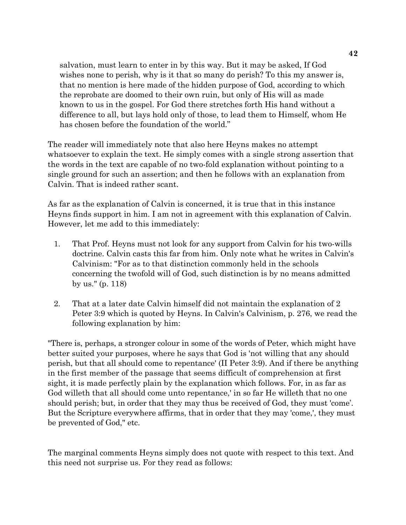salvation, must learn to enter in by this way. But it may be asked, If God wishes none to perish, why is it that so many do perish? To this my answer is, that no mention is here made of the hidden purpose of God, according to which the reprobate are doomed to their own ruin, but only of His will as made known to us in the gospel. For God there stretches forth His hand without a difference to all, but lays hold only of those, to lead them to Himself, whom He has chosen before the foundation of the world."

The reader will immediately note that also here Heyns makes no attempt whatsoever to explain the text. He simply comes with a single strong assertion that the words in the text are capable of no two-fold explanation without pointing to a single ground for such an assertion; and then he follows with an explanation from Calvin. That is indeed rather scant.

As far as the explanation of Calvin is concerned, it is true that in this instance Heyns finds support in him. I am not in agreement with this explanation of Calvin. However, let me add to this immediately:

- 1. That Prof. Heyns must not look for any support from Calvin for his two-wills doctrine. Calvin casts this far from him. Only note what he writes in Calvin's Calvinism: "For as to that distinction commonly held in the schools concerning the twofold will of God, such distinction is by no means admitted by us." (p. 118)
- 2. That at a later date Calvin himself did not maintain the explanation of 2 Peter 3:9 which is quoted by Heyns. In Calvin's Calvinism, p. 276, we read the following explanation by him:

"There is, perhaps, a stronger colour in some of the words of Peter, which might have better suited your purposes, where he says that God is 'not willing that any should perish, but that all should come to repentance' (II Peter 3:9). And if there be anything in the first member of the passage that seems difficult of comprehension at first sight, it is made perfectly plain by the explanation which follows. For, in as far as God willeth that all should come unto repentance,' in so far He willeth that no one should perish; but, in order that they may thus be received of God, they must 'come'. But the Scripture everywhere affirms, that in order that they may 'come,', they must be prevented of God," etc.

The marginal comments Heyns simply does not quote with respect to this text. And this need not surprise us. For they read as follows: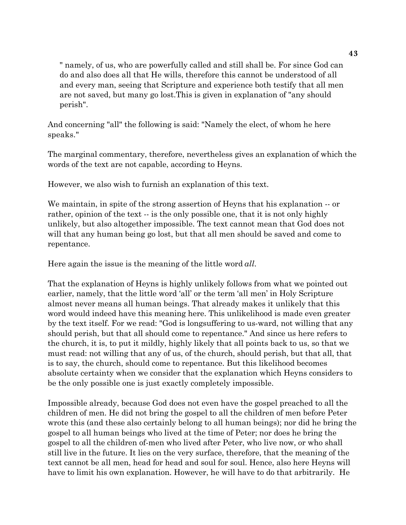" namely, of us, who are powerfully called and still shall be. For since God can do and also does all that He wills, therefore this cannot be understood of all and every man, seeing that Scripture and experience both testify that all men are not saved, but many go lost.This is given in explanation of "any should perish".

And concerning "all" the following is said: "Namely the elect, of whom he here speaks."

The marginal commentary, therefore, nevertheless gives an explanation of which the words of the text are not capable, according to Heyns.

However, we also wish to furnish an explanation of this text.

We maintain, in spite of the strong assertion of Heyns that his explanation -- or rather, opinion of the text -- is the only possible one, that it is not only highly unlikely, but also altogether impossible. The text cannot mean that God does not will that any human being go lost, but that all men should be saved and come to repentance.

Here again the issue is the meaning of the little word *all*.

That the explanation of Heyns is highly unlikely follows from what we pointed out earlier, namely, that the little word 'all' or the term 'all men' in Holy Scripture almost never means all human beings. That already makes it unlikely that this word would indeed have this meaning here. This unlikelihood is made even greater by the text itself. For we read: "God is longsuffering to us-ward, not willing that any should perish, but that all should come to repentance." And since us here refers to the church, it is, to put it mildly, highly likely that all points back to us, so that we must read: not willing that any of us, of the church, should perish, but that all, that is to say, the church, should come to repentance. But this likelihood becomes absolute certainty when we consider that the explanation which Heyns considers to be the only possible one is just exactly completely impossible.

Impossible already, because God does not even have the gospel preached to all the children of men. He did not bring the gospel to all the children of men before Peter wrote this (and these also certainly belong to all human beings); nor did he bring the gospel to all human beings who lived at the time of Peter; nor does he bring the gospel to all the children of-men who lived after Peter, who live now, or who shall still live in the future. It lies on the very surface, therefore, that the meaning of the text cannot be all men, head for head and soul for soul. Hence, also here Heyns will have to limit his own explanation. However, he will have to do that arbitrarily. He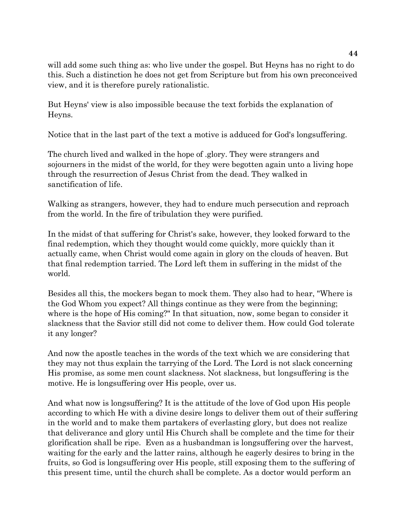will add some such thing as: who live under the gospel. But Heyns has no right to do this. Such a distinction he does not get from Scripture but from his own preconceived view, and it is therefore purely rationalistic.

But Heyns' view is also impossible because the text forbids the explanation of Heyns.

Notice that in the last part of the text a motive is adduced for God's longsuffering.

The church lived and walked in the hope of .glory. They were strangers and sojourners in the midst of the world, for they were begotten again unto a living hope through the resurrection of Jesus Christ from the dead. They walked in sanctification of life.

Walking as strangers, however, they had to endure much persecution and reproach from the world. In the fire of tribulation they were purified.

In the midst of that suffering for Christ's sake, however, they looked forward to the final redemption, which they thought would come quickly, more quickly than it actually came, when Christ would come again in glory on the clouds of heaven. But that final redemption tarried. The Lord left them in suffering in the midst of the world.

Besides all this, the mockers began to mock them. They also had to hear, "Where is the God Whom you expect? All things continue as they were from the beginning; where is the hope of His coming?" In that situation, now, some began to consider it slackness that the Savior still did not come to deliver them. How could God tolerate it any longer?

And now the apostle teaches in the words of the text which we are considering that they may not thus explain the tarrying of the Lord. The Lord is not slack concerning His promise, as some men count slackness. Not slackness, but longsuffering is the motive. He is longsuffering over His people, over us.

And what now is longsuffering? It is the attitude of the love of God upon His people according to which He with a divine desire longs to deliver them out of their suffering in the world and to make them partakers of everlasting glory, but does not realize that deliverance and glory until His Church shall be complete and the time for their glorification shall be ripe. Even as a husbandman is longsuffering over the harvest, waiting for the early and the latter rains, although he eagerly desires to bring in the fruits, so God is longsuffering over His people, still exposing them to the suffering of this present time, until the church shall be complete. As a doctor would perform an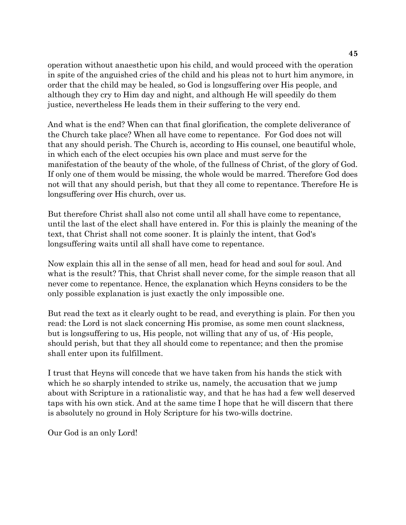operation without anaesthetic upon his child, and would proceed with the operation in spite of the anguished cries of the child and his pleas not to hurt him anymore, in order that the child may be healed, so God is longsuffering over His people, and although they cry to Him day and night, and although He will speedily do them justice, nevertheless He leads them in their suffering to the very end.

And what is the end? When can that final glorification, the complete deliverance of the Church take place? When all have come to repentance. For God does not will that any should perish. The Church is, according to His counsel, one beautiful whole, in which each of the elect occupies his own place and must serve for the manifestation of the beauty of the whole, of the fullness of Christ, of the glory of God. If only one of them would be missing, the whole would be marred. Therefore God does not will that any should perish, but that they all come to repentance. Therefore He is longsuffering over His church, over us.

But therefore Christ shall also not come until all shall have come to repentance, until the last of the elect shall have entered in. For this is plainly the meaning of the text, that Christ shall not come sooner. It is plainly the intent, that God's longsuffering waits until all shall have come to repentance.

Now explain this all in the sense of all men, head for head and soul for soul. And what is the result? This, that Christ shall never come, for the simple reason that all never come to repentance. Hence, the explanation which Heyns considers to be the only possible explanation is just exactly the only impossible one.

But read the text as it clearly ought to be read, and everything is plain. For then you read: the Lord is not slack concerning His promise, as some men count slackness, but is longsuffering to us, His people, not willing that any of us, of ·His people, should perish, but that they all should come to repentance; and then the promise shall enter upon its fulfillment.

I trust that Heyns will concede that we have taken from his hands the stick with which he so sharply intended to strike us, namely, the accusation that we jump about with Scripture in a rationalistic way, and that he has had a few well deserved taps with his own stick. And at the same time I hope that he will discern that there is absolutely no ground in Holy Scripture for his two-wills doctrine.

Our God is an only Lord!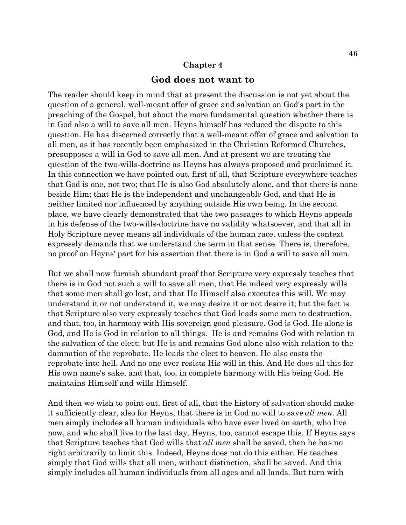#### **Chapter 4**

#### **God does not want to**

The reader should keep in mind that at present the discussion is not yet about the question of a general, well-meant offer of grace and salvation on God's part in the preaching of the Gospel, but about the more fundamental question whether there is in God also a will to save all men. Heyns himself has reduced the dispute to this question. He has discerned correctly that a well-meant offer of grace and salvation to all men, as it has recently been emphasized in the Christian Reformed Churches, presupposes a will in God to save all men. And at present we are treating the question of the two-wills-doctrine as Heyns has always proposed and proclaimed it. In this connection we have pointed out, first of all, that Scripture everywhere teaches that God is one, not two; that He is also God absolutely alone, and that there is none beside Him; that He is the independent and unchangeable God, and that He is neither limited nor influenced by anything outside His own being. In the second place, we have clearly demonstrated that the two passages to which Heyns appeals in his defense of the two-wills-doctrine have no validity whatsoever, and that all in Holy Scripture never means all individuals of the human race, unless the context expressly demands that we understand the term in that sense. There is, therefore, no proof on Heyns' part for his assertion that there is in God a will to save all men.

But we shall now furnish abundant proof that Scripture very expressly teaches that there is in God not such a will to save all men, that He indeed very expressly wills that some men shall go lost, and that He Himself also executes this will. We may understand it or not understand it, we may desire it or not desire it; but the fact is that Scripture also very expressly teaches that God leads some men to destruction, and that, too, in harmony with His sovereign good pleasure. God is God. He alone is God, and He is God in relation to all things. He is and remains God with relation to the salvation of the elect; but He is and remains God alone also with relation to the damnation of the reprobate. He leads the elect to heaven. He also casts the reprobate into hell. And no one ever resists His will in this. And He does all this for His own name's sake, and that, too, in complete harmony with His being God. He maintains Himself and wills Himself.

And then we wish to point out, first of all, that the history of salvation should make it sufficiently clear, also for Heyns, that there is in God no will to save *all men*. All men simply includes all human individuals who have ever lived on earth, who live now, and who shall live to the last day. Heyns, too, cannot escape this. If Heyns says that Scripture teaches that God wills that *all men* shall be saved, then he has no right arbitrarily to limit this. Indeed, Heyns does not do this either. He teaches simply that God wills that all men, without distinction, shall be saved. And this simply includes all human individuals from all ages and all lands. But turn with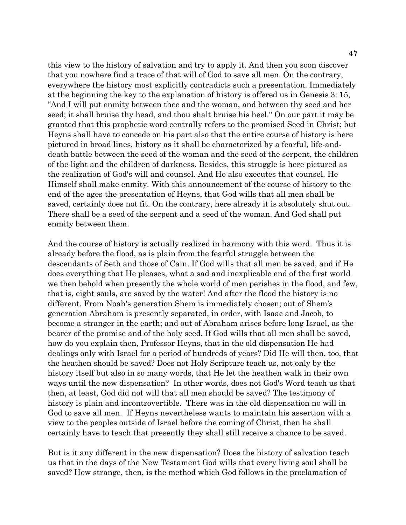this view to the history of salvation and try to apply it. And then you soon discover that you nowhere find a trace of that will of God to save all men. On the contrary, everywhere the history most explicitly contradicts such a presentation. Immediately at the beginning the key to the explanation of history is offered us in Genesis 3: 15, "And I will put enmity between thee and the woman, and between thy seed and her seed; it shall bruise thy head, and thou shalt bruise his heel." On our part it may be granted that this prophetic word centrally refers to the promised Seed in Christ; but Heyns shall have to concede on his part also that the entire course of history is here pictured in broad lines, history as it shall be characterized by a fearful, life-anddeath battle between the seed of the woman and the seed of the serpent, the children of the light and the children of darkness. Besides, this struggle is here pictured as the realization of God's will and counsel. And He also executes that counsel. He Himself shall make enmity. With this announcement of the course of history to the end of the ages the presentation of Heyns, that God wills that all men shall be saved, certainly does not fit. On the contrary, here already it is absolutely shut out. There shall be a seed of the serpent and a seed of the woman. And God shall put enmity between them.

And the course of history is actually realized in harmony with this word. Thus it is already before the flood, as is plain from the fearful struggle between the descendants of Seth and those of Cain. If God wills that all men be saved, and if He does everything that He pleases, what a sad and inexplicable end of the first world we then behold when presently the whole world of men perishes in the flood, and few, that is, eight souls, are saved by the water! And after the flood the history is no different. From Noah's generation Shem is immediately chosen; out of Shem's generation Abraham is presently separated, in order, with Isaac and Jacob, to become a stranger in the earth; and out of Abraham arises before long Israel, as the bearer of the promise and of the holy seed. If God wills that all men shall be saved, how do you explain then, Professor Heyns, that in the old dispensation He had dealings only with Israel for a period of hundreds of years? Did He will then, too, that the heathen should be saved? Does not Holy Scripture teach us, not only by the history itself but also in so many words, that He let the heathen walk in their own ways until the new dispensation? In other words, does not God's Word teach us that then, at least, God did not will that all men should be saved? The testimony of history is plain and incontrovertible. There was in the old dispensation no will in God to save all men. If Heyns nevertheless wants to maintain his assertion with a view to the peoples outside of Israel before the coming of Christ, then he shall certainly have to teach that presently they shall still receive a chance to be saved.

But is it any different in the new dispensation? Does the history of salvation teach us that in the days of the New Testament God wills that every living soul shall be saved? How strange, then, is the method which God follows in the proclamation of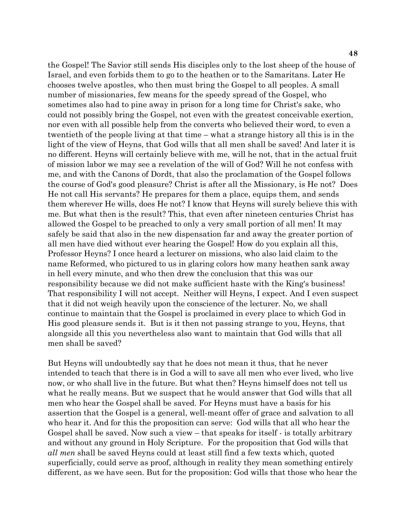the Gospel! The Savior still sends His disciples only to the lost sheep of the house of Israel, and even forbids them to go to the heathen or to the Samaritans. Later He chooses twelve apostles, who then must bring the Gospel to all peoples. A small number of missionaries, few means for the speedy spread of the Gospel, who sometimes also had to pine away in prison for a long time for Christ's sake, who could not possibly bring the Gospel, not even with the greatest conceivable exertion, nor even with all possible help from the converts who believed their word, to even a twentieth of the people living at that time – what a strange history all this is in the light of the view of Heyns, that God wills that all men shall be saved! And later it is no different. Heyns will certainly believe with me, will he not, that in the actual fruit of mission labor we may see a revelation of the will of God? Will he not confess with me, and with the Canons of Dordt, that also the proclamation of the Gospel follows the course of God's good pleasure? Christ is after all the Missionary, is He not? Does He not call His servants? He prepares for them a place, equips them, and sends them wherever He wills, does He not? I know that Heyns will surely believe this with me. But what then is the result? This, that even after nineteen centuries Christ has allowed the Gospel to be preached to only a very small portion of all men! It may safely be said that also in the new dispensation far and away the greater portion of all men have died without ever hearing the Gospel! How do you explain all this, Professor Heyns? I once heard a lecturer on missions, who also laid claim to the name Reformed, who pictured to us in glaring colors how many heathen sank away in hell every minute, and who then drew the conclusion that this was our responsibility because we did not make sufficient haste with the King's business! That responsibility I will not accept. Neither will Heyns, I expect. And I even suspect that it did not weigh heavily upon the conscience of the lecturer. No, we shall continue to maintain that the Gospel is proclaimed in every place to which God in His good pleasure sends it. But is it then not passing strange to you, Heyns, that alongside all this you nevertheless also want to maintain that God wills that all men shall be saved?

But Heyns will undoubtedly say that he does not mean it thus, that he never intended to teach that there is in God a will to save all men who ever lived, who live now, or who shall live in the future. But what then? Heyns himself does not tell us what he really means. But we suspect that he would answer that God wills that all men who hear the Gospel shall be saved. For Heyns must have a basis for his assertion that the Gospel is a general, well-meant offer of grace and salvation to all who hear it. And for this the proposition can serve: God wills that all who hear the Gospel shall be saved. Now such a view – that speaks for itself - is totally arbitrary and without any ground in Holy Scripture. For the proposition that God wills that *all men* shall be saved Heyns could at least still find a few texts which, quoted superficially, could serve as proof, although in reality they mean something entirely different, as we have seen. But for the proposition: God wills that those who hear the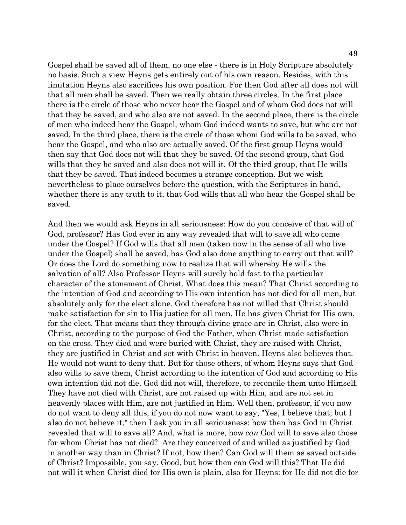Gospel shall be saved all of them, no one else - there is in Holy Scripture absolutely no basis. Such a view Heyns gets entirely out of his own reason. Besides, with this limitation Heyns also sacrifices his own position. For then God after all does not will that all men shall be saved. Then we really obtain three circles. In the first place there is the circle of those who never hear the Gospel and of whom God does not will that they be saved, and who also are not saved. In the second place, there is the circle of men who indeed hear the Gospel, whom God indeed wants to save, but who are not saved. In the third place, there is the circle of those whom God wills to be saved, who hear the Gospel, and who also are actually saved. Of the first group Heyns would then say that God does not will that they be saved. Of the second group, that God wills that they be saved and also does not will it. Of the third group, that He wills that they be saved. That indeed becomes a strange conception. But we wish nevertheless to place ourselves before the question, with the Scriptures in hand, whether there is any truth to it, that God wills that all who hear the Gospel shall be saved.

And then we would ask Heyns in all seriousness: How do you conceive of that will of God, professor? Has God ever in any way revealed that will to save all who come under the Gospel? If God wills that all men (taken now in the sense of all who live under the Gospel) shall be saved, has God also done anything to carry out that will? Or does the Lord do something now to realize that will whereby He wills the salvation of all? Also Professor Heyns will surely hold fast to the particular character of the atonement of Christ. What does this mean? That Christ according to the intention of God and according to His own intention has not died for all men, but absolutely only for the elect alone. God therefore has not willed that Christ should make satisfaction for sin to His justice for all men. He has given Christ for His own, for the elect. That means that they through divine grace are in Christ, also were in Christ, according to the purpose of God the Father, when Christ made satisfaction on the cross. They died and were buried with Christ, they are raised with Christ, they are justified in Christ and set with Christ in heaven. Heyns also believes that. He would not want to deny that. But for those others, of whom Heyns says that God also wills to save them, Christ according to the intention of God and according to His own intention did not die. God did not will, therefore, to reconcile them unto Himself. They have not died with Christ, are not raised up with Him, and are not set in heavenly places with Him, are not justified in Him. Well then, professor, if you now do not want to deny all this, if you do not now want to say, "Yes, I believe that; but I also do not believe it," then I ask you in all seriousness: how then has God in Christ revealed that will to save all? And, what is more, how *can* God will to save also those for whom Christ has not died? Are they conceived of and willed as justified by God in another way than in Christ? If not, how then? Can God will them as saved outside of Christ? Impossible, you say. Good, but how then can God will this? That He did not will it when Christ died for His own is plain, also for Heyns: for He did not die for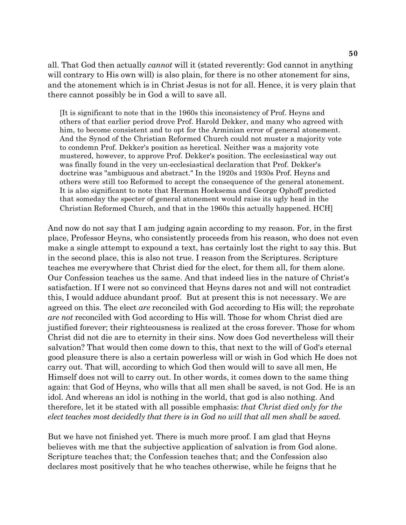all. That God then actually *cannot* will it (stated reverently: God cannot in anything will contrary to His own will) is also plain, for there is no other atonement for sins, and the atonement which is in Christ Jesus is not for all. Hence, it is very plain that there cannot possibly be in God a will to save all.

[It is significant to note that in the 1960s this inconsistency of Prof. Heyns and others of that earlier period drove Prof. Harold Dekker, and many who agreed with him, to become consistent and to opt for the Arminian error of general atonement. And the Synod of the Christian Reformed Church could not muster a majority vote to condemn Prof. Dekker's position as heretical. Neither was a majority vote mustered, however, to approve Prof. Dekker's position. The ecclesiastical way out was finally found in the very un-ecclesiastical declaration that Prof. Dekker's doctrine was "ambiguous and abstract." In the 1920s and 1930s Prof. Heyns and others were still too Reformed to accept the consequence of the general atonement. It is also significant to note that Herman Hoeksema and George Ophoff predicted that someday the specter of general atonement would raise its ugly head in the Christian Reformed Church, and that in the 1960s this actually happened. HCH]

And now do not say that I am judging again according to my reason. For, in the first place, Professor Heyns, who consistently proceeds from his reason, who does not even make a single attempt to expound a text, has certainly lost the right to say this. But in the second place, this is also not true. I reason from the Scriptures. Scripture teaches me everywhere that Christ died for the elect, for them all, for them alone. Our Confession teaches us the same. And that indeed lies in the nature of Christ's satisfaction. If I were not so convinced that Heyns dares not and will not contradict this, I would adduce abundant proof. But at present this is not necessary. We are agreed on this. The elect *are* reconciled with God according to His will; the reprobate *are not* reconciled with God according to His will. Those for whom Christ died are justified forever; their righteousness is realized at the cross forever. Those for whom Christ did not die are to eternity in their sins. Now does God nevertheless will their salvation? That would then come down to this, that next to the will of God's eternal good pleasure there is also a certain powerless will or wish in God which He does not carry out. That will, according to which God then would will to save all men, He Himself does not will to carry out. In other words, it comes down to the same thing again: that God of Heyns, who wills that all men shall be saved, is not God. He is an idol. And whereas an idol is nothing in the world, that god is also nothing. And therefore, let it be stated with all possible emphasis: *that Christ died only for the elect teaches most decidedly that there is in God no will that all men shall be saved.*

But we have not finished yet. There is much more proof. I am glad that Heyns believes with me that the subjective application of salvation is from God alone. Scripture teaches that; the Confession teaches that; and the Confession also declares most positively that he who teaches otherwise, while he feigns that he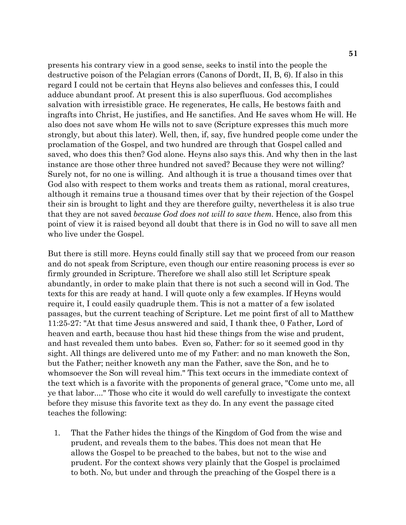presents his contrary view in a good sense, seeks to instil into the people the destructive poison of the Pelagian errors (Canons of Dordt, II, B, 6). If also in this regard I could not be certain that Heyns also believes and confesses this, I could adduce abundant proof. At present this is also superfluous. God accomplishes salvation with irresistible grace. He regenerates, He calls, He bestows faith and ingrafts into Christ, He justifies, and He sanctifies. And He saves whom He will. He also does not save whom He wills not to save (Scripture expresses this much more strongly, but about this later). Well, then, if, say, five hundred people come under the proclamation of the Gospel, and two hundred are through that Gospel called and saved, who does this then? God alone. Heyns also says this. And why then in the last instance are those other three hundred not saved? Because they were not willing? Surely not, for no one is willing. And although it is true a thousand times over that God also with respect to them works and treats them as rational, moral creatures, although it remains true a thousand times over that by their rejection of the Gospel their sin is brought to light and they are therefore guilty, nevertheless it is also true that they are not saved *because God does not will to save them*. Hence, also from this point of view it is raised beyond all doubt that there is in God no will to save all men who live under the Gospel.

But there is still more. Heyns could finally still say that we proceed from our reason and do not speak from Scripture, even though our entire reasoning process is ever so firmly grounded in Scripture. Therefore we shall also still let Scripture speak abundantly, in order to make plain that there is not such a second will in God. The texts for this are ready at hand. I will quote only a few examples. If Heyns would require it, I could easily quadruple them. This is not a matter of a few isolated passages, but the current teaching of Scripture. Let me point first of all to Matthew 11:25-27: "At that time Jesus answered and said, I thank thee, 0 Father, Lord of heaven and earth, because thou hast hid these things from the wise and prudent, and hast revealed them unto babes. Even so, Father: for so it seemed good in thy sight. All things are delivered unto me of my Father: and no man knoweth the Son, but the Father; neither knoweth any man the Father, save the Son, and he to whomsoever the Son will reveal him." This text occurs in the immediate context of the text which is a favorite with the proponents of general grace, "Come unto me, all ye that labor...." Those who cite it would do well carefully to investigate the context before they misuse this favorite text as they do. In any event the passage cited teaches the following:

 1. That the Father hides the things of the Kingdom of God from the wise and prudent, and reveals them to the babes. This does not mean that He allows the Gospel to be preached to the babes, but not to the wise and prudent. For the context shows very plainly that the Gospel is proclaimed to both. No, but under and through the preaching of the Gospel there is a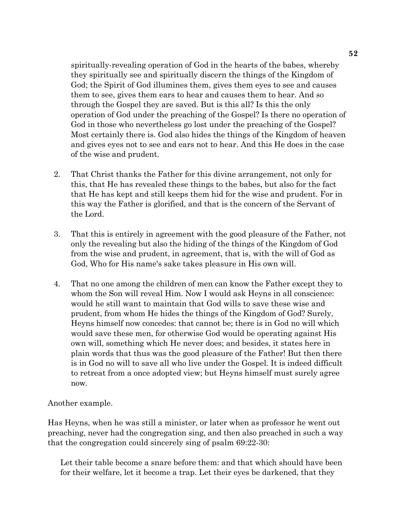spiritually-revealing operation of God in the hearts of the babes, whereby they spiritually see and spiritually discern the things of the Kingdom of God; the Spirit of God illumines them, gives them eyes to see and causes them to see, gives them ears to hear and causes them to hear. And so through the Gospel they are saved. But is this all? Is this the only operation of God under the preaching of the Gospel? Is there no operation of God in those who nevertheless go lost under the preaching of the Gospel? Most certainly there is. God also hides the things of the Kingdom of heaven and gives eyes not to see and ears not to hear. And this He does in the case of the wise and prudent.

- 2. That Christ thanks the Father for this divine arrangement, not only for this, that He has revealed these things to the babes, but also for the fact that He has kept and still keeps them hid for the wise and prudent. For in this way the Father is glorified, and that is the concern of the Servant of the Lord.
- 3. That this is entirely in agreement with the good pleasure of the Father, not only the revealing but also the hiding of the things of the Kingdom of God from the wise and prudent, in agreement, that is, with the will of God as God, Who for His name's sake takes pleasure in His own will.
- 4. That no one among the children of men can know the Father except they to whom the Son will reveal Him. Now I would ask Heyns in all conscience: would he still want to maintain that God wills to save these wise and prudent, from whom He hides the things of the Kingdom of God? Surely, Heyns himself now concedes: that cannot be; there is in God no will which would save these men, for otherwise God would be operating against His own will, something which He never does; and besides, it states here in plain words that thus was the good pleasure of the Father! But then there is in God no will to save all who live under the Gospel. It is indeed difficult to retreat from a once adopted view; but Heyns himself must surely agree now.

### Another example.

Has Heyns, when he was still a minister, or later when as professor he went out preaching, never had the congregation sing, and then also preached in such a way that the congregation could sincerely sing of psalm 69:22-30:

Let their table become a snare before them: and that which should have been for their welfare, let it become a trap. Let their eyes be darkened, that they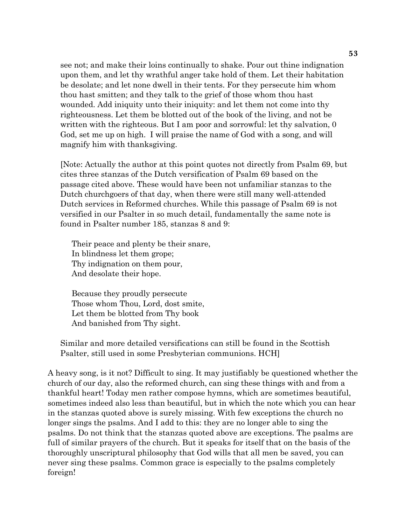see not; and make their loins continually to shake. Pour out thine indignation upon them, and let thy wrathful anger take hold of them. Let their habitation be desolate; and let none dwell in their tents. For they persecute him whom thou hast smitten; and they talk to the grief of those whom thou hast wounded. Add iniquity unto their iniquity: and let them not come into thy righteousness. Let them be blotted out of the book of the living, and not be written with the righteous. But I am poor and sorrowful: let thy salvation, 0 God, set me up on high. I will praise the name of God with a song, and will magnify him with thanksgiving.

[Note: Actually the author at this point quotes not directly from Psalm 69, but cites three stanzas of the Dutch versification of Psalm 69 based on the passage cited above. These would have been not unfamiliar stanzas to the Dutch churchgoers of that day, when there were still many well-attended Dutch services in Reformed churches. While this passage of Psalm 69 is not versified in our Psalter in so much detail, fundamentally the same note is found in Psalter number 185, stanzas 8 and 9:

Their peace and plenty be their snare, In blindness let them grope; Thy indignation on them pour, And desolate their hope.

Because they proudly persecute Those whom Thou, Lord, dost smite, Let them be blotted from Thy book And banished from Thy sight.

Similar and more detailed versifications can still be found in the Scottish Psalter, still used in some Presbyterian communions. HCH]

A heavy song, is it not? Difficult to sing. It may justifiably be questioned whether the church of our day, also the reformed church, can sing these things with and from a thankful heart! Today men rather compose hymns, which are sometimes beautiful, sometimes indeed also less than beautiful, but in which the note which you can hear in the stanzas quoted above is surely missing. With few exceptions the church no longer sings the psalms. And I add to this: they are no longer able to sing the psalms. Do not think that the stanzas quoted above are exceptions. The psalms are full of similar prayers of the church. But it speaks for itself that on the basis of the thoroughly unscriptural philosophy that God wills that all men be saved, you can never sing these psalms. Common grace is especially to the psalms completely foreign!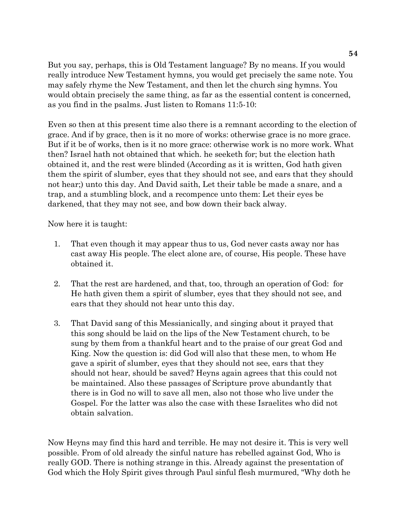But you say, perhaps, this is Old Testament language? By no means. If you would really introduce New Testament hymns, you would get precisely the same note. You may safely rhyme the New Testament, and then let the church sing hymns. You would obtain precisely the same thing, as far as the essential content is concerned, as you find in the psalms. Just listen to Romans 11:5-10:

Even so then at this present time also there is a remnant according to the election of grace. And if by grace, then is it no more of works: otherwise grace is no more grace. But if it be of works, then is it no more grace: otherwise work is no more work. What then? Israel hath not obtained that which. he seeketh for; but the election hath obtained it, and the rest were blinded (According as it is written, God hath given them the spirit of slumber, eyes that they should not see, and ears that they should not hear;) unto this day. And David saith, Let their table be made a snare, and a trap, and a stumbling block, and a recompence unto them: Let their eyes be darkened, that they may not see, and bow down their back alway.

Now here it is taught:

- 1. That even though it may appear thus to us, God never casts away nor has cast away His people. The elect alone are, of course, His people. These have obtained it.
- 2. That the rest are hardened, and that, too, through an operation of God: for He hath given them a spirit of slumber, eyes that they should not see, and ears that they should not hear unto this day.
- 3. That David sang of this Messianically, and singing about it prayed that this song should be laid on the lips of the New Testament church, to be sung by them from a thankful heart and to the praise of our great God and King. Now the question is: did God will also that these men, to whom He gave a spirit of slumber, eyes that they should not see, ears that they should not hear, should be saved? Heyns again agrees that this could not be maintained. Also these passages of Scripture prove abundantly that there is in God no will to save all men, also not those who live under the Gospel. For the latter was also the case with these Israelites who did not obtain salvation.

Now Heyns may find this hard and terrible. He may not desire it. This is very well possible. From of old already the sinful nature has rebelled against God, Who is really GOD. There is nothing strange in this. Already against the presentation of God which the Holy Spirit gives through Paul sinful flesh murmured, "Why doth he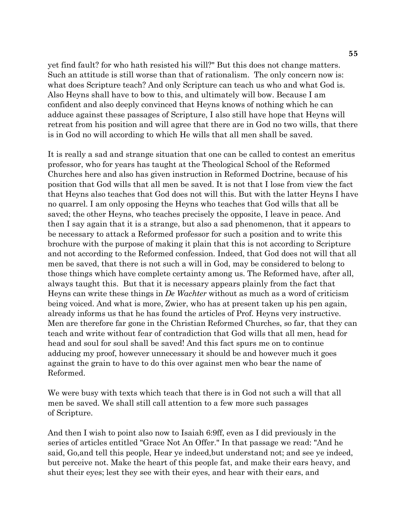yet find fault? for who hath resisted his will?" But this does not change matters. Such an attitude is still worse than that of rationalism. The only concern now is: what does Scripture teach? And only Scripture can teach us who and what God is. Also Heyns shall have to bow to this, and ultimately will bow. Because I am confident and also deeply convinced that Heyns knows of nothing which he can adduce against these passages of Scripture, I also still have hope that Heyns will retreat from his position and will agree that there are in God no two wills, that there is in God no will according to which He wills that all men shall be saved.

It is really a sad and strange situation that one can be called to contest an emeritus professor, who for years has taught at the Theological School of the Reformed Churches here and also has given instruction in Reformed Doctrine, because of his position that God wills that all men be saved. It is not that I lose from view the fact that Heyns also teaches that God does not will this. But with the latter Heyns I have no quarrel. I am only opposing the Heyns who teaches that God wills that all be saved; the other Heyns, who teaches precisely the opposite, I leave in peace. And then I say again that it is a strange, but also a sad phenomenon, that it appears to be necessary to attack a Reformed professor for such a position and to write this brochure with the purpose of making it plain that this is not according to Scripture and not according to the Reformed confession. Indeed, that God does not will that all men be saved, that there is not such a will in God, may be considered to belong to those things which have complete certainty among us. The Reformed have, after all, always taught this. But that it is necessary appears plainly from the fact that Heyns can write these things in *De Wachter* without as much as a word of criticism being voiced. And what is more, Zwier, who has at present taken up his pen again, already informs us that he has found the articles of Prof. Heyns very instructive. Men are therefore far gone in the Christian Reformed Churches, so far, that they can teach and write without fear of contradiction that God wills that all men, head for head and soul for soul shall be saved! And this fact spurs me on to continue adducing my proof, however unnecessary it should be and however much it goes against the grain to have to do this over against men who bear the name of Reformed.

We were busy with texts which teach that there is in God not such a will that all men be saved. We shall still call attention to a few more such passages of Scripture.

And then I wish to point also now to Isaiah 6:9ff, even as I did previously in the series of articles entitled "Grace Not An Offer." In that passage we read: "And he said, Go,and tell this people, Hear ye indeed,but understand not; and see ye indeed, but perceive not. Make the heart of this people fat, and make their ears heavy, and shut their eyes; lest they see with their eyes, and hear with their ears, and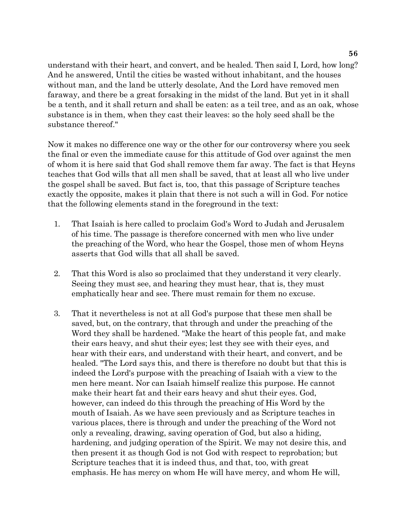understand with their heart, and convert, and be healed. Then said I, Lord, how long? And he answered, Until the cities be wasted without inhabitant, and the houses without man, and the land be utterly desolate, And the Lord have removed men faraway, and there be a great forsaking in the midst of the land. But yet in it shall be a tenth, and it shall return and shall be eaten: as a teil tree, and as an oak, whose substance is in them, when they cast their leaves: so the holy seed shall be the substance thereof."

Now it makes no difference one way or the other for our controversy where you seek the final or even the immediate cause for this attitude of God over against the men of whom it is here said that God shall remove them far away. The fact is that Heyns teaches that God wills that all men shall be saved, that at least all who live under the gospel shall be saved. But fact is, too, that this passage of Scripture teaches exactly the opposite, makes it plain that there is not such a will in God. For notice that the following elements stand in the foreground in the text:

- 1. That Isaiah is here called to proclaim God's Word to Judah and Jerusalem of his time. The passage is therefore concerned with men who live under the preaching of the Word, who hear the Gospel, those men of whom Heyns asserts that God wills that all shall be saved.
- 2. That this Word is also so proclaimed that they understand it very clearly. Seeing they must see, and hearing they must hear, that is, they must emphatically hear and see. There must remain for them no excuse.
- 3. That it nevertheless is not at all God's purpose that these men shall be saved, but, on the contrary, that through and under the preaching of the Word they shall be hardened. "Make the heart of this people fat, and make their ears heavy, and shut their eyes; lest they see with their eyes, and hear with their ears, and understand with their heart, and convert, and be healed. "The Lord says this, and there is therefore no doubt but that this is indeed the Lord's purpose with the preaching of Isaiah with a view to the men here meant. Nor can Isaiah himself realize this purpose. He cannot make their heart fat and their ears heavy and shut their eyes. God, however, can indeed do this through the preaching of His Word by the mouth of Isaiah. As we have seen previously and as Scripture teaches in various places, there is through and under the preaching of the Word not only a revealing, drawing, saving operation of God, but also a hiding, hardening, and judging operation of the Spirit. We may not desire this, and then present it as though God is not God with respect to reprobation; but Scripture teaches that it is indeed thus, and that, too, with great emphasis. He has mercy on whom He will have mercy, and whom He will,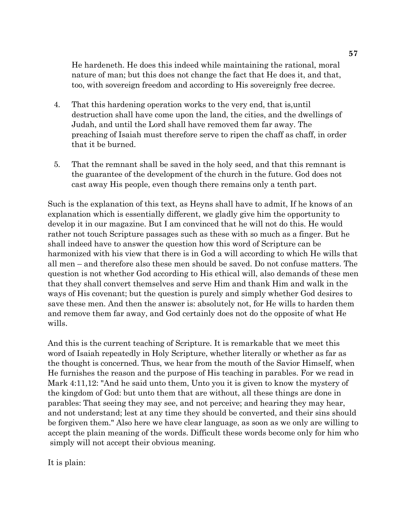He hardeneth. He does this indeed while maintaining the rational, moral nature of man; but this does not change the fact that He does it, and that, too, with sovereign freedom and according to His sovereignly free decree.

- 4. That this hardening operation works to the very end, that is,until destruction shall have come upon the land, the cities, and the dwellings of Judah, and until the Lord shall have removed them far away. The preaching of Isaiah must therefore serve to ripen the chaff as chaff, in order that it be burned.
- 5. That the remnant shall be saved in the holy seed, and that this remnant is the guarantee of the development of the church in the future. God does not cast away His people, even though there remains only a tenth part.

Such is the explanation of this text, as Heyns shall have to admit, If he knows of an explanation which is essentially different, we gladly give him the opportunity to develop it in our magazine. But I am convinced that he will not do this. He would rather not touch Scripture passages such as these with so much as a finger. But he shall indeed have to answer the question how this word of Scripture can be harmonized with his view that there is in God a will according to which He wills that all men – and therefore also these men should be saved. Do not confuse matters. The question is not whether God according to His ethical will, also demands of these men that they shall convert themselves and serve Him and thank Him and walk in the ways of His covenant; but the question is purely and simply whether God desires to save these men. And then the answer is: absolutely not, for He wills to harden them and remove them far away, and God certainly does not do the opposite of what He wills.

And this is the current teaching of Scripture. It is remarkable that we meet this word of Isaiah repeatedly in Holy Scripture, whether literally or whether as far as the thought is concerned. Thus, we hear from the mouth of the Savior Himself, when He furnishes the reason and the purpose of His teaching in parables. For we read in Mark 4:11,12: "And he said unto them, Unto you it is given to know the mystery of the kingdom of God: but unto them that are without, all these things are done in parables: That seeing they may see, and not perceive; and hearing they may hear, and not understand; lest at any time they should be converted, and their sins should be forgiven them." Also here we have clear language, as soon as we only are willing to accept the plain meaning of the words. Difficult these words become only for him who simply will not accept their obvious meaning.

It is plain: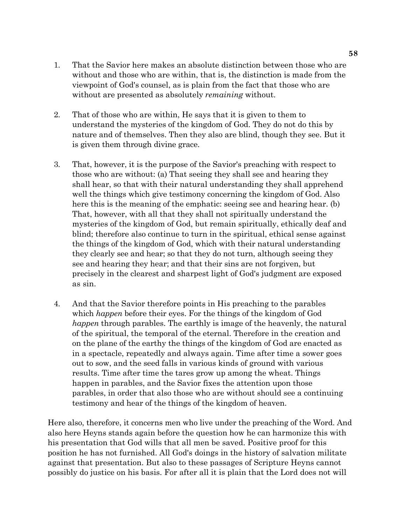- 1. That the Savior here makes an absolute distinction between those who are without and those who are within, that is, the distinction is made from the viewpoint of God's counsel, as is plain from the fact that those who are without are presented as absolutely *remaining* without.
- 2. That of those who are within, He says that it is given to them to understand the mysteries of the kingdom of God. They do not do this by nature and of themselves. Then they also are blind, though they see. But it is given them through divine grace.
- 3. That, however, it is the purpose of the Savior's preaching with respect to those who are without: (a) That seeing they shall see and hearing they shall hear, so that with their natural understanding they shall apprehend well the things which give testimony concerning the kingdom of God. Also here this is the meaning of the emphatic: seeing see and hearing hear. (b) That, however, with all that they shall not spiritually understand the mysteries of the kingdom of God, but remain spiritually, ethically deaf and blind; therefore also continue to turn in the spiritual, ethical sense against the things of the kingdom of God, which with their natural understanding they clearly see and hear; so that they do not turn, although seeing they see and hearing they hear; and that their sins are not forgiven, but precisely in the clearest and sharpest light of God's judgment are exposed as sin.
- 4. And that the Savior therefore points in His preaching to the parables which *happen* before their eyes. For the things of the kingdom of God *happen* through parables. The earthly is image of the heavenly, the natural of the spiritual, the temporal of the eternal. Therefore in the creation and on the plane of the earthy the things of the kingdom of God are enacted as in a spectacle, repeatedly and always again. Time after time a sower goes out to sow, and the seed falls in various kinds of ground with various results. Time after time the tares grow up among the wheat. Things happen in parables, and the Savior fixes the attention upon those parables, in order that also those who are without should see a continuing testimony and hear of the things of the kingdom of heaven.

Here also, therefore, it concerns men who live under the preaching of the Word. And also here Heyns stands again before the question how he can harmonize this with his presentation that God wills that all men be saved. Positive proof for this position he has not furnished. All God's doings in the history of salvation militate against that presentation. But also to these passages of Scripture Heyns cannot possibly do justice on his basis. For after all it is plain that the Lord does not will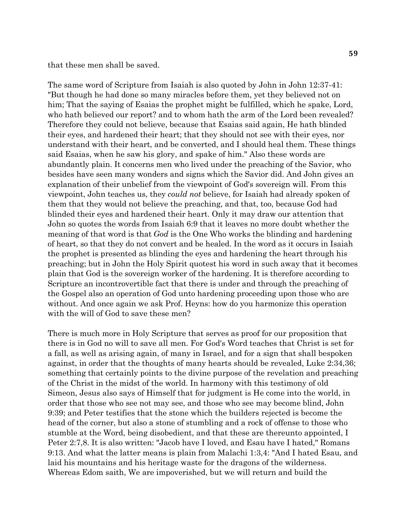that these men shall be saved.

The same word of Scripture from Isaiah is also quoted by John in John 12:37-41: "But though he had done so many miracles before them, yet they believed not on him; That the saying of Esaias the prophet might be fulfilled, which he spake, Lord, who hath believed our report? and to whom hath the arm of the Lord been revealed? Therefore they could not believe, because that Esaias said again, He hath blinded their eyes, and hardened their heart; that they should not see with their eyes, nor understand with their heart, and be converted, and I should heal them. These things said Esaias, when he saw his glory, and spake of him." Also these words are abundantly plain. It concerns men who lived under the preaching of the Savior, who besides have seen many wonders and signs which the Savior did. And John gives an explanation of their unbelief from the viewpoint of God's sovereign will. From this viewpoint, John teaches us, they *could not* believe, for Isaiah had already spoken of them that they would not believe the preaching, and that, too, because God had blinded their eyes and hardened their heart. Only it may draw our attention that John so quotes the words from Isaiah 6:9 that it leaves no more doubt whether the meaning of that word is that *God* is the One Who works the blinding and hardening of heart, so that they do not convert and be healed. In the word as it occurs in Isaiah the prophet is presented as blinding the eyes and hardening the heart through his preaching; but in John the Holy Spirit quotest his word in such away that it becomes plain that God is the sovereign worker of the hardening. It is therefore according to Scripture an incontrovertible fact that there is under and through the preaching of the Gospel also an operation of God unto hardening proceeding upon those who are without. And once again we ask Prof. Heyns: how do you harmonize this operation with the will of God to save these men?

There is much more in Holy Scripture that serves as proof for our proposition that there is in God no will to save all men. For God's Word teaches that Christ is set for a fall, as well as arising again, of many in Israel, and for a sign that shall bespoken against, in order that the thoughts of many hearts should be revealed, Luke 2:34,36; something that certainly points to the divine purpose of the revelation and preaching of the Christ in the midst of the world. In harmony with this testimony of old Simeon, Jesus also says of Himself that for judgment is He come into the world, in order that those who see not may see, and those who see may become blind, John 9:39; and Peter testifies that the stone which the builders rejected is become the head of the corner, but also a stone of stumbling and a rock of offense to those who stumble at the Word, being disobedient, and that these are thereunto appointed, I Peter 2:7,8. It is also written: "Jacob have I loved, and Esau have I hated," Romans 9:13. And what the latter means is plain from Malachi 1:3,4: "And I hated Esau, and laid his mountains and his heritage waste for the dragons of the wilderness. Whereas Edom saith, We are impoverished, but we will return and build the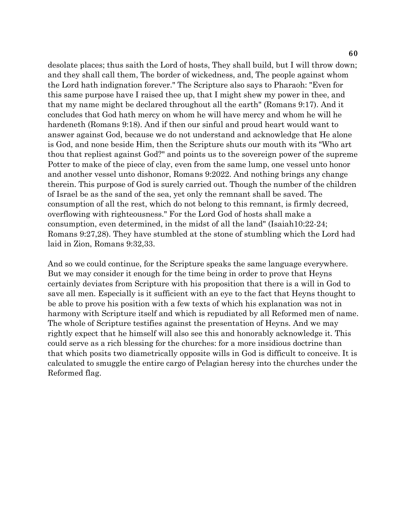desolate places; thus saith the Lord of hosts, They shall build, but I will throw down; and they shall call them, The border of wickedness, and, The people against whom the Lord hath indignation forever." The Scripture also says to Pharaoh: "Even for this same purpose have I raised thee up, that I might shew my power in thee, and that my name might be declared throughout all the earth" (Romans 9:17). And it concludes that God hath mercy on whom he will have mercy and whom he will he hardeneth (Romans 9:18). And if then our sinful and proud heart would want to answer against God, because we do not understand and acknowledge that He alone is God, and none beside Him, then the Scripture shuts our mouth with its "Who art thou that repliest against God?" and points us to the sovereign power of the supreme Potter to make of the piece of clay, even from the same lump, one vessel unto honor and another vessel unto dishonor, Romans 9:2022. And nothing brings any change therein. This purpose of God is surely carried out. Though the number of the children of Israel be as the sand of the sea, yet only the remnant shall be saved. The consumption of all the rest, which do not belong to this remnant, is firmly decreed, overflowing with righteousness." For the Lord God of hosts shall make a consumption, even determined, in the midst of all the land" (Isaiah10:22-24; Romans 9:27,28). They have stumbled at the stone of stumbling which the Lord had laid in Zion, Romans 9:32,33.

And so we could continue, for the Scripture speaks the same language everywhere. But we may consider it enough for the time being in order to prove that Heyns certainly deviates from Scripture with his proposition that there is a will in God to save all men. Especially is it sufficient with an eye to the fact that Heyns thought to be able to prove his position with a few texts of which his explanation was not in harmony with Scripture itself and which is repudiated by all Reformed men of name. The whole of Scripture testifies against the presentation of Heyns. And we may rightly expect that he himself will also see this and honorably acknowledge it. This could serve as a rich blessing for the churches: for a more insidious doctrine than that which posits two diametrically opposite wills in God is difficult to conceive. It is calculated to smuggle the entire cargo of Pelagian heresy into the churches under the Reformed flag.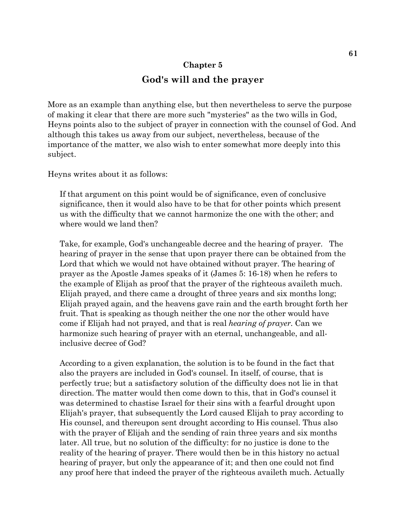# **Chapter 5 God's will and the prayer**

More as an example than anything else, but then nevertheless to serve the purpose of making it clear that there are more such "mysteries" as the two wills in God, Heyns points also to the subject of prayer in connection with the counsel of God. And although this takes us away from our subject, nevertheless, because of the importance of the matter, we also wish to enter somewhat more deeply into this subject.

Heyns writes about it as follows:

If that argument on this point would be of significance, even of conclusive significance, then it would also have to be that for other points which present us with the difficulty that we cannot harmonize the one with the other; and where would we land then?

Take, for example, God's unchangeable decree and the hearing of prayer. The hearing of prayer in the sense that upon prayer there can be obtained from the Lord that which we would not have obtained without prayer. The hearing of prayer as the Apostle James speaks of it (James 5: 16-18) when he refers to the example of Elijah as proof that the prayer of the righteous availeth much. Elijah prayed, and there came a drought of three years and six months long; Elijah prayed again, and the heavens gave rain and the earth brought forth her fruit. That is speaking as though neither the one nor the other would have come if Elijah had not prayed, and that is real *hearing of prayer.* Can we harmonize such hearing of prayer with an eternal, unchangeable, and allinclusive decree of God?

According to a given explanation, the solution is to be found in the fact that also the prayers are included in God's counsel. In itself, of course, that is perfectly true; but a satisfactory solution of the difficulty does not lie in that direction. The matter would then come down to this, that in God's counsel it was determined to chastise Israel for their sins with a fearful drought upon Elijah's prayer, that subsequently the Lord caused Elijah to pray according to His counsel, and thereupon sent drought according to His counsel. Thus also with the prayer of Elijah and the sending of rain three years and six months later. All true, but no solution of the difficulty: for no justice is done to the reality of the hearing of prayer. There would then be in this history no actual hearing of prayer, but only the appearance of it; and then one could not find any proof here that indeed the prayer of the righteous availeth much. Actually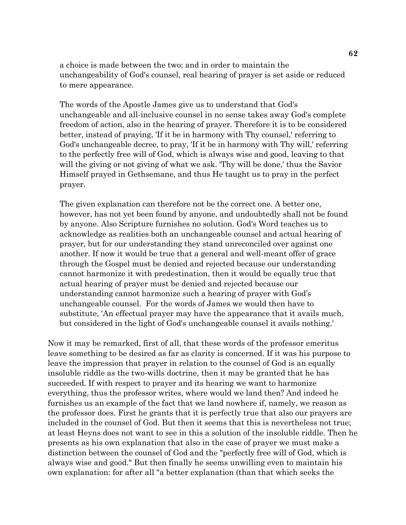a choice is made between the two; and in order to maintain the unchangeability of God's counsel, real hearing of prayer is set aside or reduced to mere appearance.

The words of the Apostle James give us to understand that God's unchangeable and all-inclusive counsel in no sense takes away God's complete freedom of action, also in the hearing of prayer. Therefore it is to be considered better, instead of praying, 'If it be in harmony with Thy counsel,' referring to God's unchangeable decree, to pray, 'If it be in harmony with Thy will,' referring to the perfectly free will of God, which is always wise and good, leaving to that will the giving or not giving of what we ask. Thy will be done,' thus the Savior Himself prayed in Gethsemane, and thus He taught us to pray in the perfect prayer.

The given explanation can therefore not be the correct one. A better one, however, has not yet been found by anyone, and undoubtedly shall not be found by anyone. Also Scripture furnishes no solution. God's Word teaches us to acknowledge as realities both an unchangeable counsel and actual hearing of prayer, but for our understanding they stand unreconciled over against one another. If now it would be true that a general and well-meant offer of grace through the Gospel must be denied and rejected because our understanding cannot harmonize it with predestination, then it would be equally true that actual hearing of prayer must be denied and rejected because our understanding cannot harmonize such a hearing of prayer with God's unchangeable counsel. For the words of James we would then have to substitute, 'An effectual prayer may have the appearance that it avails much, but considered in the light of God's unchangeable counsel it avails nothing.'

Now it may be remarked, first of all, that these words of the professor emeritus leave something to be desired as far as clarity is concerned. If it was his purpose to leave the impression that prayer in relation to the counsel of God is an equally insoluble riddle as the two-wills doctrine, then it may be granted that he has succeeded. If with respect to prayer and its hearing we want to harmonize everything, thus the professor writes, where would we land then? And indeed he furnishes us an example of the fact that we land nowhere if, namely, we reason as the professor does. First he grants that it is perfectly true that also our prayers are included in the counsel of God. But then it seems that this is nevertheless not true; at least Heyns does not want to see in this a solution of the insoluble riddle. Then he presents as his own explanation that also in the case of prayer we must make a distinction between the counsel of God and the "perfectly free will of God, which is always wise and good." But then finally he seems unwilling even to maintain his own explanation: for after all "a better explanation (than that which seeks the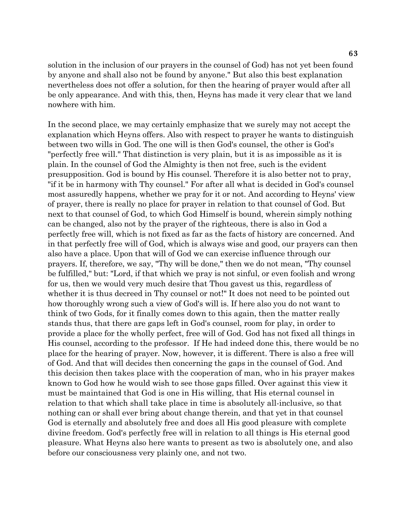solution in the inclusion of our prayers in the counsel of God) has not yet been found by anyone and shall also not be found by anyone." But also this best explanation nevertheless does not offer a solution, for then the hearing of prayer would after all be only appearance. And with this, then, Heyns has made it very clear that we land nowhere with him.

In the second place, we may certainly emphasize that we surely may not accept the explanation which Heyns offers. Also with respect to prayer he wants to distinguish between two wills in God. The one will is then God's counsel, the other is God's "perfectly free will." That distinction is very plain, but it is as impossible as it is plain. In the counsel of God the Almighty is then not free, such is the evident presupposition. God is bound by His counsel. Therefore it is also better not to pray, "if it be in harmony with Thy counsel." For after all what is decided in God's counsel most assuredly happens, whether we pray for it or not. And according to Heyns' view of prayer, there is really no place for prayer in relation to that counsel of God. But next to that counsel of God, to which God Himself is bound, wherein simply nothing can be changed, also not by the prayer of the righteous, there is also in God a perfectly free will, which is not fixed as far as the facts of history are concerned. And in that perfectly free will of God, which is always wise and good, our prayers can then also have a place. Upon that will of God we can exercise influence through our prayers. If, therefore, we say, "Thy will be done," then we do not mean, "Thy counsel be fulfilled," but: "Lord, if that which we pray is not sinful, or even foolish and wrong for us, then we would very much desire that Thou gavest us this, regardless of whether it is thus decreed in Thy counsel or not!" It does not need to be pointed out how thoroughly wrong such a view of God's will is. If here also you do not want to think of two Gods, for it finally comes down to this again, then the matter really stands thus, that there are gaps left in God's counsel, room for play, in order to provide a place for the wholly perfect, free will of God. God has not fixed all things in His counsel, according to the professor. If He had indeed done this, there would be no place for the hearing of prayer. Now, however, it is different. There is also a free will of God. And that will decides then concerning the gaps in the counsel of God. And this decision then takes place with the cooperation of man, who in his prayer makes known to God how he would wish to see those gaps filled. Over against this view it must be maintained that God is one in His willing, that His eternal counsel in relation to that which shall take place in time is absolutely all-inclusive, so that nothing can or shall ever bring about change therein, and that yet in that counsel God is eternally and absolutely free and does all His good pleasure with complete divine freedom. God's perfectly free will in relation to all things is His eternal good pleasure. What Heyns also here wants to present as two is absolutely one, and also before our consciousness very plainly one, and not two.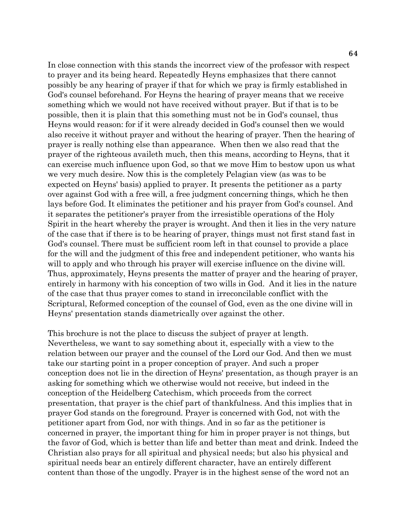In close connection with this stands the incorrect view of the professor with respect to prayer and its being heard. Repeatedly Heyns emphasizes that there cannot possibly be any hearing of prayer if that for which we pray is firmly established in God's counsel beforehand. For Heyns the hearing of prayer means that we receive something which we would not have received without prayer. But if that is to be possible, then it is plain that this something must not be in God's counsel, thus Heyns would reason: for if it were already decided in God's counsel then we would also receive it without prayer and without the hearing of prayer. Then the hearing of prayer is really nothing else than appearance. When then we also read that the prayer of the righteous availeth much, then this means, according to Heyns, that it can exercise much influence upon God, so that we move Him to bestow upon us what we very much desire. Now this is the completely Pelagian view (as was to be expected on Heyns' basis) applied to prayer. It presents the petitioner as a party over against God with a free will, a free judgment concerning things, which he then lays before God. It eliminates the petitioner and his prayer from God's counsel. And it separates the petitioner's prayer from the irresistible operations of the Holy Spirit in the heart whereby the prayer is wrought. And then it lies in the very nature of the case that if there is to be hearing of prayer, things must not first stand fast in God's counsel. There must be sufficient room left in that counsel to provide a place for the will and the judgment of this free and independent petitioner, who wants his will to apply and who through his prayer will exercise influence on the divine will. Thus, approximately, Heyns presents the matter of prayer and the hearing of prayer, entirely in harmony with his conception of two wills in God. And it lies in the nature of the case that thus prayer comes to stand in irreconcilable conflict with the Scriptural, Reformed conception of the counsel of God, even as the one divine will in Heyns' presentation stands diametrically over against the other.

This brochure is not the place to discuss the subject of prayer at length. Nevertheless, we want to say something about it, especially with a view to the relation between our prayer and the counsel of the Lord our God. And then we must take our starting point in a proper conception of prayer. And such a proper conception does not lie in the direction of Heyns' presentation, as though prayer is an asking for something which we otherwise would not receive, but indeed in the conception of the Heidelberg Catechism, which proceeds from the correct presentation, that prayer is the chief part of thankfulness. And this implies that in prayer God stands on the foreground. Prayer is concerned with God, not with the petitioner apart from God, nor with things. And in so far as the petitioner is concerned in prayer, the important thing for him in proper prayer is not things, but the favor of God, which is better than life and better than meat and drink. Indeed the Christian also prays for all spiritual and physical needs; but also his physical and spiritual needs bear an entirely different character, have an entirely different content than those of the ungodly. Prayer is in the highest sense of the word not an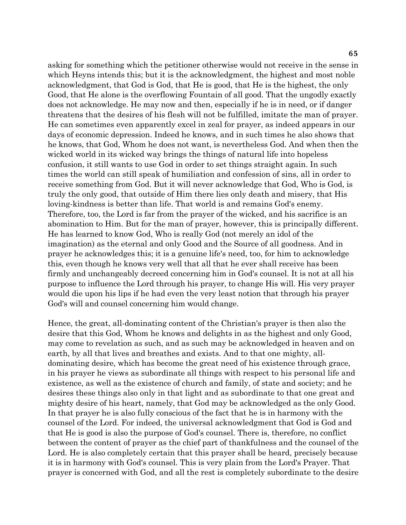asking for something which the petitioner otherwise would not receive in the sense in which Heyns intends this; but it is the acknowledgment, the highest and most noble acknowledgment, that God is God, that He is good, that He is the highest, the only Good, that He alone is the overflowing Fountain of all good. That the ungodly exactly does not acknowledge. He may now and then, especially if he is in need, or if danger threatens that the desires of his flesh will not be fulfilled, imitate the man of prayer. He can sometimes even apparently excel in zeal for prayer, as indeed appears in our days of economic depression. Indeed he knows, and in such times he also shows that he knows, that God, Whom he does not want, is nevertheless God. And when then the wicked world in its wicked way brings the things of natural life into hopeless confusion, it still wants to use God in order to set things straight again. In such times the world can still speak of humiliation and confession of sins, all in order to receive something from God. But it will never acknowledge that God, Who is God, is truly the only good, that outside of Him there lies only death and misery, that His loving-kindness is better than life. That world is and remains God's enemy. Therefore, too, the Lord is far from the prayer of the wicked, and his sacrifice is an abomination to Him. But for the man of prayer, however, this is principally different. He has learned to know God, Who is really God (not merely an idol of the imagination) as the eternal and only Good and the Source of all goodness. And in prayer he acknowledges this; it is a genuine life's need, too, for him to acknowledge this, even though he knows very well that all that he ever shall receive has been firmly and unchangeably decreed concerning him in God's counsel. It is not at all his purpose to influence the Lord through his prayer, to change His will. His very prayer would die upon his lips if he had even the very least notion that through his prayer God's will and counsel concerning him would change.

Hence, the great, all-dominating content of the Christian's prayer is then also the desire that this God, Whom he knows and delights in as the highest and only Good, may come to revelation as such, and as such may be acknowledged in heaven and on earth, by all that lives and breathes and exists. And to that one mighty, alldominating desire, which has become the great need of his existence through grace, in his prayer he views as subordinate all things with respect to his personal life and existence, as well as the existence of church and family, of state and society; and he desires these things also only in that light and as subordinate to that one great and mighty desire of his heart, namely, that God may be acknowledged as the only Good. In that prayer he is also fully conscious of the fact that he is in harmony with the counsel of the Lord. For indeed, the universal acknowledgment that God is God and that He is good is also the purpose of God's counsel. There is, therefore, no conflict between the content of prayer as the chief part of thankfulness and the counsel of the Lord. He is also completely certain that this prayer shall be heard, precisely because it is in harmony with God's counsel. This is very plain from the Lord's Prayer. That prayer is concerned with God, and all the rest is completely subordinate to the desire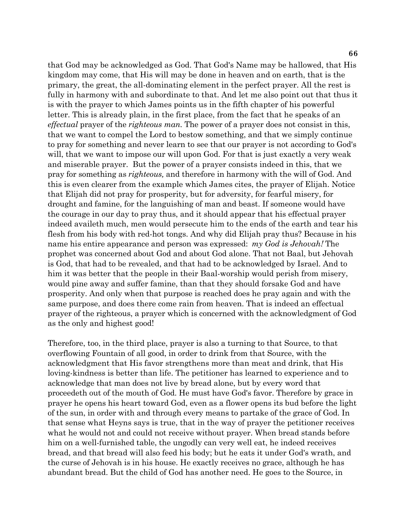**66**

that God may be acknowledged as God. That God's Name may be hallowed, that His kingdom may come, that His will may be done in heaven and on earth, that is the primary, the great, the all-dominating element in the perfect prayer. All the rest is fully in harmony with and subordinate to that. And let me also point out that thus it is with the prayer to which James points us in the fifth chapter of his powerful letter. This is already plain, in the first place, from the fact that he speaks of an *effectual* prayer of the *righteous man.* The power of a prayer does not consist in this, that we want to compel the Lord to bestow something, and that we simply continue to pray for something and never learn to see that our prayer is not according to God's will, that we want to impose our will upon God. For that is just exactly a very weak and miserable prayer. But the power of a prayer consists indeed in this, that we pray for something as *righteous,* and therefore in harmony with the will of God. And this is even clearer from the example which James cites, the prayer of Elijah. Notice that Elijah did not pray for prosperity, but for adversity, for fearful misery, for drought and famine, for the languishing of man and beast. If someone would have the courage in our day to pray thus, and it should appear that his effectual prayer indeed availeth much, men would persecute him to the ends of the earth and tear his flesh from his body with red-hot tongs. And why did Elijah pray thus? Because in his name his entire appearance and person was expressed: *my God is Jehovah!* The prophet was concerned about God and about God alone. That not Baal, but Jehovah is God, that had to be revealed, and that had to be acknowledged by Israel. And to him it was better that the people in their Baal-worship would perish from misery, would pine away and suffer famine, than that they should forsake God and have prosperity. And only when that purpose is reached does he pray again and with the same purpose, and does there come rain from heaven. That is indeed an effectual prayer of the righteous, a prayer which is concerned with the acknowledgment of God as the only and highest good!

Therefore, too, in the third place, prayer is also a turning to that Source, to that overflowing Fountain of all good, in order to drink from that Source, with the acknowledgment that His favor strengthens more than meat and drink, that His loving-kindness is better than life. The petitioner has learned to experience and to acknowledge that man does not live by bread alone, but by every word that proceedeth out of the mouth of God. He must have God's favor. Therefore by grace in prayer he opens his heart toward God, even as a flower opens its bud before the light of the sun, in order with and through every means to partake of the grace of God. In that sense what Heyns says is true, that in the way of prayer the petitioner receives what he would not and could not receive without prayer. When bread stands before him on a well-furnished table, the ungodly can very well eat, he indeed receives bread, and that bread will also feed his body; but he eats it under God's wrath, and the curse of Jehovah is in his house. He exactly receives no grace, although he has abundant bread. But the child of God has another need. He goes to the Source, in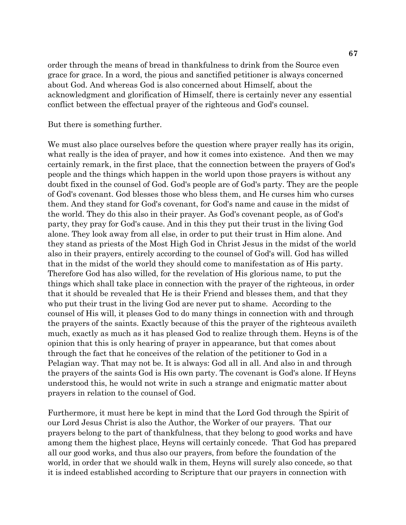order through the means of bread in thankfulness to drink from the Source even grace for grace. In a word, the pious and sanctified petitioner is always concerned about God. And whereas God is also concerned about Himself, about the acknowledgment and glorification of Himself, there is certainly never any essential conflict between the effectual prayer of the righteous and God's counsel.

But there is something further.

We must also place ourselves before the question where prayer really has its origin, what really is the idea of prayer, and how it comes into existence. And then we may certainly remark, in the first place, that the connection between the prayers of God's people and the things which happen in the world upon those prayers is without any doubt fixed in the counsel of God. God's people are of God's party. They are the people of God's covenant. God blesses those who bless them, and He curses him who curses them. And they stand for God's covenant, for God's name and cause in the midst of the world. They do this also in their prayer. As God's covenant people, as of God's party, they pray for God's cause. And in this they put their trust in the living God alone. They look away from all else, in order to put their trust in Him alone. And they stand as priests of the Most High God in Christ Jesus in the midst of the world also in their prayers, entirely according to the counsel of God's will. God has willed that in the midst of the world they should come to manifestation as of His party. Therefore God has also willed, for the revelation of His glorious name, to put the things which shall take place in connection with the prayer of the righteous, in order that it should be revealed that He is their Friend and blesses them, and that they who put their trust in the living God are never put to shame. According to the counsel of His will, it pleases God to do many things in connection with and through the prayers of the saints. Exactly because of this the prayer of the righteous availeth much, exactly as much as it has pleased God to realize through them. Heyns is of the opinion that this is only hearing of prayer in appearance, but that comes about through the fact that he conceives of the relation of the petitioner to God in a Pelagian way. That may not be. It is always: God all in all. And also in and through the prayers of the saints God is His own party. The covenant is God's alone. If Heyns understood this, he would not write in such a strange and enigmatic matter about prayers in relation to the counsel of God.

Furthermore, it must here be kept in mind that the Lord God through the Spirit of our Lord Jesus Christ is also the Author, the Worker of our prayers. That our prayers belong to the part of thankfulness, that they belong to good works and have among them the highest place, Heyns will certainly concede. That God has prepared all our good works, and thus also our prayers, from before the foundation of the world, in order that we should walk in them, Heyns will surely also concede, so that it is indeed established according to Scripture that our prayers in connection with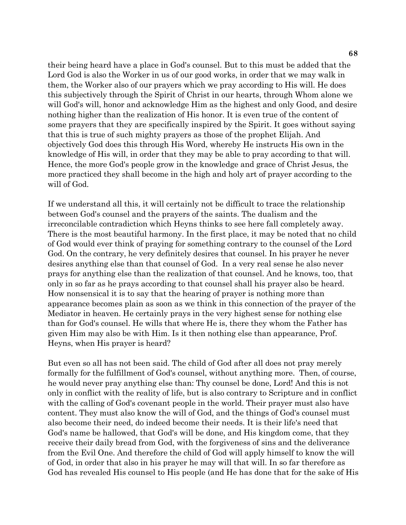their being heard have a place in God's counsel. But to this must be added that the Lord God is also the Worker in us of our good works, in order that we may walk in them, the Worker also of our prayers which we pray according to His will. He does this subjectively through the Spirit of Christ in our hearts, through Whom alone we will God's will, honor and acknowledge Him as the highest and only Good, and desire nothing higher than the realization of His honor. It is even true of the content of some prayers that they are specifically inspired by the Spirit. It goes without saying that this is true of such mighty prayers as those of the prophet Elijah. And objectively God does this through His Word, whereby He instructs His own in the knowledge of His will, in order that they may be able to pray according to that will. Hence, the more God's people grow in the knowledge and grace of Christ Jesus, the more practiced they shall become in the high and holy art of prayer according to the will of God.

If we understand all this, it will certainly not be difficult to trace the relationship between God's counsel and the prayers of the saints. The dualism and the irreconcilable contradiction which Heyns thinks to see here fall completely away. There is the most beautiful harmony. In the first place, it may be noted that no child of God would ever think of praying for something contrary to the counsel of the Lord God. On the contrary, he very definitely desires that counsel. In his prayer he never desires anything else than that counsel of God. In a very real sense he also never prays for anything else than the realization of that counsel. And he knows, too, that only in so far as he prays according to that counsel shall his prayer also be heard. How nonsensical it is to say that the hearing of prayer is nothing more than appearance becomes plain as soon as we think in this connection of the prayer of the Mediator in heaven. He certainly prays in the very highest sense for nothing else than for God's counsel. He wills that where He is, there they whom the Father has given Him may also be with Him. Is it then nothing else than appearance, Prof. Heyns, when His prayer is heard?

But even so all has not been said. The child of God after all does not pray merely formally for the fulfillment of God's counsel, without anything more. Then, of course, he would never pray anything else than: Thy counsel be done, Lord! And this is not only in conflict with the reality of life, but is also contrary to Scripture and in conflict with the calling of God's covenant people in the world. Their prayer must also have content. They must also know the will of God, and the things of God's counsel must also become their need, do indeed become their needs. It is their life's need that God's name be hallowed, that God's will be done, and His kingdom come, that they receive their daily bread from God, with the forgiveness of sins and the deliverance from the Evil One. And therefore the child of God will apply himself to know the will of God, in order that also in his prayer he may will that will. In so far therefore as God has revealed His counsel to His people (and He has done that for the sake of His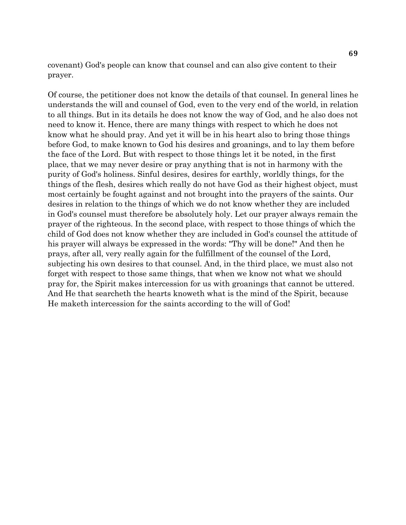covenant) God's people can know that counsel and can also give content to their prayer.

Of course, the petitioner does not know the details of that counsel. In general lines he understands the will and counsel of God, even to the very end of the world, in relation to all things. But in its details he does not know the way of God, and he also does not need to know it. Hence, there are many things with respect to which he does not know what he should pray. And yet it will be in his heart also to bring those things before God, to make known to God his desires and groanings, and to lay them before the face of the Lord. But with respect to those things let it be noted, in the first place, that we may never desire or pray anything that is not in harmony with the purity of God's holiness. Sinful desires, desires for earthly, worldly things, for the things of the flesh, desires which really do not have God as their highest object, must most certainly be fought against and not brought into the prayers of the saints. Our desires in relation to the things of which we do not know whether they are included in God's counsel must therefore be absolutely holy. Let our prayer always remain the prayer of the righteous. In the second place, with respect to those things of which the child of God does not know whether they are included in God's counsel the attitude of his prayer will always be expressed in the words: "Thy will be done!" And then he prays, after all, very really again for the fulfillment of the counsel of the Lord, subjecting his own desires to that counsel. And, in the third place, we must also not forget with respect to those same things, that when we know not what we should pray for, the Spirit makes intercession for us with groanings that cannot be uttered. And He that searcheth the hearts knoweth what is the mind of the Spirit, because He maketh intercession for the saints according to the will of God!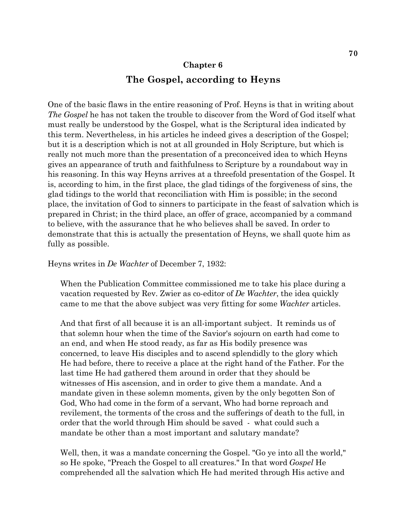## **Chapter 6 The Gospel, according to Heyns**

One of the basic flaws in the entire reasoning of Prof. Heyns is that in writing about *The Gospel* he has not taken the trouble to discover from the Word of God itself what must really be understood by the Gospel, what is the Scriptural idea indicated by this term. Nevertheless, in his articles he indeed gives a description of the Gospel; but it is a description which is not at all grounded in Holy Scripture, but which is really not much more than the presentation of a preconceived idea to which Heyns gives an appearance of truth and faithfulness to Scripture by a roundabout way in his reasoning. In this way Heyns arrives at a threefold presentation of the Gospel. It is, according to him, in the first place, the glad tidings of the forgiveness of sins, the glad tidings to the world that reconciliation with Him is possible; in the second place, the invitation of God to sinners to participate in the feast of salvation which is prepared in Christ; in the third place, an offer of grace, accompanied by a command to believe, with the assurance that he who believes shall be saved. In order to demonstrate that this is actually the presentation of Heyns, we shall quote him as fully as possible.

Heyns writes in *De Wachter* of December 7, 1932:

When the Publication Committee commissioned me to take his place during a vacation requested by Rev. Zwier as co-editor of *De Wachter*, the idea quickly came to me that the above subject was very fitting for some *Wachter* articles.

And that first of all because it is an all-important subject. It reminds us of that solemn hour when the time of the Savior's sojourn on earth had come to an end, and when He stood ready, as far as His bodily presence was concerned, to leave His disciples and to ascend splendidly to the glory which He had before, there to receive a place at the right hand of the Father. For the last time He had gathered them around in order that they should be witnesses of His ascension, and in order to give them a mandate. And a mandate given in these solemn moments, given by the only begotten Son of God, Who had come in the form of a servant, Who had borne reproach and revilement, the torments of the cross and the sufferings of death to the full, in order that the world through Him should be saved - what could such a mandate be other than a most important and salutary mandate?

Well, then, it was a mandate concerning the Gospel. "Go ye into all the world," so He spoke, "Preach the Gospel to all creatures." In that word *Gospel* He comprehended all the salvation which He had merited through His active and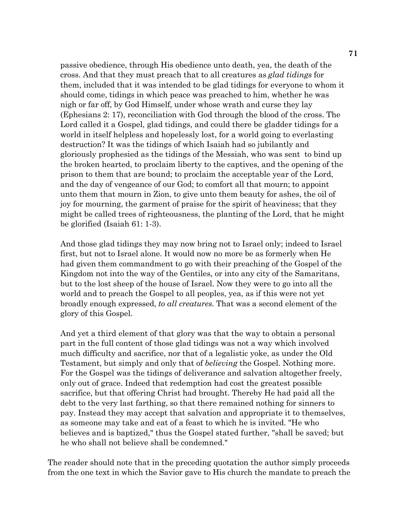passive obedience, through His obedience unto death, yea, the death of the cross. And that they must preach that to all creatures as *glad tidings* for them, included that it was intended to be glad tidings for everyone to whom it should come, tidings in which peace was preached to him, whether he was nigh or far off, by God Himself, under whose wrath and curse they lay (Ephesians 2: 17), reconciliation with God through the blood of the cross. The Lord called it a Gospel, glad tidings, and could there be gladder tidings for a world in itself helpless and hopelessly lost, for a world going to everlasting destruction? It was the tidings of which Isaiah had so jubilantly and gloriously prophesied as the tidings of the Messiah, who was sent to bind up the broken hearted, to proclaim liberty to the captives, and the opening of the prison to them that are bound; to proclaim the acceptable year of the Lord, and the day of vengeance of our God; to comfort all that mourn; to appoint unto them that mourn in Zion, to give unto them beauty for ashes, the oil of joy for mourning, the garment of praise for the spirit of heaviness; that they might be called trees of righteousness, the planting of the Lord, that he might be glorified (Isaiah 61: 1-3).

And those glad tidings they may now bring not to Israel only; indeed to Israel first, but not to Israel alone. It would now no more be as formerly when He had given them commandment to go with their preaching of the Gospel of the Kingdom not into the way of the Gentiles, or into any city of the Samaritans, but to the lost sheep of the house of Israel. Now they were to go into all the world and to preach the Gospel to all peoples, yea, as if this were not yet broadly enough expressed, *to all creatures.* That was a second element of the glory of this Gospel.

And yet a third element of that glory was that the way to obtain a personal part in the full content of those glad tidings was not a way which involved much difficulty and sacrifice, nor that of a legalistic yoke, as under the Old Testament, but simply and only that of *believing* the Gospel. Nothing more. For the Gospel was the tidings of deliverance and salvation altogether freely, only out of grace. Indeed that redemption had cost the greatest possible sacrifice, but that offering Christ had brought. Thereby He had paid all the debt to the very last farthing, so that there remained nothing for sinners to pay. Instead they may accept that salvation and appropriate it to themselves, as someone may take and eat of a feast to which he is invited. "He who believes and is baptized," thus the Gospel stated further, "shall be saved; but he who shall not believe shall be condemned."

The reader should note that in the preceding quotation the author simply proceeds from the one text in which the Savior gave to His church the mandate to preach the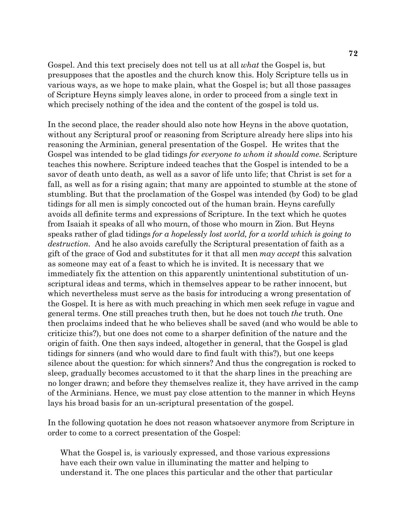Gospel. And this text precisely does not tell us at all *what* the Gospel is, but presupposes that the apostles and the church know this. Holy Scripture tells us in various ways, as we hope to make plain, what the Gospel is; but all those passages of Scripture Heyns simply leaves alone, in order to proceed from a single text in which precisely nothing of the idea and the content of the gospel is told us.

In the second place, the reader should also note how Heyns in the above quotation, without any Scriptural proof or reasoning from Scripture already here slips into his reasoning the Arminian, general presentation of the Gospel. He writes that the Gospel was intended to be glad tidings *for everyone to whom it should come.* Scripture teaches this nowhere. Scripture indeed teaches that the Gospel is intended to be a savor of death unto death, as well as a savor of life unto life; that Christ is set for a fall, as well as for a rising again; that many are appointed to stumble at the stone of stumbling. But that the proclamation of the Gospel was intended (by God) to be glad tidings for all men is simply concocted out of the human brain. Heyns carefully avoids all definite terms and expressions of Scripture. In the text which he quotes from Isaiah it speaks of all who mourn, of those who mourn in Zion. But Heyns speaks rather of glad tidings *for a hopelessly lost world, for a world which is going to destruction.* And he also avoids carefully the Scriptural presentation of faith as a gift of the grace of God and substitutes for it that all men *may accept* this salvation as someone may eat of a feast to which he is invited. It is necessary that we immediately fix the attention on this apparently unintentional substitution of unscriptural ideas and terms, which in themselves appear to be rather innocent, but which nevertheless must serve as the basis for introducing a wrong presentation of the Gospel. It is here as with much preaching in which men seek refuge in vague and general terms. One still preaches truth then, but he does not touch *the* truth. One then proclaims indeed that he who believes shall be saved (and who would be able to criticize this?), but one does not come to a sharper definition of the nature and the origin of faith. One then says indeed, altogether in general, that the Gospel is glad tidings for sinners (and who would dare to find fault with this?), but one keeps silence about the question: for which sinners? And thus the congregation is rocked to sleep, gradually becomes accustomed to it that the sharp lines in the preaching are no longer drawn; and before they themselves realize it, they have arrived in the camp of the Arminians. Hence, we must pay close attention to the manner in which Heyns lays his broad basis for an un-scriptural presentation of the gospel.

In the following quotation he does not reason whatsoever anymore from Scripture in order to come to a correct presentation of the Gospel:

What the Gospel is, is variously expressed, and those various expressions have each their own value in illuminating the matter and helping to understand it. The one places this particular and the other that particular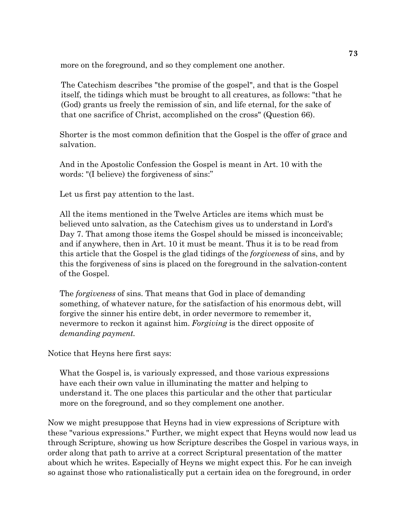more on the foreground, and so they complement one another.

The Catechism describes "the promise of the gospel", and that is the Gospel itself, the tidings which must be brought to all creatures, as follows: "that he (God) grants us freely the remission of sin, and life eternal, for the sake of that one sacrifice of Christ, accomplished on the cross" (Question 66).

Shorter is the most common definition that the Gospel is the offer of grace and salvation.

And in the Apostolic Confession the Gospel is meant in Art. 10 with the words: "(I believe) the forgiveness of sins:"

Let us first pay attention to the last.

All the items mentioned in the Twelve Articles are items which must be believed unto salvation, as the Catechism gives us to understand in Lord's Day 7. That among those items the Gospel should be missed is inconceivable; and if anywhere, then in Art. 10 it must be meant. Thus it is to be read from this article that the Gospel is the glad tidings of the *forgiveness* of sins, and by this the forgiveness of sins is placed on the foreground in the salvation-content of the Gospel.

The *forgiveness* of sins. That means that God in place of demanding something, of whatever nature, for the satisfaction of his enormous debt, will forgive the sinner his entire debt, in order nevermore to remember it, nevermore to reckon it against him. *Forgiving* is the direct opposite of *demanding payment.*

Notice that Heyns here first says:

What the Gospel is, is variously expressed, and those various expressions have each their own value in illuminating the matter and helping to understand it. The one places this particular and the other that particular more on the foreground, and so they complement one another.

Now we might presuppose that Heyns had in view expressions of Scripture with these "various expressions." Further, we might expect that Heyns would now lead us through Scripture, showing us how Scripture describes the Gospel in various ways, in order along that path to arrive at a correct Scriptural presentation of the matter about which he writes. Especially of Heyns we might expect this. For he can inveigh so against those who rationalistically put a certain idea on the foreground, in order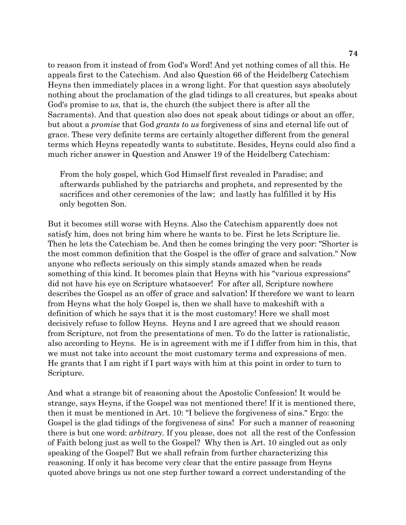to reason from it instead of from God's Word! And yet nothing comes of all this. He appeals first to the Catechism. And also Question 66 of the Heidelberg Catechism Heyns then immediately places in a wrong light. For that question says absolutely nothing about the proclamation of the glad tidings to all creatures, but speaks about God's promise to *us,* that is, the church (the subject there is after all the Sacraments). And that question also does not speak about tidings or about an offer, but about a *promise* that God *grants to us* forgiveness of sins and eternal life out of grace. These very definite terms are certainly altogether different from the general terms which Heyns repeatedly wants to substitute. Besides, Heyns could also find a much richer answer in Question and Answer 19 of the Heidelberg Catechism:

From the holy gospel, which God Himself first revealed in Paradise; and afterwards published by the patriarchs and prophets, and represented by the sacrifices and other ceremonies of the law; and lastly has fulfilled it by His only begotten Son.

But it becomes still worse with Heyns. Also the Catechism apparently does not satisfy him, does not bring him where he wants to be. First he lets Scripture lie. Then he lets the Catechism be. And then he comes bringing the very poor: "Shorter is the most common definition that the Gospel is the offer of grace and salvation." Now anyone who reflects seriously on this simply stands amazed when he reads something of this kind. It becomes plain that Heyns with his "various expressions" did not have his eye on Scripture whatsoever! For after all, Scripture nowhere describes the Gospel as an offer of grace and salvation! If therefore we want to learn from Heyns what the holy Gospel is, then we shall have to makeshift with a definition of which he says that it is the most customary! Here we shall most decisively refuse to follow Heyns. Heyns and I are agreed that we should reason from Scripture, not from the presentations of men. To do the latter is rationalistic, also according to Heyns. He is in agreement with me if I differ from him in this, that we must not take into account the most customary terms and expressions of men. He grants that I am right if I part ways with him at this point in order to turn to Scripture.

And what a strange bit of reasoning about the Apostolic Confession! It would be strange, says Heyns, if the Gospel was not mentioned there! If it is mentioned there, then it must be mentioned in Art. 10: "I believe the forgiveness of sins." Ergo: the Gospel is the glad tidings of the forgiveness of sins! For such a manner of reasoning there is but one word: *arbitrary.* If you please, does not all the rest of the Confession of Faith belong just as well to the Gospel? Why then is Art. 10 singled out as only speaking of the Gospel? But we shall refrain from further characterizing this reasoning. If only it has become very clear that the entire passage from Heyns quoted above brings us not one step further toward a correct understanding of the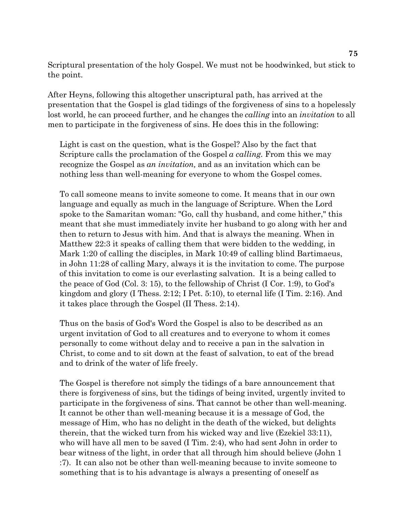Scriptural presentation of the holy Gospel. We must not be hoodwinked, but stick to the point.

After Heyns, following this altogether unscriptural path, has arrived at the presentation that the Gospel is glad tidings of the forgiveness of sins to a hopelessly lost world, he can proceed further, and he changes the *calling* into an *invitation* to all men to participate in the forgiveness of sins. He does this in the following:

Light is cast on the question, what is the Gospel? Also by the fact that Scripture calls the proclamation of the Gospel *a calling.* From this we may recognize the Gospel as *an invitation,* and as an invitation which can be nothing less than well-meaning for everyone to whom the Gospel comes.

To call someone means to invite someone to come. It means that in our own language and equally as much in the language of Scripture. When the Lord spoke to the Samaritan woman: "Go, call thy husband, and come hither," this meant that she must immediately invite her husband to go along with her and then to return to Jesus with him. And that is always the meaning. When in Matthew 22:3 it speaks of calling them that were bidden to the wedding, in Mark 1:20 of calling the disciples, in Mark 10:49 of calling blind Bartimaeus, in John 11:28 of calling Mary, always it is the invitation to come. The purpose of this invitation to come is our everlasting salvation. It is a being called to the peace of God (Col. 3: 15), to the fellowship of Christ (I Cor. 1:9), to God's kingdom and glory (I Thess. 2:12; I Pet. 5:10), to eternal life (I Tim. 2:16). And it takes place through the Gospel (II Thess. 2:14).

Thus on the basis of God's Word the Gospel is also to be described as an urgent invitation of God to all creatures and to everyone to whom it comes personally to come without delay and to receive a pan in the salvation in Christ, to come and to sit down at the feast of salvation, to eat of the bread and to drink of the water of life freely.

The Gospel is therefore not simply the tidings of a bare announcement that there is forgiveness of sins, but the tidings of being invited, urgently invited to participate in the forgiveness of sins. That cannot be other than well-meaning. It cannot be other than well-meaning because it is a message of God, the message of Him, who has no delight in the death of the wicked, but delights therein, that the wicked turn from his wicked way and live (Ezekiel 33:11), who will have all men to be saved (I Tim. 2:4), who had sent John in order to bear witness of the light, in order that all through him should believe (John 1 :7). It can also not be other than well-meaning because to invite someone to something that is to his advantage is always a presenting of oneself as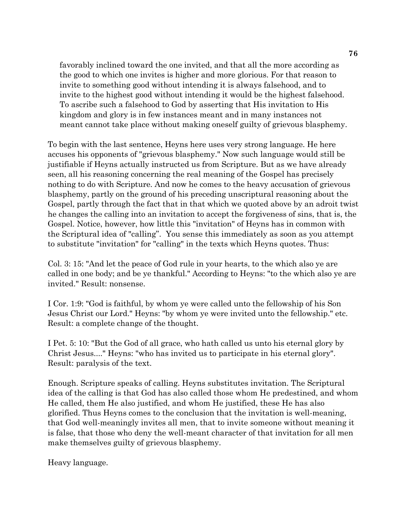favorably inclined toward the one invited, and that all the more according as the good to which one invites is higher and more glorious. For that reason to invite to something good without intending it is always falsehood, and to invite to the highest good without intending it would be the highest falsehood. To ascribe such a falsehood to God by asserting that His invitation to His kingdom and glory is in few instances meant and in many instances not meant cannot take place without making oneself guilty of grievous blasphemy.

To begin with the last sentence, Heyns here uses very strong language. He here accuses his opponents of "grievous blasphemy." Now such language would still be justifiable if Heyns actually instructed us from Scripture. But as we have already seen, all his reasoning concerning the real meaning of the Gospel has precisely nothing to do with Scripture. And now he comes to the heavy accusation of grievous blasphemy, partly on the ground of his preceding unscriptural reasoning about the Gospel, partly through the fact that in that which we quoted above by an adroit twist he changes the calling into an invitation to accept the forgiveness of sins, that is, the Gospel. Notice, however, how little this "invitation" of Heyns has in common with the Scriptural idea of "calling". You sense this immediately as soon as you attempt to substitute "invitation" for "calling" in the texts which Heyns quotes. Thus:

Col. 3: 15: "And let the peace of God rule in your hearts, to the which also ye are called in one body; and be ye thankful." According to Heyns: "to the which also ye are invited." Result: nonsense.

I Cor. 1:9: "God is faithful, by whom ye were called unto the fellowship of his Son Jesus Christ our Lord." Heyns: "by whom ye were invited unto the fellowship." etc. Result: a complete change of the thought.

I Pet. 5: 10: "But the God of all grace, who hath called us unto his eternal glory by Christ Jesus...." Heyns: "who has invited us to participate in his eternal glory". Result: paralysis of the text.

Enough. Scripture speaks of calling. Heyns substitutes invitation. The Scriptural idea of the calling is that God has also called those whom He predestined, and whom He called, them He also justified, and whom He justified, these He has also glorified. Thus Heyns comes to the conclusion that the invitation is well-meaning, that God well-meaningly invites all men, that to invite someone without meaning it is false, that those who deny the well-meant character of that invitation for all men make themselves guilty of grievous blasphemy.

Heavy language.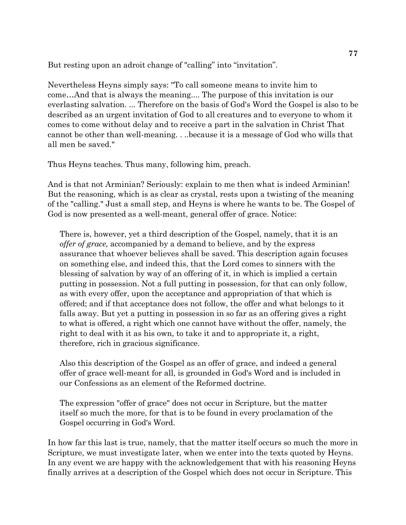But resting upon an adroit change of "calling" into "invitation".

Nevertheless Heyns simply says: "To call someone means to invite him to come…And that is always the meaning.... The purpose of this invitation is our everlasting salvation. ... Therefore on the basis of God's Word the Gospel is also to be described as an urgent invitation of God to all creatures and to everyone to whom it comes to come without delay and to receive a part in the salvation in Christ That cannot be other than well-meaning. . ..because it is a message of God who wills that all men be saved."

Thus Heyns teaches. Thus many, following him, preach.

And is that not Arminian? Seriously: explain to me then what is indeed Arminian! But the reasoning, which is as clear as crystal, rests upon a twisting of the meaning of the "calling." Just a small step, and Heyns is where he wants to be. The Gospel of God is now presented as a well-meant, general offer of grace. Notice:

There is, however, yet a third description of the Gospel, namely, that it is an *offer of grace,* accompanied by a demand to believe, and by the express assurance that whoever believes shall be saved. This description again focuses on something else, and indeed this, that the Lord comes to sinners with the blessing of salvation by way of an offering of it, in which is implied a certain putting in possession. Not a full putting in possession, for that can only follow, as with every offer, upon the acceptance and appropriation of that which is offered; and if that acceptance does not follow, the offer and what belongs to it falls away. But yet a putting in possession in so far as an offering gives a right to what is offered, a right which one cannot have without the offer, namely, the right to deal with it as his own, to take it and to appropriate it, a right, therefore, rich in gracious significance.

Also this description of the Gospel as an offer of grace, and indeed a general offer of grace well-meant for all, is grounded in God's Word and is included in our Confessions as an element of the Reformed doctrine.

The expression "offer of grace" does not occur in Scripture, but the matter itself so much the more, for that is to be found in every proclamation of the Gospel occurring in God's Word.

In how far this last is true, namely, that the matter itself occurs so much the more in Scripture, we must investigate later, when we enter into the texts quoted by Heyns. In any event we are happy with the acknowledgement that with his reasoning Heyns finally arrives at a description of the Gospel which does not occur in Scripture. This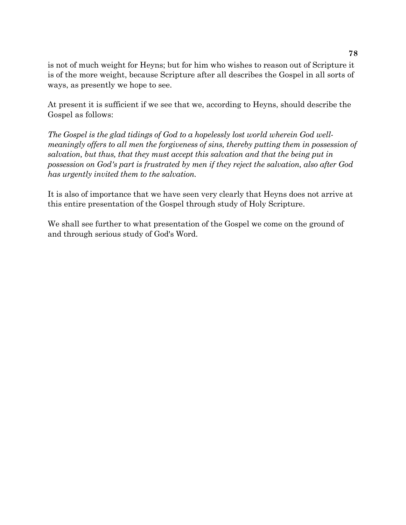is not of much weight for Heyns; but for him who wishes to reason out of Scripture it is of the more weight, because Scripture after all describes the Gospel in all sorts of ways, as presently we hope to see.

At present it is sufficient if we see that we, according to Heyns, should describe the Gospel as follows:

*The Gospel is the glad tidings of God to a hopelessly lost world wherein God wellmeaningly offers to all men the forgiveness of sins, thereby putting them in possession of salvation, but thus, that they must accept this salvation and that the being put in possession on God's part is frustrated by men if they reject the salvation, also after God has urgently invited them to the salvation.*

It is also of importance that we have seen very clearly that Heyns does not arrive at this entire presentation of the Gospel through study of Holy Scripture.

We shall see further to what presentation of the Gospel we come on the ground of and through serious study of God's Word.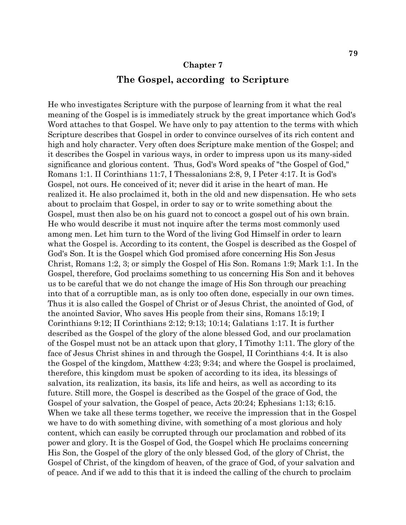#### **Chapter 7**

### **The Gospel, according to Scripture**

He who investigates Scripture with the purpose of learning from it what the real meaning of the Gospel is is immediately struck by the great importance which God's Word attaches to that Gospel. We have only to pay attention to the terms with which Scripture describes that Gospel in order to convince ourselves of its rich content and high and holy character. Very often does Scripture make mention of the Gospel; and it describes the Gospel in various ways, in order to impress upon us its many-sided significance and glorious content. Thus, God's Word speaks of "the Gospel of God," Romans 1:1. II Corinthians 11:7, I Thessalonians 2:8, 9, I Peter 4:17. It is God's Gospel, not ours. He conceived of it; never did it arise in the heart of man. He realized it. He also proclaimed it, both in the old and new dispensation. He who sets about to proclaim that Gospel, in order to say or to write something about the Gospel, must then also be on his guard not to concoct a gospel out of his own brain. He who would describe it must not inquire after the terms most commonly used among men. Let him turn to the Word of the living God Himself in order to learn what the Gospel is. According to its content, the Gospel is described as the Gospel of God's Son. It is the Gospel which God promised afore concerning His Son Jesus Christ, Romans 1:2, 3; or simply the Gospel of His Son. Romans 1:9; Mark 1:1. In the Gospel, therefore, God proclaims something to us concerning His Son and it behoves us to be careful that we do not change the image of His Son through our preaching into that of a corruptible man, as is only too often done, especially in our own times. Thus it is also called the Gospel of Christ or of Jesus Christ, the anointed of God, of the anointed Savior, Who saves His people from their sins, Romans 15:19; I Corinthians 9:12; II Corinthians 2:12; 9:13; 10:14; Galatians 1:17. It is further described as the Gospel of the glory of the alone blessed God, and our proclamation of the Gospel must not be an attack upon that glory, I Timothy 1:11. The glory of the face of Jesus Christ shines in and through the Gospel, II Corinthians 4:4. It is also the Gospel of the kingdom, Matthew 4:23; 9:34; and where the Gospel is proclaimed, therefore, this kingdom must be spoken of according to its idea, its blessings of salvation, its realization, its basis, its life and heirs, as well as according to its future. Still more, the Gospel is described as the Gospel of the grace of God, the Gospel of your salvation, the Gospel of peace, Acts 20:24; Ephesians 1:13; 6:15. When we take all these terms together, we receive the impression that in the Gospel we have to do with something divine, with something of a most glorious and holy content, which can easily be corrupted through our proclamation and robbed of its power and glory. It is the Gospel of God, the Gospel which He proclaims concerning His Son, the Gospel of the glory of the only blessed God, of the glory of Christ, the Gospel of Christ, of the kingdom of heaven, of the grace of God, of your salvation and of peace. And if we add to this that it is indeed the calling of the church to proclaim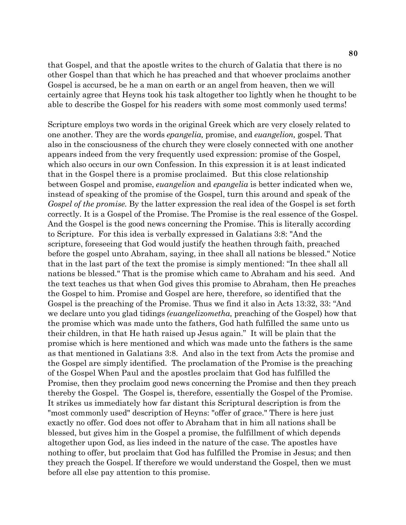that Gospel, and that the apostle writes to the church of Galatia that there is no other Gospel than that which he has preached and that whoever proclaims another Gospel is accursed, be he a man on earth or an angel from heaven, then we will certainly agree that Heyns took his task altogether too lightly when he thought to be able to describe the Gospel for his readers with some most commonly used terms!

Scripture employs two words in the original Greek which are very closely related to one another. They are the words *epangelia,* promise, and *euangelion,* gospel. That also in the consciousness of the church they were closely connected with one another appears indeed from the very frequently used expression: promise of the Gospel, which also occurs in our own Confession. In this expression it is at least indicated that in the Gospel there is a promise proclaimed. But this close relationship between Gospel and promise, *euangelion* and *epangelia* is better indicated when we, instead of speaking of the promise of the Gospel, turn this around and speak of the *Gospel of the promise.* By the latter expression the real idea of the Gospel is set forth correctly. It is a Gospel of the Promise. The Promise is the real essence of the Gospel. And the Gospel is the good news concerning the Promise. This is literally according to Scripture. For this idea is verbally expressed in Galatians 3:8: "And the scripture, foreseeing that God would justify the heathen through faith, preached before the gospel unto Abraham, saying, in thee shall all nations be blessed." Notice that in the last part of the text the promise is simply mentioned: "In thee shall all nations be blessed." That is the promise which came to Abraham and his seed. And the text teaches us that when God gives this promise to Abraham, then He preaches the Gospel to him. Promise and Gospel are here, therefore, so identified that the Gospel is the preaching of the Promise. Thus we find it also in Acts 13:32, 33: "And we declare unto you glad tidings *(euangelizometha,* preaching of the Gospel) how that the promise which was made unto the fathers, God hath fulfilled the same unto us their children, in that He hath raised up Jesus again." It will be plain that the promise which is here mentioned and which was made unto the fathers is the same as that mentioned in Galatians 3:8. And also in the text from Acts the promise and the Gospel are simply identified. The proclamation of the Promise is the preaching of the Gospel When Paul and the apostles proclaim that God has fulfilled the Promise, then they proclaim good news concerning the Promise and then they preach thereby the Gospel. The Gospel is, therefore, essentially the Gospel of the Promise. It strikes us immediately how far distant this Scriptural description is from the "most commonly used" description of Heyns: "offer of grace." There is here just exactly no offer. God does not offer to Abraham that in him all nations shall be blessed, but gives him in the Gospel a promise, the fulfillment of which depends altogether upon God, as lies indeed in the nature of the case. The apostles have nothing to offer, but proclaim that God has fulfilled the Promise in Jesus; and then they preach the Gospel. If therefore we would understand the Gospel, then we must before all else pay attention to this promise.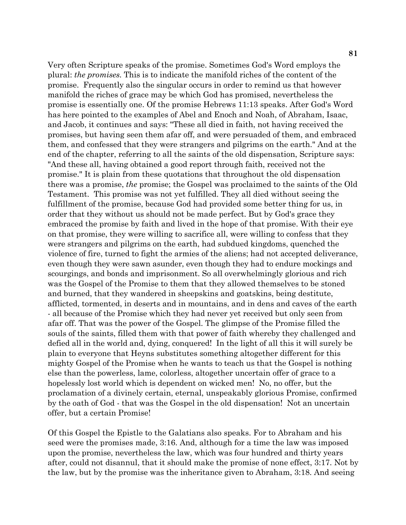Very often Scripture speaks of the promise. Sometimes God's Word employs the plural: *the promises.* This is to indicate the manifold riches of the content of the promise. Frequently also the singular occurs in order to remind us that however manifold the riches of grace may be which God has promised, nevertheless the promise is essentially one. Of the promise Hebrews 11:13 speaks. After God's Word has here pointed to the examples of Abel and Enoch and Noah, of Abraham, Isaac, and Jacob, it continues and says: "These all died in faith, not having received the promises, but having seen them afar off, and were persuaded of them, and embraced them, and confessed that they were strangers and pilgrims on the earth." And at the end of the chapter, referring to all the saints of the old dispensation, Scripture says: "And these all, having obtained a good report through faith, received not the promise." It is plain from these quotations that throughout the old dispensation there was a promise, *the* promise; the Gospel was proclaimed to the saints of the Old Testament. This promise was not yet fulfilled. They all died without seeing the fulfillment of the promise, because God had provided some better thing for us, in order that they without us should not be made perfect. But by God's grace they embraced the promise by faith and lived in the hope of that promise. With their eye on that promise, they were willing to sacrifice all, were willing to confess that they were strangers and pilgrims on the earth, had subdued kingdoms, quenched the violence of fire, turned to fight the armies of the aliens; had not accepted deliverance, even though they were sawn asunder, even though they had to endure mockings and scourgings, and bonds and imprisonment. So all overwhelmingly glorious and rich was the Gospel of the Promise to them that they allowed themselves to be stoned and burned, that they wandered in sheepskins and goatskins, being destitute, afflicted, tormented, in deserts and in mountains, and in dens and caves of the earth - all because of the Promise which they had never yet received but only seen from afar off. That was the power of the Gospel. The glimpse of the Promise filled the souls of the saints, filled them with that power of faith whereby they challenged and defied all in the world and, dying, conquered! In the light of all this it will surely be plain to everyone that Heyns substitutes something altogether different for this mighty Gospel of the Promise when he wants to teach us that the Gospel is nothing else than the powerless, lame, colorless, altogether uncertain offer of grace to a hopelessly lost world which is dependent on wicked men! No, no offer, but the proclamation of a divinely certain, eternal, unspeakably glorious Promise, confirmed by the oath of God - that was the Gospel in the old dispensation! Not an uncertain offer, but a certain Promise!

Of this Gospel the Epistle to the Galatians also speaks. For to Abraham and his seed were the promises made, 3:16. And, although for a time the law was imposed upon the promise, nevertheless the law, which was four hundred and thirty years after, could not disannul, that it should make the promise of none effect, 3:17. Not by the law, but by the promise was the inheritance given to Abraham, 3:18. And seeing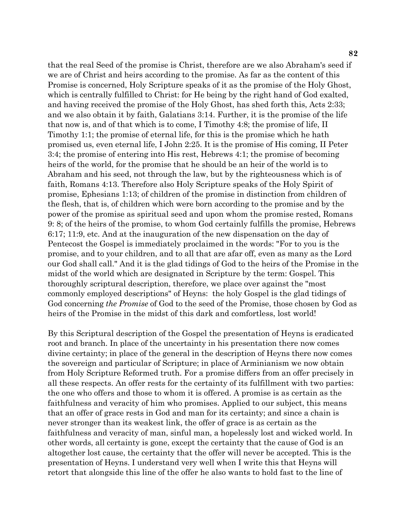that the real Seed of the promise is Christ, therefore are we also Abraham's seed if we are of Christ and heirs according to the promise. As far as the content of this Promise is concerned, Holy Scripture speaks of it as the promise of the Holy Ghost, which is centrally fulfilled to Christ: for He being by the right hand of God exalted, and having received the promise of the Holy Ghost, has shed forth this, Acts 2:33; and we also obtain it by faith, Galatians 3:14. Further, it is the promise of the life that now is, and of that which is to come, I Timothy 4:8; the promise of life, II Timothy 1:1; the promise of eternal life, for this is the promise which he hath promised us, even eternal life, I John 2:25. It is the promise of His coming, II Peter 3:4; the promise of entering into His rest, Hebrews 4:1; the promise of becoming heirs of the world, for the promise that he should be an heir of the world is to Abraham and his seed, not through the law, but by the righteousness which is of faith, Romans 4:13. Therefore also Holy Scripture speaks of the Holy Spirit of promise, Ephesians 1:13; of children of the promise in distinction from children of the flesh, that is, of children which were born according to the promise and by the power of the promise as spiritual seed and upon whom the promise rested, Romans 9: 8; of the heirs of the promise, to whom God certainly fulfills the promise, Hebrews 6:17; 11:9, etc. And at the inauguration of the new dispensation on the day of Pentecost the Gospel is immediately proclaimed in the words: "For to you is the promise, and to your children, and to all that are afar off, even as many as the Lord our God shall call." And it is the glad tidings of God to the heirs of the Promise in the midst of the world which are designated in Scripture by the term: Gospel. This thoroughly scriptural description, therefore, we place over against the "most commonly employed descriptions" of Heyns: the holy Gospel is the glad tidings of God concerning *the Promise* of God to the seed of the Promise, those chosen by God as heirs of the Promise in the midst of this dark and comfortless, lost world!

By this Scriptural description of the Gospel the presentation of Heyns is eradicated root and branch. In place of the uncertainty in his presentation there now comes divine certainty; in place of the general in the description of Heyns there now comes the sovereign and particular of Scripture; in place of Arminianism we now obtain from Holy Scripture Reformed truth. For a promise differs from an offer precisely in all these respects. An offer rests for the certainty of its fulfillment with two parties: the one who offers and those to whom it is offered. A promise is as certain as the faithfulness and veracity of him who promises. Applied to our subject, this means that an offer of grace rests in God and man for its certainty; and since a chain is never stronger than its weakest link, the offer of grace is as certain as the faithfulness and veracity of man, sinful man, a hopelessly lost and wicked world. In other words, all certainty is gone, except the certainty that the cause of God is an altogether lost cause, the certainty that the offer will never be accepted. This is the presentation of Heyns. I understand very well when I write this that Heyns will retort that alongside this line of the offer he also wants to hold fast to the line of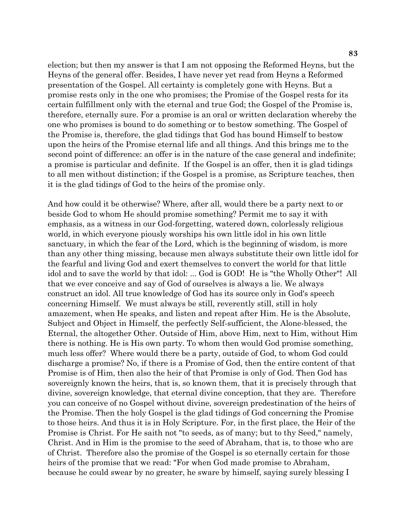election; but then my answer is that I am not opposing the Reformed Heyns, but the Heyns of the general offer. Besides, I have never yet read from Heyns a Reformed presentation of the Gospel. All certainty is completely gone with Heyns. But a promise rests only in the one who promises; the Promise of the Gospel rests for its certain fulfillment only with the eternal and true God; the Gospel of the Promise is, therefore, eternally sure. For a promise is an oral or written declaration whereby the one who promises is bound to do something or to bestow something. The Gospel of the Promise is, therefore, the glad tidings that God has bound Himself to bestow upon the heirs of the Promise eternal life and all things. And this brings me to the second point of difference: an offer is in the nature of the case general and indefinite; a promise is particular and definite. If the Gospel is an offer, then it is glad tidings to all men without distinction; if the Gospel is a promise, as Scripture teaches, then it is the glad tidings of God to the heirs of the promise only.

And how could it be otherwise? Where, after all, would there be a party next to or beside God to whom He should promise something? Permit me to say it with emphasis, as a witness in our God-forgetting, watered down, colorlessly religious world, in which everyone piously worships his own little idol in his own little sanctuary, in which the fear of the Lord, which is the beginning of wisdom, is more than any other thing missing, because men always substitute their own little idol for the fearful and living God and exert themselves to convert the world for that little idol and to save the world by that idol: ... God is GOD! He is "the Wholly Other"! All that we ever conceive and say of God of ourselves is always a lie. We always construct an idol. All true knowledge of God has its source only in God's speech concerning Himself. We must always be still, reverently still, still in holy amazement, when He speaks, and listen and repeat after Him. He is the Absolute, Subject and Object in Himself, the perfectly Self-sufficient, the Alone-blessed, the Eternal, the altogether Other. Outside of Him, above Him, next to Him, without Him there is nothing. He is His own party. To whom then would God promise something, much less offer? Where would there be a party, outside of God, to whom God could discharge a promise? No, if there is a Promise of God, then the entire content of that Promise is of Him, then also the heir of that Promise is only of God. Then God has sovereignly known the heirs, that is, so known them, that it is precisely through that divine, sovereign knowledge, that eternal divine conception, that they are. Therefore you can conceive of no Gospel without divine, sovereign predestination of the heirs of the Promise. Then the holy Gospel is the glad tidings of God concerning the Promise to those heirs. And thus it is in Holy Scripture. For, in the first place, the Heir of the Promise is Christ. For He saith not "to seeds, as of many; but to thy Seed," namely, Christ. And in Him is the promise to the seed of Abraham, that is, to those who are of Christ. Therefore also the promise of the Gospel is so eternally certain for those heirs of the promise that we read: "For when God made promise to Abraham, because he could swear by no greater, he sware by himself, saying surely blessing I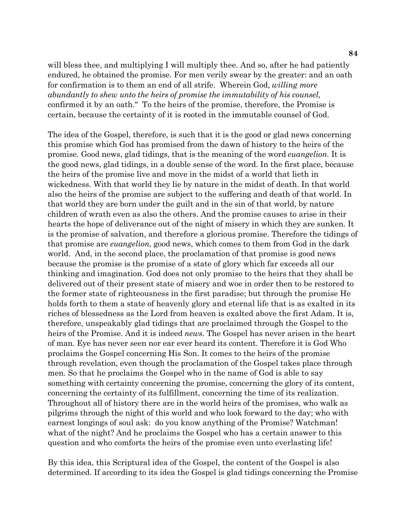will bless thee, and multiplying I will multiply thee. And so, after he had patiently endured, he obtained the promise. For men verily swear by the greater: and an oath for confirmation is to them an end of all strife. Wherein God, *willing more abundantly to shew unto the heirs of promise the immutability of his counsel,*  confirmed it by an oath." To the heirs of the promise, therefore, the Promise is certain, because the certainty of it is rooted in the immutable counsel of God.

The idea of the Gospel, therefore, is such that it is the good or glad news concerning this promise which God has promised from the dawn of history to the heirs of the promise. Good news, glad tidings, that is the meaning of the word *euangelion.* It is the good news, glad tidings, in a double sense of the word. In the first place, because the heirs of the promise live and move in the midst of a world that lieth in wickedness. With that world they lie by nature in the midst of death. In that world also the heirs of the promise are subject to the suffering and death of that world. In that world they are born under the guilt and in the sin of that world, by nature children of wrath even as also the others. And the promise causes to arise in their hearts the hope of deliverance out of the night of misery in which they are sunken. It is the promise of salvation, and therefore a glorious promise. Therefore the tidings of that promise are *euangelion,* good news, which comes to them from God in the dark world. And, in the second place, the proclamation of that promise is good news because the promise is the promise of a state of glory which far exceeds all our thinking and imagination. God does not only promise to the heirs that they shall be delivered out of their present state of misery and woe in order then to be restored to the former state of righteousness in the first paradise; but through the promise He holds forth to them a state of heavenly glory and eternal life that is as exalted in its riches of blessedness as the Lord from heaven is exalted above the first Adam. It is, therefore, unspeakably glad tidings that are proclaimed through the Gospel to the heirs of the Promise. And it is indeed *news.* The Gospel has never arisen in the heart of man. Eye has never seen nor ear ever heard its content. Therefore it is God Who proclaims the Gospel concerning His Son. It comes to the heirs of the promise through revelation, even though the proclamation of the Gospel takes place through men. So that he proclaims the Gospel who in the name of God is able to say something with certainty concerning the promise, concerning the glory of its content, concerning the certainty of its fulfillment, concerning the time of its realization. Throughout all of history there are in the world heirs of the promises, who walk as pilgrims through the night of this world and who look forward to the day; who with earnest longings of soul ask: do you know anything of the Promise? Watchman! what of the night? And he proclaims the Gospel who has a certain answer to this question and who comforts the heirs of the promise even unto everlasting life!

By this idea, this Scriptural idea of the Gospel, the content of the Gospel is also determined. If according to its idea the Gospel is glad tidings concerning the Promise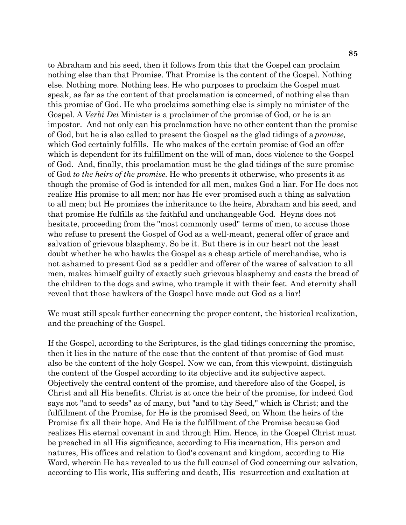to Abraham and his seed, then it follows from this that the Gospel can proclaim nothing else than that Promise. That Promise is the content of the Gospel. Nothing else. Nothing more. Nothing less. He who purposes to proclaim the Gospel must speak, as far as the content of that proclamation is concerned, of nothing else than this promise of God. He who proclaims something else is simply no minister of the Gospel. A *Verbi Dei* Minister is a proclaimer of the promise of God, or he is an impostor. And not only can his proclamation have no other content than the promise of God, but he is also called to present the Gospel as the glad tidings of a *promise,*  which God certainly fulfills. He who makes of the certain promise of God an offer which is dependent for its fulfillment on the will of man, does violence to the Gospel of God. And, finally, this proclamation must be the glad tidings of the sure promise of God *to the heirs of the promise.* He who presents it otherwise, who presents it as though the promise of God is intended for all men, makes God a liar. For He does not realize His promise to all men; nor has He ever promised such a thing as salvation to all men; but He promises the inheritance to the heirs, Abraham and his seed, and that promise He fulfills as the faithful and unchangeable God. Heyns does not hesitate, proceeding from the "most commonly used" terms of men, to accuse those who refuse to present the Gospel of God as a well-meant, general offer of grace and salvation of grievous blasphemy. So be it. But there is in our heart not the least doubt whether he who hawks the Gospel as a cheap article of merchandise, who is not ashamed to present God as a peddler and offerer of the wares of salvation to all men, makes himself guilty of exactly such grievous blasphemy and casts the bread of the children to the dogs and swine, who trample it with their feet. And eternity shall reveal that those hawkers of the Gospel have made out God as a liar!

We must still speak further concerning the proper content, the historical realization, and the preaching of the Gospel.

If the Gospel, according to the Scriptures, is the glad tidings concerning the promise, then it lies in the nature of the case that the content of that promise of God must also be the content of the holy Gospel. Now we can, from this viewpoint, distinguish the content of the Gospel according to its objective and its subjective aspect. Objectively the central content of the promise, and therefore also of the Gospel, is Christ and all His benefits. Christ is at once the heir of the promise, for indeed God says not "and to seeds" as of many, but "and to thy Seed," which is Christ; and the fulfillment of the Promise, for He is the promised Seed, on Whom the heirs of the Promise fix all their hope. And He is the fulfillment of the Promise because God realizes His eternal covenant in and through Him. Hence, in the Gospel Christ must be preached in all His significance, according to His incarnation, His person and natures, His offices and relation to God's covenant and kingdom, according to His Word, wherein He has revealed to us the full counsel of God concerning our salvation, according to His work, His suffering and death, His resurrection and exaltation at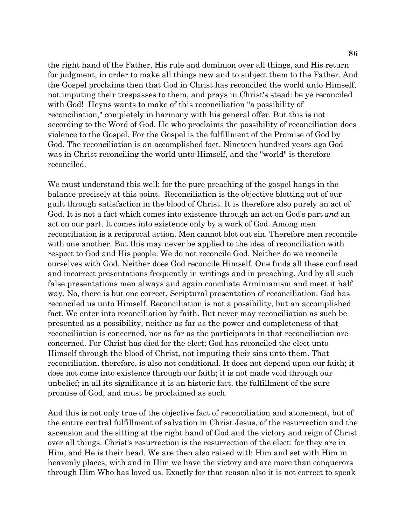the right hand of the Father, His rule and dominion over all things, and His return for judgment, in order to make all things new and to subject them to the Father. And the Gospel proclaims then that God in Christ has reconciled the world unto Himself, not imputing their trespasses to them, and prays in Christ's stead: be ye reconciled with God! Heyns wants to make of this reconciliation "a possibility of reconciliation," completely in harmony with his general offer. But this is not according to the Word of God. He who proclaims the possibility of reconciliation does violence to the Gospel. For the Gospel is the fulfillment of the Promise of God by God. The reconciliation is an accomplished fact. Nineteen hundred years ago God was in Christ reconciling the world unto Himself, and the "world" is therefore reconciled.

We must understand this well: for the pure preaching of the gospel hangs in the balance precisely at this point. Reconciliation is the objective blotting out of our guilt through satisfaction in the blood of Christ. It is therefore also purely an act of God. It is not a fact which comes into existence through an act on God's part *and* an act on our part. It comes into existence only by a work of God. Among men reconciliation is a reciprocal action. Men cannot blot out sin. Therefore men reconcile with one another. But this may never be applied to the idea of reconciliation with respect to God and His people. We do not reconcile God. Neither do we reconcile ourselves with God. Neither does God reconcile Himself. One finds all these confused and incorrect presentations frequently in writings and in preaching. And by all such false presentations men always and again conciliate Arminianism and meet it half way. No, there is but one correct, Scriptural presentation of reconciliation: God has reconciled us unto Himself. Reconciliation is not a possibility, but an accomplished fact. We enter into reconciliation by faith. But never may reconciliation as such be presented as a possibility, neither as far as the power and completeness of that reconciliation is concerned, nor as far as the participants in that reconciliation are concerned. For Christ has died for the elect; God has reconciled the elect unto Himself through the blood of Christ, not imputing their sins unto them. That reconciliation, therefore, is also not conditional. It does not depend upon our faith; it does not come into existence through our faith; it is not made void through our unbelief; in all its significance it is an historic fact, the fulfillment of the sure promise of God, and must be proclaimed as such.

And this is not only true of the objective fact of reconciliation and atonement, but of the entire central fulfillment of salvation in Christ Jesus, of the resurrection and the ascension and the sitting at the right hand of God and the victory and reign of Christ over all things. Christ's resurrection is the resurrection of the elect: for they are in Him, and He is their head. We are then also raised with Him and set with Him in heavenly places; with and in Him we have the victory and are more than conquerors through Him Who has loved us. Exactly for that reason also it is not correct to speak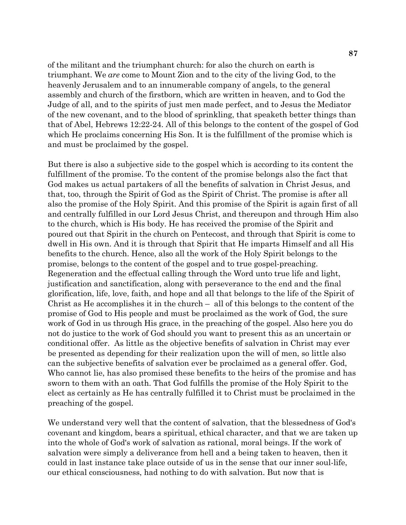of the militant and the triumphant church: for also the church on earth is triumphant. We *are* come to Mount Zion and to the city of the living God, to the heavenly Jerusalem and to an innumerable company of angels, to the general assembly and church of the firstborn, which are written in heaven, and to God the Judge of all, and to the spirits of just men made perfect, and to Jesus the Mediator of the new covenant, and to the blood of sprinkling, that speaketh better things than that of Abel, Hebrews 12:22-24. All of this belongs to the content of the gospel of God which He proclaims concerning His Son. It is the fulfillment of the promise which is and must be proclaimed by the gospel.

But there is also a subjective side to the gospel which is according to its content the fulfillment of the promise. To the content of the promise belongs also the fact that God makes us actual partakers of all the benefits of salvation in Christ Jesus, and that, too, through the Spirit of God as the Spirit of Christ. The promise is after all also the promise of the Holy Spirit. And this promise of the Spirit is again first of all and centrally fulfilled in our Lord Jesus Christ, and thereupon and through Him also to the church, which is His body. He has received the promise of the Spirit and poured out that Spirit in the church on Pentecost, and through that Spirit is come to dwell in His own. And it is through that Spirit that He imparts Himself and all His benefits to the church. Hence, also all the work of the Holy Spirit belongs to the promise, belongs to the content of the gospel and to true gospel-preaching. Regeneration and the effectual calling through the Word unto true life and light, justification and sanctification, along with perseverance to the end and the final glorification, life, love, faith, and hope and all that belongs to the life of the Spirit of Christ as He accomplishes it in the church – all of this belongs to the content of the promise of God to His people and must be proclaimed as the work of God, the sure work of God in us through His grace, in the preaching of the gospel. Also here you do not do justice to the work of God should you want to present this as an uncertain or conditional offer. As little as the objective benefits of salvation in Christ may ever be presented as depending for their realization upon the will of men, so little also can the subjective benefits of salvation ever be proclaimed as a general offer. God, Who cannot lie, has also promised these benefits to the heirs of the promise and has sworn to them with an oath. That God fulfills the promise of the Holy Spirit to the elect as certainly as He has centrally fulfilled it to Christ must be proclaimed in the preaching of the gospel.

We understand very well that the content of salvation, that the blessedness of God's covenant and kingdom, bears a spiritual, ethical character, and that we are taken up into the whole of God's work of salvation as rational, moral beings. If the work of salvation were simply a deliverance from hell and a being taken to heaven, then it could in last instance take place outside of us in the sense that our inner soul-life, our ethical consciousness, had nothing to do with salvation. But now that is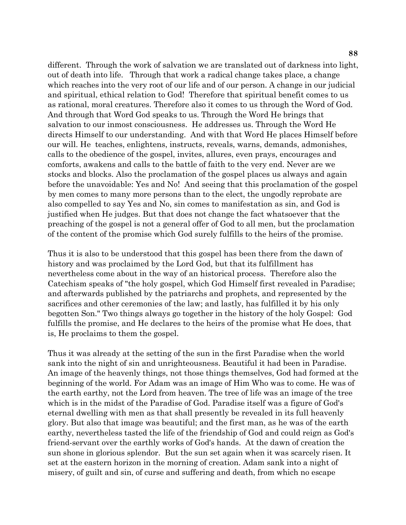different. Through the work of salvation we are translated out of darkness into light, out of death into life. Through that work a radical change takes place, a change which reaches into the very root of our life and of our person. A change in our judicial and spiritual, ethical relation to God! Therefore that spiritual benefit comes to us as rational, moral creatures. Therefore also it comes to us through the Word of God. And through that Word God speaks to us. Through the Word He brings that salvation to our inmost consciousness. He addresses us. Through the Word He directs Himself to our understanding. And with that Word He places Himself before our will. He teaches, enlightens, instructs, reveals, warns, demands, admonishes, calls to the obedience of the gospel, invites, allures, even prays, encourages and comforts, awakens and calls to the battle of faith to the very end. Never are we stocks and blocks. Also the proclamation of the gospel places us always and again before the unavoidable: Yes and No! And seeing that this proclamation of the gospel by men comes to many more persons than to the elect, the ungodly reprobate are also compelled to say Yes and No, sin comes to manifestation as sin, and God is justified when He judges. But that does not change the fact whatsoever that the preaching of the gospel is not a general offer of God to all men, but the proclamation of the content of the promise which God surely fulfills to the heirs of the promise.

Thus it is also to be understood that this gospel has been there from the dawn of history and was proclaimed by the Lord God, but that its fulfillment has nevertheless come about in the way of an historical process. Therefore also the Catechism speaks of "the holy gospel, which God Himself first revealed in Paradise; and afterwards published by the patriarchs and prophets, and represented by the sacrifices and other ceremonies of the law; and lastly, has fulfilled it by his only begotten Son." Two things always go together in the history of the holy Gospel: God fulfills the promise, and He declares to the heirs of the promise what He does, that is, He proclaims to them the gospel.

Thus it was already at the setting of the sun in the first Paradise when the world sank into the night of sin and unrighteousness. Beautiful it had been in Paradise. An image of the heavenly things, not those things themselves, God had formed at the beginning of the world. For Adam was an image of Him Who was to come. He was of the earth earthy, not the Lord from heaven. The tree of life was an image of the tree which is in the midst of the Paradise of God. Paradise itself was a figure of God's eternal dwelling with men as that shall presently be revealed in its full heavenly glory. But also that image was beautiful; and the first man, as he was of the earth earthy, nevertheless tasted the life of the friendship of God and could reign as God's friend-servant over the earthly works of God's hands. At the dawn of creation the sun shone in glorious splendor. But the sun set again when it was scarcely risen. It set at the eastern horizon in the morning of creation. Adam sank into a night of misery, of guilt and sin, of curse and suffering and death, from which no escape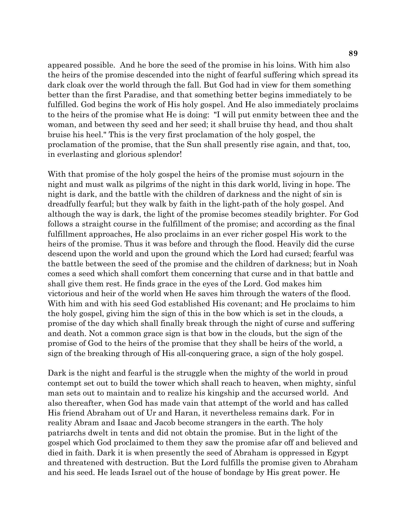appeared possible. And he bore the seed of the promise in his loins. With him also the heirs of the promise descended into the night of fearful suffering which spread its dark cloak over the world through the fall. But God had in view for them something better than the first Paradise, and that something better begins immediately to be fulfilled. God begins the work of His holy gospel. And He also immediately proclaims to the heirs of the promise what He is doing: "I will put enmity between thee and the woman, and between thy seed and her seed; it shall bruise thy head, and thou shalt bruise his heel." This is the very first proclamation of the holy gospel, the proclamation of the promise, that the Sun shall presently rise again, and that, too, in everlasting and glorious splendor!

With that promise of the holy gospel the heirs of the promise must sojourn in the night and must walk as pilgrims of the night in this dark world, living in hope. The night is dark, and the battle with the children of darkness and the night of sin is dreadfully fearful; but they walk by faith in the light-path of the holy gospel. And although the way is dark, the light of the promise becomes steadily brighter. For God follows a straight course in the fulfillment of the promise; and according as the final fulfillment approaches, He also proclaims in an ever richer gospel His work to the heirs of the promise. Thus it was before and through the flood. Heavily did the curse descend upon the world and upon the ground which the Lord had cursed; fearful was the battle between the seed of the promise and the children of darkness; but in Noah comes a seed which shall comfort them concerning that curse and in that battle and shall give them rest. He finds grace in the eyes of the Lord. God makes him victorious and heir of the world when He saves him through the waters of the flood. With him and with his seed God established His covenant; and He proclaims to him the holy gospel, giving him the sign of this in the bow which is set in the clouds, a promise of the day which shall finally break through the night of curse and suffering and death. Not a common grace sign is that bow in the clouds, but the sign of the promise of God to the heirs of the promise that they shall be heirs of the world, a sign of the breaking through of His all-conquering grace, a sign of the holy gospel.

Dark is the night and fearful is the struggle when the mighty of the world in proud contempt set out to build the tower which shall reach to heaven, when mighty, sinful man sets out to maintain and to realize his kingship and the accursed world. And also thereafter, when God has made vain that attempt of the world and has called His friend Abraham out of Ur and Haran, it nevertheless remains dark. For in reality Abram and Isaac and Jacob become strangers in the earth. The holy patriarchs dwelt in tents and did not obtain the promise. But in the light of the gospel which God proclaimed to them they saw the promise afar off and believed and died in faith. Dark it is when presently the seed of Abraham is oppressed in Egypt and threatened with destruction. But the Lord fulfills the promise given to Abraham and his seed. He leads Israel out of the house of bondage by His great power. He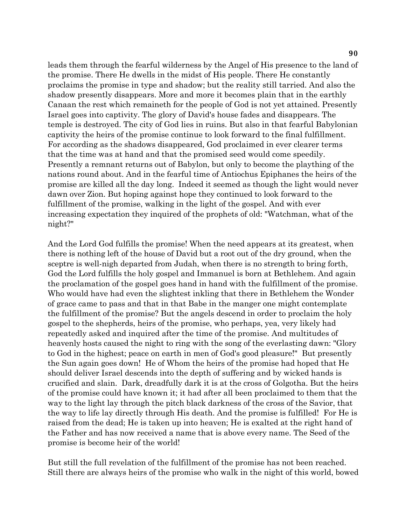leads them through the fearful wilderness by the Angel of His presence to the land of the promise. There He dwells in the midst of His people. There He constantly proclaims the promise in type and shadow; but the reality still tarried. And also the shadow presently disappears. More and more it becomes plain that in the earthly Canaan the rest which remaineth for the people of God is not yet attained. Presently Israel goes into captivity. The glory of David's house fades and disappears. The temple is destroyed. The city of God lies in ruins. But also in that fearful Babylonian captivity the heirs of the promise continue to look forward to the final fulfillment. For according as the shadows disappeared, God proclaimed in ever clearer terms that the time was at hand and that the promised seed would come speedily. Presently a remnant returns out of Babylon, but only to become the plaything of the nations round about. And in the fearful time of Antiochus Epiphanes the heirs of the promise are killed all the day long. Indeed it seemed as though the light would never dawn over Zion. But hoping against hope they continued to look forward to the fulfillment of the promise, walking in the light of the gospel. And with ever increasing expectation they inquired of the prophets of old: "Watchman, what of the night?"

And the Lord God fulfills the promise! When the need appears at its greatest, when there is nothing left of the house of David but a root out of the dry ground, when the sceptre is well-nigh departed from Judah, when there is no strength to bring forth, God the Lord fulfills the holy gospel and Immanuel is born at Bethlehem. And again the proclamation of the gospel goes hand in hand with the fulfillment of the promise. Who would have had even the slightest inkling that there in Bethlehem the Wonder of grace came to pass and that in that Babe in the manger one might contemplate the fulfillment of the promise? But the angels descend in order to proclaim the holy gospel to the shepherds, heirs of the promise, who perhaps, yea, very likely had repeatedly asked and inquired after the time of the promise. And multitudes of heavenly hosts caused the night to ring with the song of the everlasting dawn: "Glory to God in the highest; peace on earth in men of God's good pleasure!" But presently the Sun again goes down! He of Whom the heirs of the promise had hoped that He should deliver Israel descends into the depth of suffering and by wicked hands is crucified and slain. Dark, dreadfully dark it is at the cross of Golgotha. But the heirs of the promise could have known it; it had after all been proclaimed to them that the way to the light lay through the pitch black darkness of the cross of the Savior, that the way to life lay directly through His death. And the promise is fulfilled! For He is raised from the dead; He is taken up into heaven; He is exalted at the right hand of the Father and has now received a name that is above every name. The Seed of the promise is become heir of the world!

But still the full revelation of the fulfillment of the promise has not been reached. Still there are always heirs of the promise who walk in the night of this world, bowed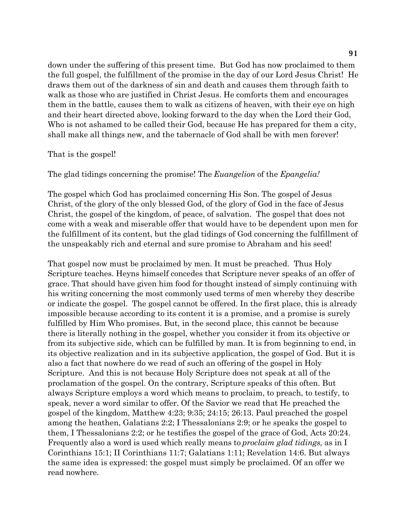down under the suffering of this present time. But God has now proclaimed to them the full gospel, the fulfillment of the promise in the day of our Lord Jesus Christ! He draws them out of the darkness of sin and death and causes them through faith to walk as those who are justified in Christ Jesus. He comforts them and encourages them in the battle, causes them to walk as citizens of heaven, with their eye on high and their heart directed above, looking forward to the day when the Lord their God, Who is not ashamed to be called their God, because He has prepared for them a city, shall make all things new, and the tabernacle of God shall be with men forever!

#### That is the gospel!

#### The glad tidings concerning the promise! The *Euangelion* of the *Epangelia!*

The gospel which God has proclaimed concerning His Son. The gospel of Jesus Christ, of the glory of the only blessed God, of the glory of God in the face of Jesus Christ, the gospel of the kingdom, of peace, of salvation. The gospel that does not come with a weak and miserable offer that would have to be dependent upon men for the fulfillment of its content, but the glad tidings of God concerning the fulfillment of the unspeakably rich and eternal and sure promise to Abraham and his seed!

That gospel now must be proclaimed by men. It must be preached. Thus Holy Scripture teaches. Heyns himself concedes that Scripture never speaks of an offer of grace. That should have given him food for thought instead of simply continuing with his writing concerning the most commonly used terms of men whereby they describe or indicate the gospel. The gospel cannot be offered. In the first place, this is already impossible because according to its content it is a promise, and a promise is surely fulfilled by Him Who promises. But, in the second place, this cannot be because there is literally nothing in the gospel, whether you consider it from its objective or from its subjective side, which can be fulfilled by man. It is from beginning to end, in its objective realization and in its subjective application, the gospel of God. But it is also a fact that nowhere do we read of such an offering of the gospel in Holy Scripture. And this is not because Holy Scripture does not speak at all of the proclamation of the gospel. On the contrary, Scripture speaks of this often. But always Scripture employs a word which means to proclaim, to preach, to testify, to speak, never a word similar to offer. Of the Savior we read that He preached the gospel of the kingdom, Matthew 4:23; 9:35; 24:15; 26:13. Paul preached the gospel among the heathen, Galatians 2:2; I Thessalonians 2:9; or he speaks the gospel to them, I Thessalonians 2:2; or he testifies the gospel of the grace of God, Acts 20:24. Frequently also a word is used which really means to *proclaim glad tidings,* as in I Corinthians 15:1; II Corinthians 11:7; Galatians 1:11; Revelation 14:6. But always the same idea is expressed: the gospel must simply be proclaimed. Of an offer we read nowhere.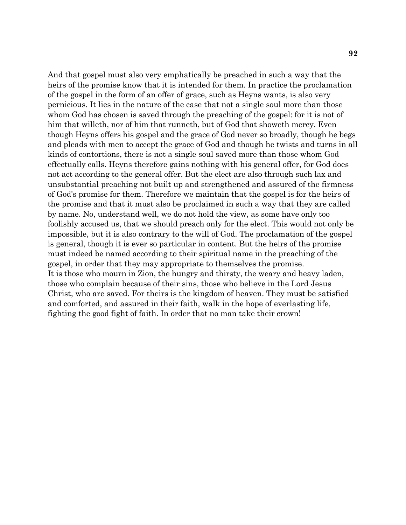And that gospel must also very emphatically be preached in such a way that the heirs of the promise know that it is intended for them. In practice the proclamation of the gospel in the form of an offer of grace, such as Heyns wants, is also very pernicious. It lies in the nature of the case that not a single soul more than those whom God has chosen is saved through the preaching of the gospel: for it is not of him that willeth, nor of him that runneth, but of God that showeth mercy. Even though Heyns offers his gospel and the grace of God never so broadly, though he begs and pleads with men to accept the grace of God and though he twists and turns in all kinds of contortions, there is not a single soul saved more than those whom God effectually calls. Heyns therefore gains nothing with his general offer, for God does not act according to the general offer. But the elect are also through such lax and unsubstantial preaching not built up and strengthened and assured of the firmness of God's promise for them. Therefore we maintain that the gospel is for the heirs of the promise and that it must also be proclaimed in such a way that they are called by name. No, understand well, we do not hold the view, as some have only too foolishly accused us, that we should preach only for the elect. This would not only be impossible, but it is also contrary to the will of God. The proclamation of the gospel is general, though it is ever so particular in content. But the heirs of the promise must indeed be named according to their spiritual name in the preaching of the gospel, in order that they may appropriate to themselves the promise. It is those who mourn in Zion, the hungry and thirsty, the weary and heavy laden, those who complain because of their sins, those who believe in the Lord Jesus Christ, who are saved. For theirs is the kingdom of heaven. They must be satisfied and comforted, and assured in their faith, walk in the hope of everlasting life, fighting the good fight of faith. In order that no man take their crown!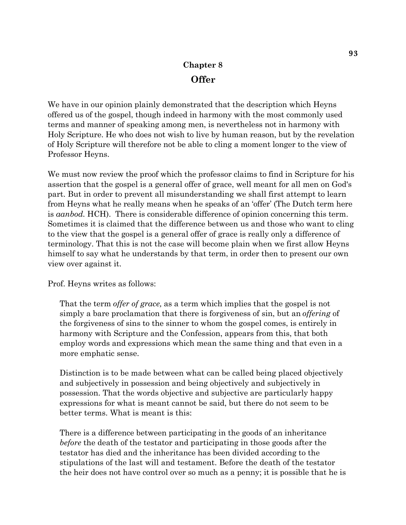# **Chapter 8 Offer**

We have in our opinion plainly demonstrated that the description which Heyns offered us of the gospel, though indeed in harmony with the most commonly used terms and manner of speaking among men, is nevertheless not in harmony with Holy Scripture. He who does not wish to live by human reason, but by the revelation of Holy Scripture will therefore not be able to cling a moment longer to the view of Professor Heyns.

We must now review the proof which the professor claims to find in Scripture for his assertion that the gospel is a general offer of grace, well meant for all men on God's part. But in order to prevent all misunderstanding we shall first attempt to learn from Heyns what he really means when he speaks of an 'offer' (The Dutch term here is *aanbod.* HCH). There is considerable difference of opinion concerning this term. Sometimes it is claimed that the difference between us and those who want to cling to the view that the gospel is a general offer of grace is really only a difference of terminology. That this is not the case will become plain when we first allow Heyns himself to say what he understands by that term, in order then to present our own view over against it.

Prof. Heyns writes as follows:

That the term *offer of grace,* as a term which implies that the gospel is not simply a bare proclamation that there is forgiveness of sin, but an *offering* of the forgiveness of sins to the sinner to whom the gospel comes, is entirely in harmony with Scripture and the Confession, appears from this, that both employ words and expressions which mean the same thing and that even in a more emphatic sense.

Distinction is to be made between what can be called being placed objectively and subjectively in possession and being objectively and subjectively in possession. That the words objective and subjective are particularly happy expressions for what is meant cannot be said, but there do not seem to be better terms. What is meant is this:

There is a difference between participating in the goods of an inheritance *before* the death of the testator and participating in those goods after the testator has died and the inheritance has been divided according to the stipulations of the last will and testament. Before the death of the testator the heir does not have control over so much as a penny; it is possible that he is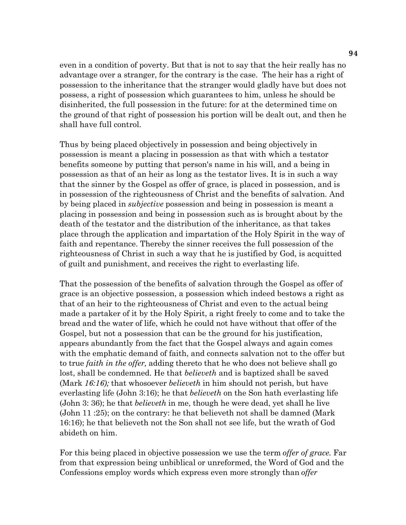even in a condition of poverty. But that is not to say that the heir really has no advantage over a stranger, for the contrary is the case. The heir has a right of possession to the inheritance that the stranger would gladly have but does not possess, a right of possession which guarantees to him, unless he should be disinherited, the full possession in the future: for at the determined time on the ground of that right of possession his portion will be dealt out, and then he shall have full control.

Thus by being placed objectively in possession and being objectively in possession is meant a placing in possession as that with which a testator benefits someone by putting that person's name in his will, and a being in possession as that of an heir as long as the testator lives. It is in such a way that the sinner by the Gospel as offer of grace, is placed in possession, and is in possession of the righteousness of Christ and the benefits of salvation. And by being placed in *subjective* possession and being in possession is meant a placing in possession and being in possession such as is brought about by the death of the testator and the distribution of the inheritance, as that takes place through the application and impartation of the Holy Spirit in the way of faith and repentance. Thereby the sinner receives the full possession of the righteousness of Christ in such a way that he is justified by God, is acquitted of guilt and punishment, and receives the right to everlasting life.

That the possession of the benefits of salvation through the Gospel as offer of grace is an objective possession, a possession which indeed bestows a right as that of an heir to the righteousness of Christ and even to the actual being made a partaker of it by the Holy Spirit, a right freely to come and to take the bread and the water of life, which he could not have without that offer of the Gospel, but not a possession that can be the ground for his justification, appears abundantly from the fact that the Gospel always and again comes with the emphatic demand of faith, and connects salvation not to the offer but to true *faith in the offer,* adding thereto that he who does not believe shall go lost, shall be condemned. He that *believeth* and is baptized shall be saved (Mark *16:16);* that whosoever *believeth* in him should not perish, but have everlasting life (John 3:16); he that *believeth* on the Son hath everlasting life (John 3: 36); he that *believeth* in me, though he were dead, yet shall he live (John 11 :25); on the contrary: he that believeth not shall be damned (Mark 16:16); he that believeth not the Son shall not see life, but the wrath of God abideth on him.

For this being placed in objective possession we use the term *offer of grace.* Far from that expression being unbiblical or unreformed, the Word of God and the Confessions employ words which express even more strongly than *offer*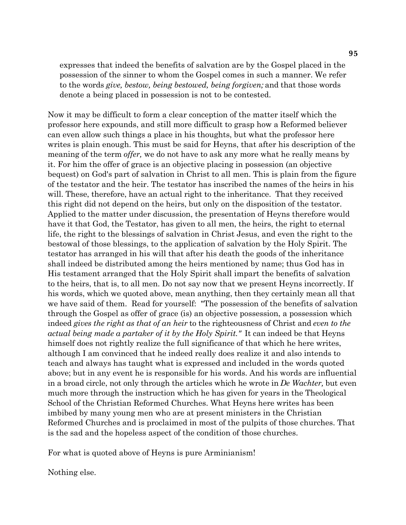expresses that indeed the benefits of salvation are by the Gospel placed in the possession of the sinner to whom the Gospel comes in such a manner. We refer to the words *give, bestow, being bestowed, being forgiven;* and that those words denote a being placed in possession is not to be contested.

Now it may be difficult to form a clear conception of the matter itself which the professor here expounds, and still more difficult to grasp how a Reformed believer can even allow such things a place in his thoughts, but what the professor here writes is plain enough. This must be said for Heyns, that after his description of the meaning of the term *offer,* we do not have to ask any more what he really means by it. For him the offer of grace is an objective placing in possession (an objective bequest) on God's part of salvation in Christ to all men. This is plain from the figure of the testator and the heir. The testator has inscribed the names of the heirs in his will. These, therefore, have an actual right to the inheritance. That they received this right did not depend on the heirs, but only on the disposition of the testator. Applied to the matter under discussion, the presentation of Heyns therefore would have it that God, the Testator, has given to all men, the heirs, the right to eternal life, the right to the blessings of salvation in Christ Jesus, and even the right to the bestowal of those blessings, to the application of salvation by the Holy Spirit. The testator has arranged in his will that after his death the goods of the inheritance shall indeed be distributed among the heirs mentioned by name; thus God has in His testament arranged that the Holy Spirit shall impart the benefits of salvation to the heirs, that is, to all men. Do not say now that we present Heyns incorrectly. If his words, which we quoted above, mean anything, then they certainly mean all that we have said of them. Read for yourself: "The possession of the benefits of salvation through the Gospel as offer of grace (is) an objective possession, a possession which indeed *gives the right as that of an heir* to the righteousness of Christ and *even to the actual being made a partaker of it by the Holy Spirit."* It can indeed be that Heyns himself does not rightly realize the full significance of that which he here writes, although I am convinced that he indeed really does realize it and also intends to teach and always has taught what is expressed and included in the words quoted above; but in any event he is responsible for his words. And his words are influential in a broad circle, not only through the articles which he wrote in *De Wachter,* but even much more through the instruction which he has given for years in the Theological School of the Christian Reformed Churches. What Heyns here writes has been imbibed by many young men who are at present ministers in the Christian Reformed Churches and is proclaimed in most of the pulpits of those churches. That is the sad and the hopeless aspect of the condition of those churches.

For what is quoted above of Heyns is pure Arminianism!

Nothing else.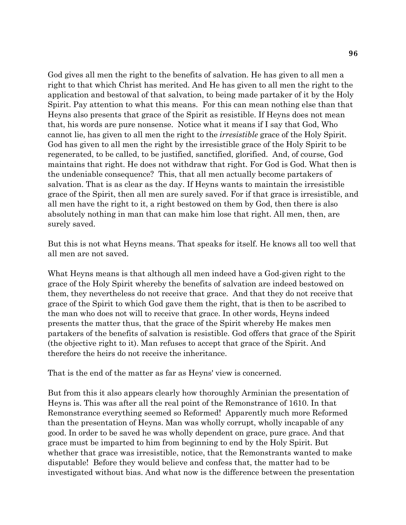God gives all men the right to the benefits of salvation. He has given to all men a right to that which Christ has merited. And He has given to all men the right to the application and bestowal of that salvation, to being made partaker of it by the Holy Spirit. Pay attention to what this means. For this can mean nothing else than that Heyns also presents that grace of the Spirit as resistible. If Heyns does not mean that, his words are pure nonsense. Notice what it means if I say that God, Who cannot lie, has given to all men the right to the *irresistible* grace of the Holy Spirit. God has given to all men the right by the irresistible grace of the Holy Spirit to be regenerated, to be called, to be justified, sanctified, glorified. And, of course, God maintains that right. He does not withdraw that right. For God is God. What then is the undeniable consequence? This, that all men actually become partakers of salvation. That is as clear as the day. If Heyns wants to maintain the irresistible grace of the Spirit, then all men are surely saved. For if that grace is irresistible, and all men have the right to it, a right bestowed on them by God, then there is also absolutely nothing in man that can make him lose that right. All men, then, are surely saved.

But this is not what Heyns means. That speaks for itself. He knows all too well that all men are not saved.

What Heyns means is that although all men indeed have a God-given right to the grace of the Holy Spirit whereby the benefits of salvation are indeed bestowed on them, they nevertheless do not receive that grace. And that they do not receive that grace of the Spirit to which God gave them the right, that is then to be ascribed to the man who does not will to receive that grace. In other words, Heyns indeed presents the matter thus, that the grace of the Spirit whereby He makes men partakers of the benefits of salvation is resistible. God offers that grace of the Spirit (the objective right to it). Man refuses to accept that grace of the Spirit. And therefore the heirs do not receive the inheritance.

That is the end of the matter as far as Heyns' view is concerned.

But from this it also appears clearly how thoroughly Arminian the presentation of Heyns is. This was after all the real point of the Remonstrance of 1610. In that Remonstrance everything seemed so Reformed! Apparently much more Reformed than the presentation of Heyns. Man was wholly corrupt, wholly incapable of any good. In order to be saved he was wholly dependent on grace, pure grace. And that grace must be imparted to him from beginning to end by the Holy Spirit. But whether that grace was irresistible, notice, that the Remonstrants wanted to make disputable! Before they would believe and confess that, the matter had to be investigated without bias. And what now is the difference between the presentation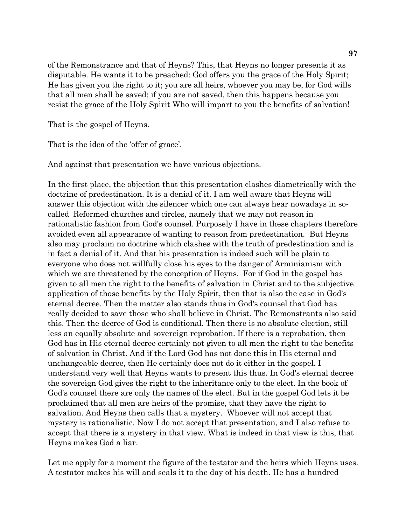of the Remonstrance and that of Heyns? This, that Heyns no longer presents it as disputable. He wants it to be preached: God offers you the grace of the Holy Spirit; He has given you the right to it; you are all heirs, whoever you may be, for God wills that all men shall be saved; if you are not saved, then this happens because you resist the grace of the Holy Spirit Who will impart to you the benefits of salvation!

That is the gospel of Heyns.

That is the idea of the 'offer of grace'.

And against that presentation we have various objections.

In the first place, the objection that this presentation clashes diametrically with the doctrine of predestination. It is a denial of it. I am well aware that Heyns will answer this objection with the silencer which one can always hear nowadays in socalled Reformed churches and circles, namely that we may not reason in rationalistic fashion from God's counsel. Purposely I have in these chapters therefore avoided even all appearance of wanting to reason from predestination. But Heyns also may proclaim no doctrine which clashes with the truth of predestination and is in fact a denial of it. And that his presentation is indeed such will be plain to everyone who does not willfully close his eyes to the danger of Arminianism with which we are threatened by the conception of Heyns. For if God in the gospel has given to all men the right to the benefits of salvation in Christ and to the subjective application of those benefits by the Holy Spirit, then that is also the case in God's eternal decree. Then the matter also stands thus in God's counsel that God has really decided to save those who shall believe in Christ. The Remonstrants also said this. Then the decree of God is conditional. Then there is no absolute election, still less an equally absolute and sovereign reprobation. If there is a reprobation, then God has in His eternal decree certainly not given to all men the right to the benefits of salvation in Christ. And if the Lord God has not done this in His eternal and unchangeable decree, then He certainly does not do it either in the gospel. I understand very well that Heyns wants to present this thus. In God's eternal decree the sovereign God gives the right to the inheritance only to the elect. In the book of God's counsel there are only the names of the elect. But in the gospel God lets it be proclaimed that all men are heirs of the promise, that they have the right to salvation. And Heyns then calls that a mystery. Whoever will not accept that mystery is rationalistic. Now I do not accept that presentation, and I also refuse to accept that there is a mystery in that view. What is indeed in that view is this, that Heyns makes God a liar.

Let me apply for a moment the figure of the testator and the heirs which Heyns uses. A testator makes his will and seals it to the day of his death. He has a hundred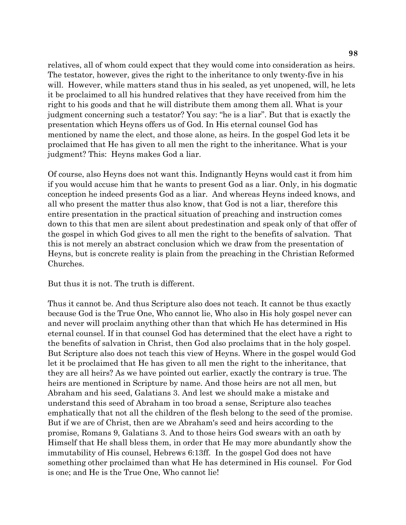relatives, all of whom could expect that they would come into consideration as heirs. The testator, however, gives the right to the inheritance to only twenty-five in his will. However, while matters stand thus in his sealed, as yet unopened, will, he lets it be proclaimed to all his hundred relatives that they have received from him the right to his goods and that he will distribute them among them all. What is your judgment concerning such a testator? You say: "he is a liar". But that is exactly the presentation which Heyns offers us of God. In His eternal counsel God has mentioned by name the elect, and those alone, as heirs. In the gospel God lets it be proclaimed that He has given to all men the right to the inheritance. What is your judgment? This: Heyns makes God a liar.

Of course, also Heyns does not want this. Indignantly Heyns would cast it from him if you would accuse him that he wants to present God as a liar. Only, in his dogmatic conception he indeed presents God as a liar. And whereas Heyns indeed knows, and all who present the matter thus also know, that God is not a liar, therefore this entire presentation in the practical situation of preaching and instruction comes down to this that men are silent about predestination and speak only of that offer of the gospel in which God gives to all men the right to the benefits of salvation. That this is not merely an abstract conclusion which we draw from the presentation of Heyns, but is concrete reality is plain from the preaching in the Christian Reformed Churches.

But thus it is not. The truth is different.

Thus it cannot be. And thus Scripture also does not teach. It cannot be thus exactly because God is the True One, Who cannot lie, Who also in His holy gospel never can and never will proclaim anything other than that which He has determined in His eternal counsel. If in that counsel God has determined that the elect have a right to the benefits of salvation in Christ, then God also proclaims that in the holy gospel. But Scripture also does not teach this view of Heyns. Where in the gospel would God let it be proclaimed that He has given to all men the right to the inheritance, that they are all heirs? As we have pointed out earlier, exactly the contrary is true. The heirs are mentioned in Scripture by name. And those heirs are not all men, but Abraham and his seed, Galatians 3. And lest we should make a mistake and understand this seed of Abraham in too broad a sense, Scripture also teaches emphatically that not all the children of the flesh belong to the seed of the promise. But if we are of Christ, then are we Abraham's seed and heirs according to the promise, Romans 9, Galatians 3. And to those heirs God swears with an oath by Himself that He shall bless them, in order that He may more abundantly show the immutability of His counsel, Hebrews 6:13ff. In the gospel God does not have something other proclaimed than what He has determined in His counsel. For God is one; and He is the True One, Who cannot lie!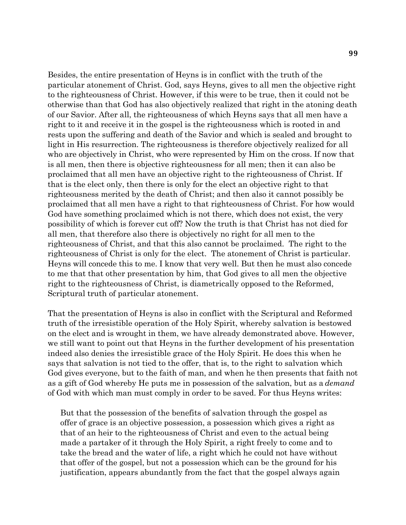Besides, the entire presentation of Heyns is in conflict with the truth of the particular atonement of Christ. God, says Heyns, gives to all men the objective right to the righteousness of Christ. However, if this were to be true, then it could not be otherwise than that God has also objectively realized that right in the atoning death of our Savior. After all, the righteousness of which Heyns says that all men have a right to it and receive it in the gospel is the righteousness which is rooted in and rests upon the suffering and death of the Savior and which is sealed and brought to light in His resurrection. The righteousness is therefore objectively realized for all who are objectively in Christ, who were represented by Him on the cross. If now that is all men, then there is objective righteousness for all men; then it can also be proclaimed that all men have an objective right to the righteousness of Christ. If that is the elect only, then there is only for the elect an objective right to that righteousness merited by the death of Christ; and then also it cannot possibly be proclaimed that all men have a right to that righteousness of Christ. For how would God have something proclaimed which is not there, which does not exist, the very possibility of which is forever cut off? Now the truth is that Christ has not died for all men, that therefore also there is objectively no right for all men to the righteousness of Christ, and that this also cannot be proclaimed. The right to the righteousness of Christ is only for the elect. The atonement of Christ is particular. Heyns will concede this to me. I know that very well. But then he must also concede to me that that other presentation by him, that God gives to all men the objective right to the righteousness of Christ, is diametrically opposed to the Reformed, Scriptural truth of particular atonement.

That the presentation of Heyns is also in conflict with the Scriptural and Reformed truth of the irresistible operation of the Holy Spirit, whereby salvation is bestowed on the elect and is wrought in them, we have already demonstrated above. However, we still want to point out that Heyns in the further development of his presentation indeed also denies the irresistible grace of the Holy Spirit. He does this when he says that salvation is not tied to the offer, that is, to the right to salvation which God gives everyone, but to the faith of man, and when he then presents that faith not as a gift of God whereby He puts me in possession of the salvation, but as a *demand*  of God with which man must comply in order to be saved. For thus Heyns writes:

But that the possession of the benefits of salvation through the gospel as offer of grace is an objective possession, a possession which gives a right as that of an heir to the righteousness of Christ and even to the actual being made a partaker of it through the Holy Spirit, a right freely to come and to take the bread and the water of life, a right which he could not have without that offer of the gospel, but not a possession which can be the ground for his justification, appears abundantly from the fact that the gospel always again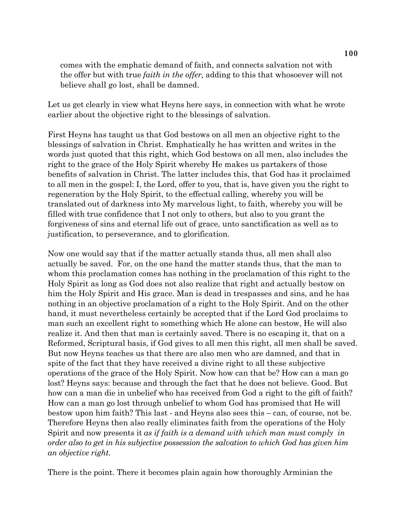comes with the emphatic demand of faith, and connects salvation not with the offer but with true *faith in the offer,* adding to this that whosoever will not believe shall go lost, shall be damned.

Let us get clearly in view what Heyns here says, in connection with what he wrote earlier about the objective right to the blessings of salvation.

First Heyns has taught us that God bestows on all men an objective right to the blessings of salvation in Christ. Emphatically he has written and writes in the words just quoted that this right, which God bestows on all men, also includes the right to the grace of the Holy Spirit whereby He makes us partakers of those benefits of salvation in Christ. The latter includes this, that God has it proclaimed to all men in the gospel: I, the Lord, offer to you, that is, have given you the right to regeneration by the Holy Spirit, to the effectual calling, whereby you will be translated out of darkness into My marvelous light, to faith, whereby you will be filled with true confidence that I not only to others, but also to you grant the forgiveness of sins and eternal life out of grace, unto sanctification as well as to justification, to perseverance, and to glorification.

Now one would say that if the matter actually stands thus, all men shall also actually be saved. For, on the one hand the matter stands thus, that the man to whom this proclamation comes has nothing in the proclamation of this right to the Holy Spirit as long as God does not also realize that right and actually bestow on him the Holy Spirit and His grace. Man is dead in trespasses and sins, and he has nothing in an objective proclamation of a right to the Holy Spirit. And on the other hand, it must nevertheless certainly be accepted that if the Lord God proclaims to man such an excellent right to something which He alone can bestow, He will also realize it. And then that man is certainly saved. There is no escaping it, that on a Reformed, Scriptural basis, if God gives to all men this right, all men shall be saved. But now Heyns teaches us that there are also men who are damned, and that in spite of the fact that they have received a divine right to all these subjective operations of the grace of the Holy Spirit. Now how can that be? How can a man go lost? Heyns says: because and through the fact that he does not believe. Good. But how can a man die in unbelief who has received from God a right to the gift of faith? How can a man go lost through unbelief to whom God has promised that He will bestow upon him faith? This last - and Heyns also sees this – can, of course, not be. Therefore Heyns then also really eliminates faith from the operations of the Holy Spirit and now presents it *as if faith is a demand with which man must comply in order also to get in his subjective possession the salvation to which God has given him an objective right.* 

There is the point. There it becomes plain again how thoroughly Arminian the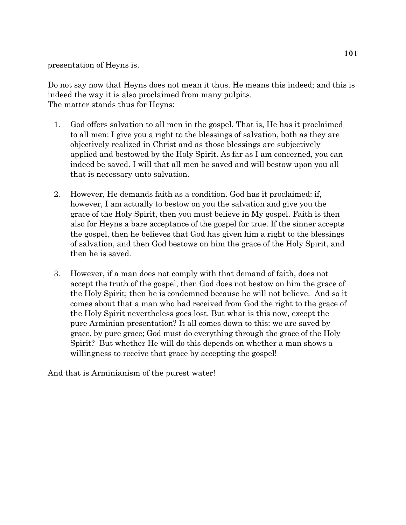presentation of Heyns is.

Do not say now that Heyns does not mean it thus. He means this indeed; and this is indeed the way it is also proclaimed from many pulpits. The matter stands thus for Heyns:

- 1. God offers salvation to all men in the gospel. That is, He has it proclaimed to all men: I give you a right to the blessings of salvation, both as they are objectively realized in Christ and as those blessings are subjectively applied and bestowed by the Holy Spirit. As far as I am concerned, you can indeed be saved. I will that all men be saved and will bestow upon you all that is necessary unto salvation.
- 2. However, He demands faith as a condition. God has it proclaimed: if, however, I am actually to bestow on you the salvation and give you the grace of the Holy Spirit, then you must believe in My gospel. Faith is then also for Heyns a bare acceptance of the gospel for true. If the sinner accepts the gospel, then he believes that God has given him a right to the blessings of salvation, and then God bestows on him the grace of the Holy Spirit, and then he is saved.
- 3. However, if a man does not comply with that demand of faith, does not accept the truth of the gospel, then God does not bestow on him the grace of the Holy Spirit; then he is condemned because he will not believe. And so it comes about that a man who had received from God the right to the grace of the Holy Spirit nevertheless goes lost. But what is this now, except the pure Arminian presentation? It all comes down to this: we are saved by grace, by pure grace; God must do everything through the grace of the Holy Spirit? But whether He will do this depends on whether a man shows a willingness to receive that grace by accepting the gospel!

And that is Arminianism of the purest water!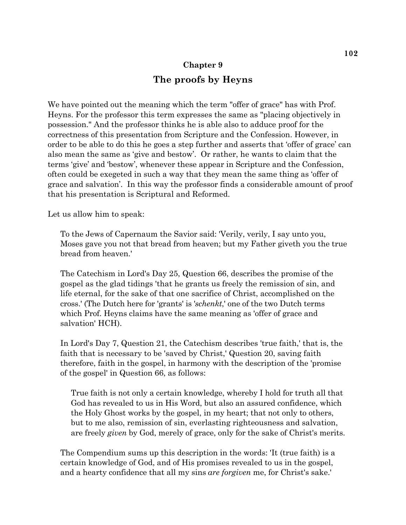## **Chapter 9 The proofs by Heyns**

We have pointed out the meaning which the term "offer of grace" has with Prof. Heyns. For the professor this term expresses the same as "placing objectively in possession." And the professor thinks he is able also to adduce proof for the correctness of this presentation from Scripture and the Confession. However, in order to be able to do this he goes a step further and asserts that 'offer of grace' can also mean the same as 'give and bestow'. Or rather, he wants to claim that the terms 'give' and 'bestow', whenever these appear in Scripture and the Confession, often could be exegeted in such a way that they mean the same thing as 'offer of grace and salvation'. In this way the professor finds a considerable amount of proof that his presentation is Scriptural and Reformed.

Let us allow him to speak:

To the Jews of Capernaum the Savior said: 'Verily, verily, I say unto you, Moses gave you not that bread from heaven; but my Father giveth you the true bread from heaven.'

The Catechism in Lord's Day 25, Question 66, describes the promise of the gospel as the glad tidings 'that he grants us freely the remission of sin, and life eternal, for the sake of that one sacrifice of Christ, accomplished on the cross.' (The Dutch here for 'grants' is '*schenkt*,' one of the two Dutch terms which Prof. Heyns claims have the same meaning as 'offer of grace and salvation' HCH).

In Lord's Day 7, Question 21, the Catechism describes 'true faith,' that is, the faith that is necessary to be 'saved by Christ,' Question 20, saving faith therefore, faith in the gospel, in harmony with the description of the 'promise of the gospel' in Question 66, as follows:

True faith is not only a certain knowledge, whereby I hold for truth all that God has revealed to us in His Word, but also an assured confidence, which the Holy Ghost works by the gospel, in my heart; that not only to others, but to me also, remission of sin, everlasting righteousness and salvation, are freely *given* by God, merely of grace, only for the sake of Christ's merits.

The Compendium sums up this description in the words: 'It (true faith) is a certain knowledge of God, and of His promises revealed to us in the gospel, and a hearty confidence that all my sins *are forgiven* me, for Christ's sake.'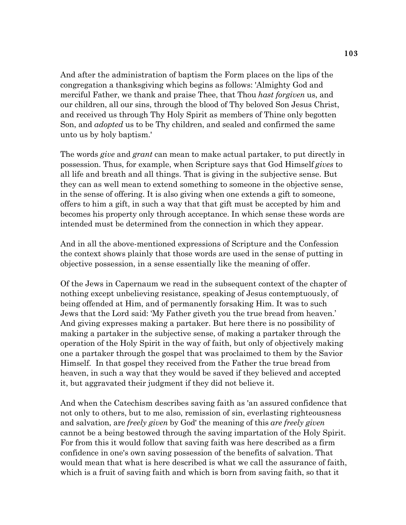And after the administration of baptism the Form places on the lips of the congregation a thanksgiving which begins as follows: 'Almighty God and merciful Father, we thank and praise Thee, that Thou *hast forgiven* us, and our children, all our sins, through the blood of Thy beloved Son Jesus Christ, and received us through Thy Holy Spirit as members of Thine only begotten Son, and *adopted* us to be Thy children, and sealed and confirmed the same unto us by holy baptism.'

The words *give* and *grant* can mean to make actual partaker, to put directly in possession. Thus, for example, when Scripture says that God Himself *gives* to all life and breath and all things. That is giving in the subjective sense. But they can as well mean to extend something to someone in the objective sense, in the sense of offering. It is also giving when one extends a gift to someone, offers to him a gift, in such a way that that gift must be accepted by him and becomes his property only through acceptance. In which sense these words are intended must be determined from the connection in which they appear.

And in all the above-mentioned expressions of Scripture and the Confession the context shows plainly that those words are used in the sense of putting in objective possession, in a sense essentially like the meaning of offer.

Of the Jews in Capernaum we read in the subsequent context of the chapter of nothing except unbelieving resistance, speaking of Jesus contemptuously, of being offended at Him, and of permanently forsaking Him. It was to such Jews that the Lord said: 'My Father giveth you the true bread from heaven.' And giving expresses making a partaker. But here there is no possibility of making a partaker in the subjective sense, of making a partaker through the operation of the Holy Spirit in the way of faith, but only of objectively making one a partaker through the gospel that was proclaimed to them by the Savior Himself. In that gospel they received from the Father the true bread from heaven, in such a way that they would be saved if they believed and accepted it, but aggravated their judgment if they did not believe it.

And when the Catechism describes saving faith as 'an assured confidence that not only to others, but to me also, remission of sin, everlasting righteousness and salvation, are *freely given* by God' the meaning of this *are freely given*  cannot be a being bestowed through the saving impartation of the Holy Spirit. For from this it would follow that saving faith was here described as a firm confidence in one's own saving possession of the benefits of salvation. That would mean that what is here described is what we call the assurance of faith, which is a fruit of saving faith and which is born from saving faith, so that it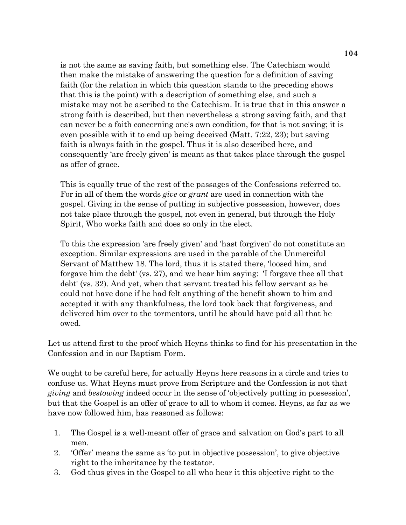is not the same as saving faith, but something else. The Catechism would then make the mistake of answering the question for a definition of saving faith (for the relation in which this question stands to the preceding shows that this is the point) with a description of something else, and such a mistake may not be ascribed to the Catechism. It is true that in this answer a strong faith is described, but then nevertheless a strong saving faith, and that can never be a faith concerning one's own condition, for that is not saving; it is even possible with it to end up being deceived (Matt. 7:22, 23); but saving faith is always faith in the gospel. Thus it is also described here, and consequently 'are freely given' is meant as that takes place through the gospel as offer of grace.

This is equally true of the rest of the passages of the Confessions referred to. For in all of them the words *give* or *grant* are used in connection with the gospel. Giving in the sense of putting in subjective possession, however, does not take place through the gospel, not even in general, but through the Holy Spirit, Who works faith and does so only in the elect.

To this the expression 'are freely given' and 'hast forgiven' do not constitute an exception. Similar expressions are used in the parable of the Unmerciful Servant of Matthew 18. The lord, thus it is stated there, 'loosed him, and forgave him the debt' (vs. 27), and we hear him saying: 'I forgave thee all that debt' (vs. 32). And yet, when that servant treated his fellow servant as he could not have done if he had felt anything of the benefit shown to him and accepted it with any thankfulness, the lord took back that forgiveness, and delivered him over to the tormentors, until he should have paid all that he owed.

Let us attend first to the proof which Heyns thinks to find for his presentation in the Confession and in our Baptism Form.

We ought to be careful here, for actually Heyns here reasons in a circle and tries to confuse us. What Heyns must prove from Scripture and the Confession is not that *giving* and *bestowing* indeed occur in the sense of 'objectively putting in possession', but that the Gospel is an offer of grace to all to whom it comes. Heyns, as far as we have now followed him, has reasoned as follows:

- 1. The Gospel is a well-meant offer of grace and salvation on God's part to all men.
- 2. 'Offer' means the same as 'to put in objective possession', to give objective right to the inheritance by the testator.
- 3. God thus gives in the Gospel to all who hear it this objective right to the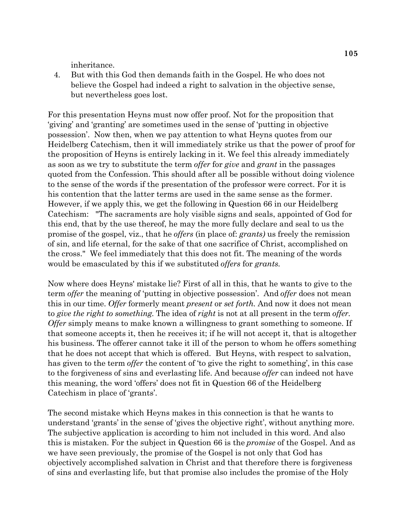inheritance.

 4. But with this God then demands faith in the Gospel. He who does not believe the Gospel had indeed a right to salvation in the objective sense, but nevertheless goes lost.

For this presentation Heyns must now offer proof. Not for the proposition that 'giving' and 'granting' are sometimes used in the sense of 'putting in objective possession'. Now then, when we pay attention to what Heyns quotes from our Heidelberg Catechism, then it will immediately strike us that the power of proof for the proposition of Heyns is entirely lacking in it. We feel this already immediately as soon as we try to substitute the term *offer* for *give* and *grant* in the passages quoted from the Confession. This should after all be possible without doing violence to the sense of the words if the presentation of the professor were correct. For it is his contention that the latter terms are used in the same sense as the former. However, if we apply this, we get the following in Question 66 in our Heidelberg Catechism: "The sacraments are holy visible signs and seals, appointed of God for this end, that by the use thereof, he may the more fully declare and seal to us the promise of the gospel, viz., that he *offers* (in place of: *grants)* us freely the remission of sin, and life eternal, for the sake of that one sacrifice of Christ, accomplished on the cross." We feel immediately that this does not fit. The meaning of the words would be emasculated by this if we substituted *offers* for *grants.*

Now where does Heyns' mistake lie? First of all in this, that he wants to give to the term *offer* the meaning of 'putting in objective possession'. And *offer* does not mean this in our time. *Offer* formerly meant *present* or *set forth.* And now it does not mean to *give the right to something.* The idea of *right* is not at all present in the term *offer. Offer* simply means to make known a willingness to grant something to someone. If that someone accepts it, then he receives it; if he will not accept it, that is altogether his business. The offerer cannot take it ill of the person to whom he offers something that he does not accept that which is offered. But Heyns, with respect to salvation, has given to the term *offer* the content of 'to give the right to something', in this case to the forgiveness of sins and everlasting life. And because *offer* can indeed not have this meaning, the word 'offers' does not fit in Question 66 of the Heidelberg Catechism in place of 'grants'.

The second mistake which Heyns makes in this connection is that he wants to understand 'grants' in the sense of 'gives the objective right', without anything more. The subjective application is according to him not included in this word. And also this is mistaken. For the subject in Question 66 is the *promise* of the Gospel. And as we have seen previously, the promise of the Gospel is not only that God has objectively accomplished salvation in Christ and that therefore there is forgiveness of sins and everlasting life, but that promise also includes the promise of the Holy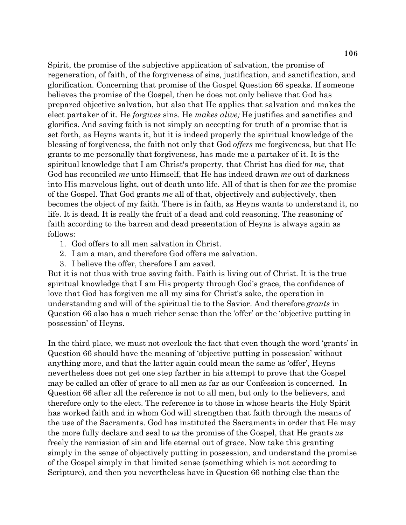Spirit, the promise of the subjective application of salvation, the promise of regeneration, of faith, of the forgiveness of sins, justification, and sanctification, and glorification. Concerning that promise of the Gospel Question 66 speaks. If someone believes the promise of the Gospel, then he does not only believe that God has prepared objective salvation, but also that He applies that salvation and makes the elect partaker of it. He *forgives* sins. He *makes alive;* He justifies and sanctifies and glorifies. And saving faith is not simply an accepting for truth of a promise that is set forth, as Heyns wants it, but it is indeed properly the spiritual knowledge of the blessing of forgiveness, the faith not only that God *offers* me forgiveness, but that He grants to me personally that forgiveness, has made me a partaker of it. It is the spiritual knowledge that I am Christ's property, that Christ has died for *me,* that God has reconciled *me* unto Himself, that He has indeed drawn *me* out of darkness into His marvelous light, out of death unto life. All of that is then for *me* the promise of the Gospel. That God grants *me* all of that, objectively and subjectively, then becomes the object of my faith. There is in faith, as Heyns wants to understand it, no life. It is dead. It is really the fruit of a dead and cold reasoning. The reasoning of faith according to the barren and dead presentation of Heyns is always again as follows:

- 1. God offers to all men salvation in Christ.
- 2. I am a man, and therefore God offers me salvation.
- 3. I believe the offer, therefore I am saved.

But it is not thus with true saving faith. Faith is living out of Christ. It is the true spiritual knowledge that I am His property through God's grace, the confidence of love that God has forgiven me all my sins for Christ's sake, the operation in understanding and will of the spiritual tie to the Savior. And therefore *grants* in Question 66 also has a much richer sense than the 'offer' or the 'objective putting in possession' of Heyns.

In the third place, we must not overlook the fact that even though the word 'grants' in Question 66 should have the meaning of 'objective putting in possession' without anything more, and that the latter again could mean the same as 'offer', Heyns nevertheless does not get one step farther in his attempt to prove that the Gospel may be called an offer of grace to all men as far as our Confession is concerned. In Question 66 after all the reference is not to all men, but only to the believers, and therefore only to the elect. The reference is to those in whose hearts the Holy Spirit has worked faith and in whom God will strengthen that faith through the means of the use of the Sacraments. God has instituted the Sacraments in order that He may the more fully declare and seal to *us* the promise of the Gospel, that He grants *us*  freely the remission of sin and life eternal out of grace. Now take this granting simply in the sense of objectively putting in possession, and understand the promise of the Gospel simply in that limited sense (something which is not according to Scripture), and then you nevertheless have in Question 66 nothing else than the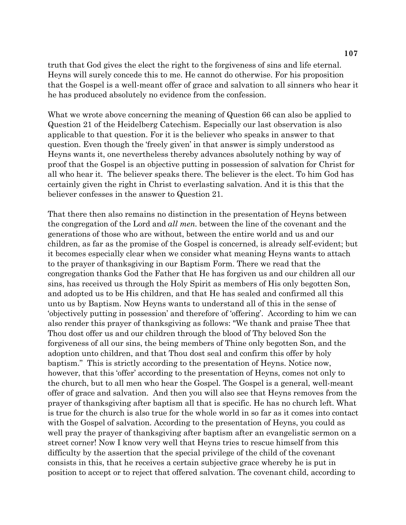truth that God gives the elect the right to the forgiveness of sins and life eternal. Heyns will surely concede this to me. He cannot do otherwise. For his proposition that the Gospel is a well-meant offer of grace and salvation to all sinners who hear it he has produced absolutely no evidence from the confession.

What we wrote above concerning the meaning of Question 66 can also be applied to Question 21 of the Heidelberg Catechism. Especially our last observation is also applicable to that question. For it is the believer who speaks in answer to that question. Even though the 'freely given' in that answer is simply understood as Heyns wants it, one nevertheless thereby advances absolutely nothing by way of proof that the Gospel is an objective putting in possession of salvation for Christ for all who hear it. The believer speaks there. The believer is the elect. To him God has certainly given the right in Christ to everlasting salvation. And it is this that the believer confesses in the answer to Question 21.

That there then also remains no distinction in the presentation of Heyns between the congregation of the Lord and *all men.* between the line of the covenant and the generations of those who are without, between the entire world and us and our children, as far as the promise of the Gospel is concerned, is already self-evident; but it becomes especially clear when we consider what meaning Heyns wants to attach to the prayer of thanksgiving in our Baptism Form. There we read that the congregation thanks God the Father that He has forgiven us and our children all our sins, has received us through the Holy Spirit as members of His only begotten Son, and adopted us to be His children, and that He has sealed and confirmed all this unto us by Baptism. Now Heyns wants to understand all of this in the sense of 'objectively putting in possession' and therefore of 'offering'. According to him we can also render this prayer of thanksgiving as follows: "We thank and praise Thee that Thou dost offer us and our children through the blood of Thy beloved Son the forgiveness of all our sins, the being members of Thine only begotten Son, and the adoption unto children, and that Thou dost seal and confirm this offer by holy baptism." This is strictly according to the presentation of Heyns. Notice now, however, that this 'offer' according to the presentation of Heyns, comes not only to the church, but to all men who hear the Gospel. The Gospel is a general, well-meant offer of grace and salvation. And then you will also see that Heyns removes from the prayer of thanksgiving after baptism all that is specific. He has no church left. What is true for the church is also true for the whole world in so far as it comes into contact with the Gospel of salvation. According to the presentation of Heyns, you could as well pray the prayer of thanksgiving after baptism after an evangelistic sermon on a street corner! Now I know very well that Heyns tries to rescue himself from this difficulty by the assertion that the special privilege of the child of the covenant consists in this, that he receives a certain subjective grace whereby he is put in position to accept or to reject that offered salvation. The covenant child, according to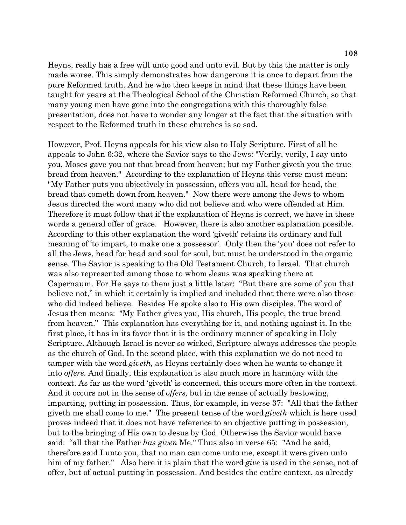Heyns, really has a free will unto good and unto evil. But by this the matter is only made worse. This simply demonstrates how dangerous it is once to depart from the pure Reformed truth. And he who then keeps in mind that these things have been taught for years at the Theological School of the Christian Reformed Church, so that many young men have gone into the congregations with this thoroughly false presentation, does not have to wonder any longer at the fact that the situation with respect to the Reformed truth in these churches is so sad.

However, Prof. Heyns appeals for his view also to Holy Scripture. First of all he appeals to John 6:32, where the Savior says to the Jews: "Verily, verily, I say unto you, Moses gave you not that bread from heaven; but my Father giveth you the true bread from heaven." According to the explanation of Heyns this verse must mean: "My Father puts you objectively in possession, offers you all, head for head, the bread that cometh down from heaven." Now there were among the Jews to whom Jesus directed the word many who did not believe and who were offended at Him. Therefore it must follow that if the explanation of Heyns is correct, we have in these words a general offer of grace. However, there is also another explanation possible. According to this other explanation the word 'giveth' retains its ordinary and full meaning of 'to impart, to make one a possessor'. Only then the 'you' does not refer to all the Jews, head for head and soul for soul, but must be understood in the organic sense. The Savior is speaking to the Old Testament Church, to Israel. That church was also represented among those to whom Jesus was speaking there at Capernaum. For He says to them just a little later: "But there are some of you that believe not," in which it certainly is implied and included that there were also those who did indeed believe. Besides He spoke also to His own disciples. The word of Jesus then means: "My Father gives you, His church, His people, the true bread from heaven." This explanation has everything for it, and nothing against it. In the first place, it has in its favor that it is the ordinary manner of speaking in Holy Scripture. Although Israel is never so wicked, Scripture always addresses the people as the church of God. In the second place, with this explanation we do not need to tamper with the word *giveth,* as Heyns certainly does when he wants to change it into *offers.* And finally, this explanation is also much more in harmony with the context. As far as the word 'giveth' is concerned, this occurs more often in the context. And it occurs not in the sense of *offers,* but in the sense of actually bestowing, imparting, putting in possession. Thus, for example, in verse 37: "All that the father giveth me shall come to me." The present tense of the word *giveth* which is here used proves indeed that it does not have reference to an objective putting in possession, but to the bringing of His own to Jesus by God. Otherwise the Savior would have said: "all that the Father *has given* Me." Thus also in verse 65: "And he said, therefore said I unto you, that no man can come unto me, except it were given unto him of my father." Also here it is plain that the word *give* is used in the sense, not of offer, but of actual putting in possession. And besides the entire context, as already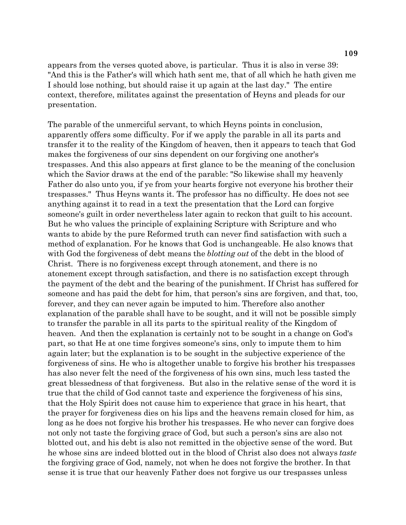appears from the verses quoted above, is particular. Thus it is also in verse 39: "And this is the Father's will which hath sent me, that of all which he hath given me I should lose nothing, but should raise it up again at the last day." The entire context, therefore, militates against the presentation of Heyns and pleads for our presentation.

The parable of the unmerciful servant, to which Heyns points in conclusion, apparently offers some difficulty. For if we apply the parable in all its parts and transfer it to the reality of the Kingdom of heaven, then it appears to teach that God makes the forgiveness of our sins dependent on our forgiving one another's trespasses. And this also appears at first glance to be the meaning of the conclusion which the Savior draws at the end of the parable: "So likewise shall my heavenly Father do also unto you, if ye from your hearts forgive not everyone his brother their trespasses." Thus Heyns wants it. The professor has no difficulty. He does not see anything against it to read in a text the presentation that the Lord can forgive someone's guilt in order nevertheless later again to reckon that guilt to his account. But he who values the principle of explaining Scripture with Scripture and who wants to abide by the pure Reformed truth can never find satisfaction with such a method of explanation. For he knows that God is unchangeable. He also knows that with God the forgiveness of debt means the *blotting out* of the debt in the blood of Christ. There is no forgiveness except through atonement, and there is no atonement except through satisfaction, and there is no satisfaction except through the payment of the debt and the bearing of the punishment. If Christ has suffered for someone and has paid the debt for him, that person's sins are forgiven, and that, too, forever, and they can never again be imputed to him. Therefore also another explanation of the parable shall have to be sought, and it will not be possible simply to transfer the parable in all its parts to the spiritual reality of the Kingdom of heaven. And then the explanation is certainly not to be sought in a change on God's part, so that He at one time forgives someone's sins, only to impute them to him again later; but the explanation is to be sought in the subjective experience of the forgiveness of sins. He who is altogether unable to forgive his brother his trespasses has also never felt the need of the forgiveness of his own sins, much less tasted the great blessedness of that forgiveness. But also in the relative sense of the word it is true that the child of God cannot taste and experience the forgiveness of his sins, that the Holy Spirit does not cause him to experience that grace in his heart, that the prayer for forgiveness dies on his lips and the heavens remain closed for him, as long as he does not forgive his brother his trespasses. He who never can forgive does not only not taste the forgiving grace of God, but such a person's sins are also not blotted out, and his debt is also not remitted in the objective sense of the word. But he whose sins are indeed blotted out in the blood of Christ also does not always *taste*  the forgiving grace of God, namely, not when he does not forgive the brother. In that sense it is true that our heavenly Father does not forgive us our trespasses unless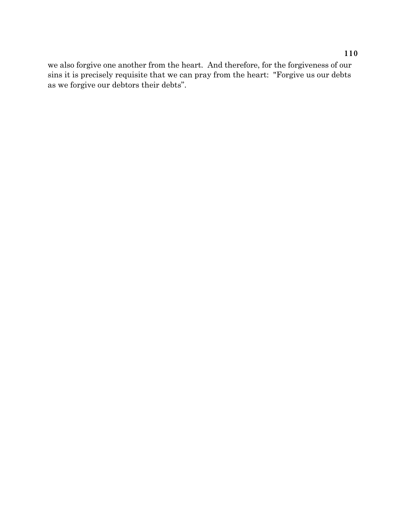we also forgive one another from the heart. And therefore, for the forgiveness of our sins it is precisely requisite that we can pray from the heart: "Forgive us our debts as we forgive our debtors their debts".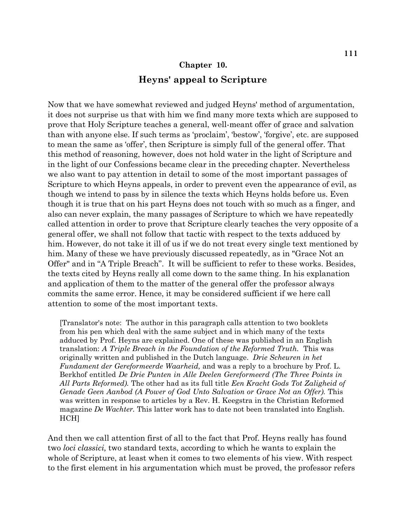# **Chapter 10. Heyns' appeal to Scripture**

Now that we have somewhat reviewed and judged Heyns' method of argumentation, it does not surprise us that with him we find many more texts which are supposed to prove that Holy Scripture teaches a general, well-meant offer of grace and salvation than with anyone else. If such terms as 'proclaim', 'bestow', 'forgive', etc. are supposed to mean the same as 'offer', then Scripture is simply full of the general offer. That this method of reasoning, however, does not hold water in the light of Scripture and in the light of our Confessions became clear in the preceding chapter. Nevertheless we also want to pay attention in detail to some of the most important passages of Scripture to which Heyns appeals, in order to prevent even the appearance of evil, as though we intend to pass by in silence the texts which Heyns holds before us. Even though it is true that on his part Heyns does not touch with so much as a finger, and also can never explain, the many passages of Scripture to which we have repeatedly called attention in order to prove that Scripture clearly teaches the very opposite of a general offer, we shall not follow that tactic with respect to the texts adduced by him. However, do not take it ill of us if we do not treat every single text mentioned by him. Many of these we have previously discussed repeatedly, as in "Grace Not an Offer" and in "A Triple Breach". It will be sufficient to refer to these works. Besides, the texts cited by Heyns really all come down to the same thing. In his explanation and application of them to the matter of the general offer the professor always commits the same error. Hence, it may be considered sufficient if we here call attention to some of the most important texts.

[Translator's note: The author in this paragraph calls attention to two booklets from his pen which deal with the same subject and in which many of the texts adduced by Prof. Heyns are explained. One of these was published in an English translation: *A Triple Breach in the Foundation of the Reformed Truth.* This was originally written and published in the Dutch language. *Drie Scheuren in het Fundament der Gereformeerde Waarheid,* and was a reply to a brochure by Prof. L. Berkhof entitled *De Drie Punten in Alle Deelen Gereformeerd (The Three Points in All Parts Reformed).* The other had as its full title *Een Kracht Gods Tot Zaligheid of Genade Geen Aanbod (A Power of God Unto Salvation or Grace Not an Offer).* This was written in response to articles by a Rev. H. Keegstra in the Christian Reformed magazine *De Wachter.* This latter work has to date not been translated into English. HCH]

And then we call attention first of all to the fact that Prof. Heyns really has found two *loci classici,* two standard texts, according to which he wants to explain the whole of Scripture, at least when it comes to two elements of his view. With respect to the first element in his argumentation which must be proved, the professor refers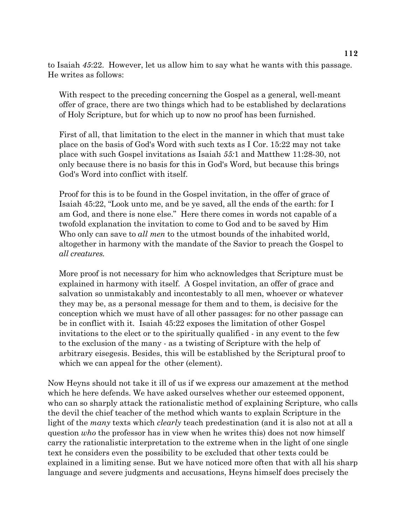to Isaiah *45*:22. However, let us allow him to say what he wants with this passage. He writes as follows:

With respect to the preceding concerning the Gospel as a general, well-meant offer of grace, there are two things which had to be established by declarations of Holy Scripture, but for which up to now no proof has been furnished.

First of all, that limitation to the elect in the manner in which that must take place on the basis of God's Word with such texts as I Cor. 15:22 may not take place with such Gospel invitations as Isaiah *55:*1 and Matthew 11:28-30, not only because there is no basis for this in God's Word, but because this brings God's Word into conflict with itself.

Proof for this is to be found in the Gospel invitation, in the offer of grace of Isaiah 45:22, "Look unto me, and be ye saved, all the ends of the earth: for I am God, and there is none else." Here there comes in words not capable of a twofold explanation the invitation to come to God and to be saved by Him Who only can save to *all men* to the utmost bounds of the inhabited world, altogether in harmony with the mandate of the Savior to preach the Gospel to *all creatures.*

More proof is not necessary for him who acknowledges that Scripture must be explained in harmony with itself. A Gospel invitation, an offer of grace and salvation so unmistakably and incontestably to all men, whoever or whatever they may be, as a personal message for them and to them, is decisive for the conception which we must have of all other passages: for no other passage can be in conflict with it. Isaiah 45:22 exposes the limitation of other Gospel invitations to the elect or to the spiritually qualified - in any event to the few to the exclusion of the many - as a twisting of Scripture with the help of arbitrary eisegesis. Besides, this will be established by the Scriptural proof to which we can appeal for the other (element).

Now Heyns should not take it ill of us if we express our amazement at the method which he here defends. We have asked ourselves whether our esteemed opponent, who can so sharply attack the rationalistic method of explaining Scripture, who calls the devil the chief teacher of the method which wants to explain Scripture in the light of the *many* texts which *clearly* teach predestination (and it is also not at all a question *who* the professor has in view when he writes this) does not now himself carry the rationalistic interpretation to the extreme when in the light of one single text he considers even the possibility to be excluded that other texts could be explained in a limiting sense. But we have noticed more often that with all his sharp language and severe judgments and accusations, Heyns himself does precisely the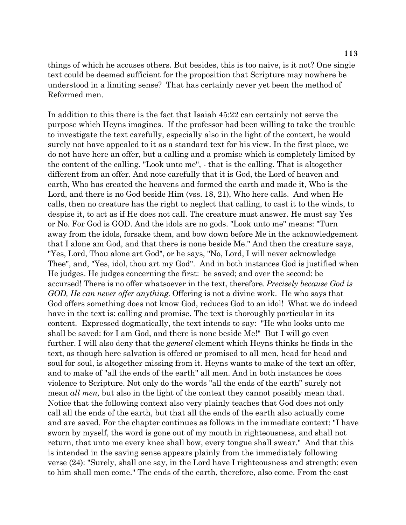things of which he accuses others. But besides, this is too naive, is it not? One single text could be deemed sufficient for the proposition that Scripture may nowhere be understood in a limiting sense? That has certainly never yet been the method of Reformed men.

In addition to this there is the fact that Isaiah 45:22 can certainly not serve the purpose which Heyns imagines. If the professor had been willing to take the trouble to investigate the text carefully, especially also in the light of the context, he would surely not have appealed to it as a standard text for his view. In the first place, we do not have here an offer, but a calling and a promise which is completely limited by the content of the calling. "Look unto me", - that is the calling. That is altogether different from an offer. And note carefully that it is God, the Lord of heaven and earth, Who has created the heavens and formed the earth and made it, Who is the Lord, and there is no God beside Him (vss. 18, 21), Who here calls. And when He calls, then no creature has the right to neglect that calling, to cast it to the winds, to despise it, to act as if He does not call. The creature must answer. He must say Yes or No. For God is GOD. And the idols are no gods. "Look unto me" means: "Turn away from the idols, forsake them, and bow down before Me in the acknowledgement that I alone am God, and that there is none beside Me." And then the creature says, "Yes, Lord, Thou alone art God", or he says, "No, Lord, I will never acknowledge Thee", and, "Yes, idol, thou art my God". And in both instances God is justified when He judges. He judges concerning the first: be saved; and over the second: be accursed! There is no offer whatsoever in the text, therefore. *Precisely because God is GOD, He can never offer anything.* Offering is not a divine work. He who says that God offers something does not know God, reduces God to an idol! What we do indeed have in the text is: calling and promise. The text is thoroughly particular in its content. Expressed dogmatically, the text intends to say: "He who looks unto me shall be saved: for I am God, and there is none beside Me!" But I will go even further. I will also deny that the *general* element which Heyns thinks he finds in the text, as though here salvation is offered or promised to all men, head for head and soul for soul, is altogether missing from it. Heyns wants to make of the text an offer, and to make of "all the ends of the earth" all men. And in both instances he does violence to Scripture. Not only do the words "all the ends of the earth" surely not mean *all men*, but also in the light of the context they cannot possibly mean that. Notice that the following context also very plainly teaches that God does not only call all the ends of the earth, but that all the ends of the earth also actually come and are saved. For the chapter continues as follows in the immediate context: "I have sworn by myself, the word is gone out of my mouth in righteousness, and shall not return, that unto me every knee shall bow, every tongue shall swear." And that this is intended in the saving sense appears plainly from the immediately following verse (24): "Surely, shall one say, in the Lord have I righteousness and strength: even to him shall men come." The ends of the earth, therefore, also come. From the east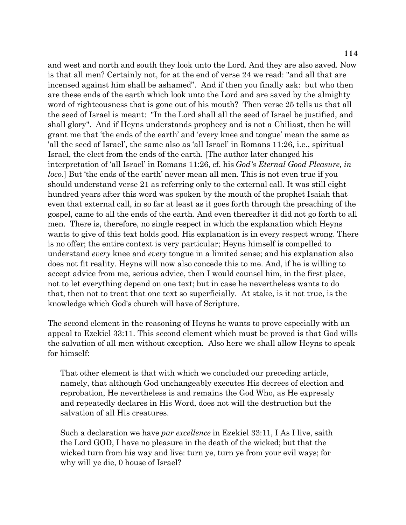and west and north and south they look unto the Lord. And they are also saved. Now is that all men? Certainly not, for at the end of verse 24 we read: "and all that are incensed against him shall be ashamed". And if then you finally ask: but who then are these ends of the earth which look unto the Lord and are saved by the almighty word of righteousness that is gone out of his mouth? Then verse 25 tells us that all the seed of Israel is meant: "In the Lord shall all the seed of Israel be justified, and shall glory". And if Heyns understands prophecy and is not a Chiliast, then he will grant me that 'the ends of the earth' and 'every knee and tongue' mean the same as 'all the seed of Israel', the same also as 'all Israel' in Romans 11:26, i.e., spiritual Israel, the elect from the ends of the earth. [The author later changed his interpretation of 'all Israel' in Romans 11:26, cf. his *God's Eternal Good Pleasure, in loco.*] But 'the ends of the earth' never mean all men. This is not even true if you should understand verse 21 as referring only to the external call. It was still eight hundred years after this word was spoken by the mouth of the prophet Isaiah that even that external call, in so far at least as it goes forth through the preaching of the gospel, came to all the ends of the earth. And even thereafter it did not go forth to all men. There is, therefore, no single respect in which the explanation which Heyns wants to give of this text holds good. His explanation is in every respect wrong. There is no offer; the entire context is very particular; Heyns himself is compelled to understand *every* knee and *every* tongue in a limited sense; and his explanation also does not fit reality. Heyns will now also concede this to me. And, if he is willing to accept advice from me, serious advice, then I would counsel him, in the first place, not to let everything depend on one text; but in case he nevertheless wants to do that, then not to treat that one text so superficially. At stake, is it not true, is the knowledge which God's church will have of Scripture.

The second element in the reasoning of Heyns he wants to prove especially with an appeal to Ezekiel 33:11. This second element which must be proved is that God wills the salvation of all men without exception. Also here we shall allow Heyns to speak for himself:

That other element is that with which we concluded our preceding article, namely, that although God unchangeably executes His decrees of election and reprobation, He nevertheless is and remains the God Who, as He expressly and repeatedly declares in His Word, does not will the destruction but the salvation of all His creatures.

Such a declaration we have *par excellence* in Ezekiel 33:11, I As I live, saith the Lord GOD, I have no pleasure in the death of the wicked; but that the wicked turn from his way and live: turn ye, turn ye from your evil ways; for why will ye die, 0 house of Israel?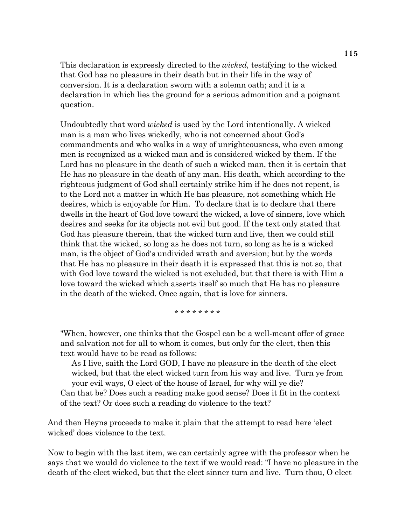This declaration is expressly directed to the *wicked,* testifying to the wicked that God has no pleasure in their death but in their life in the way of conversion. It is a declaration sworn with a solemn oath; and it is a declaration in which lies the ground for a serious admonition and a poignant question.

Undoubtedly that word *wicked* is used by the Lord intentionally. A wicked man is a man who lives wickedly, who is not concerned about God's commandments and who walks in a way of unrighteousness, who even among men is recognized as a wicked man and is considered wicked by them. If the Lord has no pleasure in the death of such a wicked man, then it is certain that He has no pleasure in the death of any man. His death, which according to the righteous judgment of God shall certainly strike him if he does not repent, is to the Lord not a matter in which He has pleasure, not something which He desires, which is enjoyable for Him. To declare that is to declare that there dwells in the heart of God love toward the wicked, a love of sinners, love which desires and seeks for its objects not evil but good. If the text only stated that God has pleasure therein, that the wicked turn and live, then we could still think that the wicked, so long as he does not turn, so long as he is a wicked man, is the object of God's undivided wrath and aversion; but by the words that He has no pleasure in their death it is expressed that this is not so, that with God love toward the wicked is not excluded, but that there is with Him a love toward the wicked which asserts itself so much that He has no pleasure in the death of the wicked. Once again, that is love for sinners.

\* \* \* \* \* \* \* \*

"When, however, one thinks that the Gospel can be a well-meant offer of grace and salvation not for all to whom it comes, but only for the elect, then this text would have to be read as follows:

As I live, saith the Lord GOD, I have no pleasure in the death of the elect wicked, but that the elect wicked turn from his way and live. Turn ye from your evil ways, O elect of the house of Israel, for why will ye die? Can that be? Does such a reading make good sense? Does it fit in the context of the text? Or does such a reading do violence to the text?

And then Heyns proceeds to make it plain that the attempt to read here 'elect wicked' does violence to the text.

Now to begin with the last item, we can certainly agree with the professor when he says that we would do violence to the text if we would read: "I have no pleasure in the death of the elect wicked, but that the elect sinner turn and live. Turn thou, O elect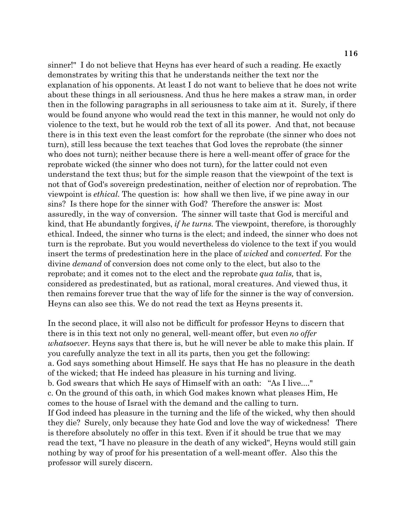sinner!" I do not believe that Heyns has ever heard of such a reading. He exactly demonstrates by writing this that he understands neither the text nor the explanation of his opponents. At least I do not want to believe that he does not write about these things in all seriousness. And thus he here makes a straw man, in order then in the following paragraphs in all seriousness to take aim at it. Surely, if there would be found anyone who would read the text in this manner, he would not only do violence to the text, but he would rob the text of all its power. And that, not because there is in this text even the least comfort for the reprobate (the sinner who does not turn), still less because the text teaches that God loves the reprobate (the sinner who does not turn); neither because there is here a well-meant offer of grace for the reprobate wicked (the sinner who does not turn), for the latter could not even understand the text thus; but for the simple reason that the viewpoint of the text is not that of God's sovereign predestination, neither of election nor of reprobation. The viewpoint is *ethical.* The question is: how shall we then live, if we pine away in our sins? Is there hope for the sinner with God? Therefore the answer is: Most assuredly, in the way of conversion. The sinner will taste that God is merciful and kind, that He abundantly forgives, *if he turns.* The viewpoint, therefore, is thoroughly ethical. Indeed, the sinner who turns is the elect; and indeed, the sinner who does not turn is the reprobate. But you would nevertheless do violence to the text if you would insert the terms of predestination here in the place of *wicked* and *converted.* For the divine *demand* of conversion does not come only to the elect, but also to the reprobate; and it comes not to the elect and the reprobate *qua talis,* that is, considered as predestinated, but as rational, moral creatures. And viewed thus, it then remains forever true that the way of life for the sinner is the way of conversion. Heyns can also see this. We do not read the text as Heyns presents it.

In the second place, it will also not be difficult for professor Heyns to discern that there is in this text not only no general, well-meant offer, but even *no offer whatsoever*. Heyns says that there is, but he will never be able to make this plain. If you carefully analyze the text in all its parts, then you get the following: a. God says something about Himself. He says that He has no pleasure in the death of the wicked; that He indeed has pleasure in his turning and living. b. God swears that which He says of Himself with an oath: "As I live...." c. On the ground of this oath, in which God makes known what pleases Him, He comes to the house of Israel with the demand and the calling to turn. If God indeed has pleasure in the turning and the life of the wicked, why then should they die? Surely, only because they hate God and love the way of wickedness! There is therefore absolutely no offer in this text. Even if it should be true that we may read the text, "I have no pleasure in the death of any wicked", Heyns would still gain nothing by way of proof for his presentation of a well-meant offer. Also this the professor will surely discern.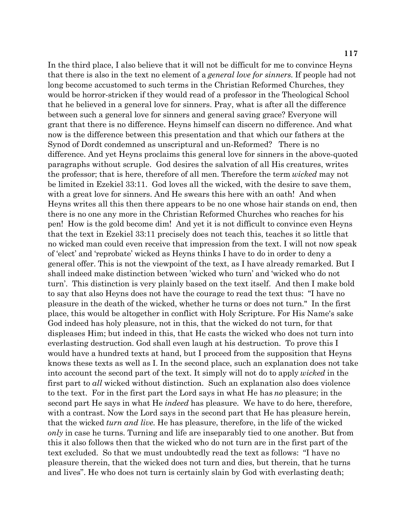In the third place, I also believe that it will not be difficult for me to convince Heyns that there is also in the text no element of a *general love for sinners.* If people had not long become accustomed to such terms in the Christian Reformed Churches, they would be horror-stricken if they would read of a professor in the Theological School that he believed in a general love for sinners. Pray, what is after all the difference between such a general love for sinners and general saving grace? Everyone will grant that there is no difference. Heyns himself can discern no difference. And what now is the difference between this presentation and that which our fathers at the Synod of Dordt condemned as unscriptural and un-Reformed? There is no difference. And yet Heyns proclaims this general love for sinners in the above-quoted paragraphs without scruple. God desires the salvation of all His creatures, writes the professor; that is here, therefore of all men. Therefore the term *wicked* may not be limited in Ezekiel 33:11. God loves all the wicked, with the desire to save them, with a great love for sinners. And He swears this here with an oath! And when Heyns writes all this then there appears to be no one whose hair stands on end, then there is no one any more in the Christian Reformed Churches who reaches for his pen! How is the gold become dim! And yet it is not difficult to convince even Heyns that the text in Ezekiel 33:11 precisely does not teach this, teaches it so little that no wicked man could even receive that impression from the text. I will not now speak of 'elect' and 'reprobate' wicked as Heyns thinks I have to do in order to deny a general offer. This is not the viewpoint of the text, as I have already remarked. But I shall indeed make distinction between 'wicked who turn' and 'wicked who do not turn'. This distinction is very plainly based on the text itself. And then I make bold to say that also Heyns does not have the courage to read the text thus: "I have no pleasure in the death of the wicked, whether he turns or does not turn." In the first place, this would be altogether in conflict with Holy Scripture. For His Name's sake God indeed has holy pleasure, not in this, that the wicked do not turn, for that displeases Him; but indeed in this, that He casts the wicked who does not turn into everlasting destruction. God shall even laugh at his destruction. To prove this I would have a hundred texts at hand, but I proceed from the supposition that Heyns knows these texts as well as I. In the second place, such an explanation does not take into account the second part of the text. It simply will not do to apply *wicked* in the first part to *all* wicked without distinction. Such an explanation also does violence to the text. For in the first part the Lord says in what He has *no* pleasure; in the second part He says in what He *indeed* has pleasure. We have to do here, therefore, with a contrast. Now the Lord says in the second part that He has pleasure herein, that the wicked *turn and live.* He has pleasure, therefore, in the life of the wicked *only* in case he turns. Turning and life are inseparably tied to one another. But from this it also follows then that the wicked who do not turn are in the first part of the text excluded. So that we must undoubtedly read the text as follows: "I have no pleasure therein, that the wicked does not turn and dies, but therein, that he turns and lives". He who does not turn is certainly slain by God with everlasting death;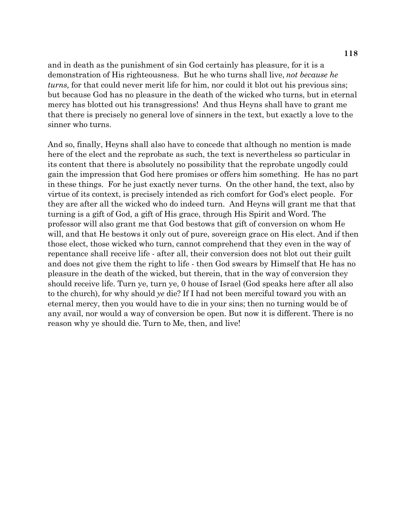and in death as the punishment of sin God certainly has pleasure, for it is a demonstration of His righteousness. But he who turns shall live, *not because he turns,* for that could never merit life for him, nor could it blot out his previous sins; but because God has no pleasure in the death of the wicked who turns, but in eternal mercy has blotted out his transgressions! And thus Heyns shall have to grant me that there is precisely no general love of sinners in the text, but exactly a love to the sinner who turns.

And so, finally, Heyns shall also have to concede that although no mention is made here of the elect and the reprobate as such, the text is nevertheless so particular in its content that there is absolutely no possibility that the reprobate ungodly could gain the impression that God here promises or offers him something. He has no part in these things. For he just exactly never turns. On the other hand, the text, also by virtue of its context, is precisely intended as rich comfort for God's elect people. For they are after all the wicked who do indeed turn. And Heyns will grant me that that turning is a gift of God, a gift of His grace, through His Spirit and Word. The professor will also grant me that God bestows that gift of conversion on whom He will, and that He bestows it only out of pure, sovereign grace on His elect. And if then those elect, those wicked who turn, cannot comprehend that they even in the way of repentance shall receive life - after all, their conversion does not blot out their guilt and does not give them the right to life - then God swears by Himself that He has no pleasure in the death of the wicked, but therein, that in the way of conversion they should receive life. Turn ye, turn ye, 0 house of Israel (God speaks here after all also to the church), for why should *ye* die? If I had not been merciful toward you with an eternal mercy, then you would have to die in your sins; then no turning would be of any avail, nor would a way of conversion be open. But now it is different. There is no reason why ye should die. Turn to Me, then, and live!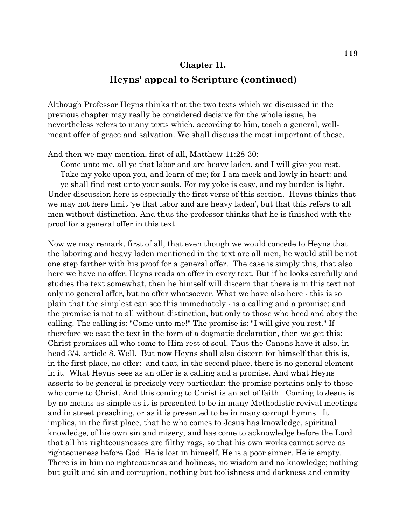#### **Chapter 11.**

## **Heyns' appeal to Scripture (continued)**

Although Professor Heyns thinks that the two texts which we discussed in the previous chapter may really be considered decisive for the whole issue, he nevertheless refers to many texts which, according to him, teach a general, wellmeant offer of grace and salvation. We shall discuss the most important of these.

And then we may mention, first of all, Matthew 11:28-30:

Come unto me, all ye that labor and are heavy laden, and I will give you rest. Take my yoke upon you, and learn of me; for I am meek and lowly in heart: and ye shall find rest unto your souls. For my yoke is easy, and my burden is light. Under discussion here is especially the first verse of this section. Heyns thinks that we may not here limit 'ye that labor and are heavy laden', but that this refers to all men without distinction. And thus the professor thinks that he is finished with the proof for a general offer in this text.

Now we may remark, first of all, that even though we would concede to Heyns that the laboring and heavy laden mentioned in the text are all men, he would still be not one step farther with his proof for a general offer. The case is simply this, that also here we have no offer. Heyns reads an offer in every text. But if he looks carefully and studies the text somewhat, then he himself will discern that there is in this text not only no general offer, but no offer whatsoever. What we have also here - this is so plain that the simplest can see this immediately - is a calling and a promise; and the promise is not to all without distinction, but only to those who heed and obey the calling. The calling is: "Come unto me!" The promise is: "I will give you rest." If therefore we cast the text in the form of a dogmatic declaration, then we get this: Christ promises all who come to Him rest of soul. Thus the Canons have it also, in head 3/4, article 8. Well. But now Heyns shall also discern for himself that this is, in the first place, no offer: and that, in the second place, there is no general element in it. What Heyns sees as an offer is a calling and a promise. And what Heyns asserts to be general is precisely very particular: the promise pertains only to those who come to Christ. And this coming to Christ is an act of faith. Coming to Jesus is by no means as simple as it is presented to be in many Methodistic revival meetings and in street preaching, or as it is presented to be in many corrupt hymns. It implies, in the first place, that he who comes to Jesus has knowledge, spiritual knowledge, of his own sin and misery, and has come to acknowledge before the Lord that all his righteousnesses are filthy rags, so that his own works cannot serve as righteousness before God. He is lost in himself. He is a poor sinner. He is empty. There is in him no righteousness and holiness, no wisdom and no knowledge; nothing but guilt and sin and corruption, nothing but foolishness and darkness and enmity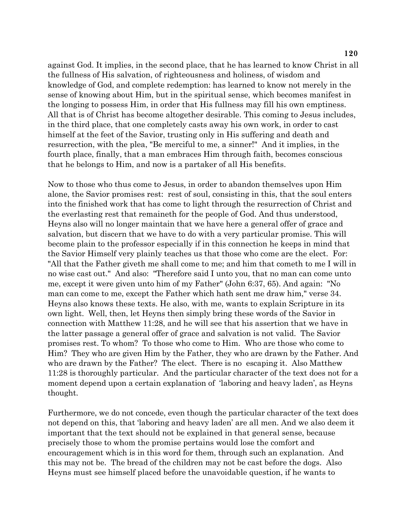against God. It implies, in the second place, that he has learned to know Christ in all the fullness of His salvation, of righteousness and holiness, of wisdom and knowledge of God, and complete redemption: has learned to know not merely in the sense of knowing about Him, but in the spiritual sense, which becomes manifest in the longing to possess Him, in order that His fullness may fill his own emptiness. All that is of Christ has become altogether desirable. This coming to Jesus includes, in the third place, that one completely casts away his own work, in order to cast himself at the feet of the Savior, trusting only in His suffering and death and resurrection, with the plea, "Be merciful to me, a sinner!" And it implies, in the fourth place, finally, that a man embraces Him through faith, becomes conscious that he belongs to Him, and now is a partaker of all His benefits.

Now to those who thus come to Jesus, in order to abandon themselves upon Him alone, the Savior promises rest: rest of soul, consisting in this, that the soul enters into the finished work that has come to light through the resurrection of Christ and the everlasting rest that remaineth for the people of God. And thus understood, Heyns also will no longer maintain that we have here a general offer of grace and salvation, but discern that we have to do with a very particular promise. This will become plain to the professor especially if in this connection he keeps in mind that the Savior Himself very plainly teaches us that those who come are the elect. For: "All that the Father giveth me shall come to me; and him that cometh to me I will in no wise cast out." And also: "Therefore said I unto you, that no man can come unto me, except it were given unto him of my Father" (John 6:37, 65). And again: "No man can come to me, except the Father which hath sent me draw him," verse 34. Heyns also knows these texts. He also, with me, wants to explain Scripture in its own light. Well, then, let Heyns then simply bring these words of the Savior in connection with Matthew 11:28, and he will see that his assertion that we have in the latter passage a general offer of grace and salvation is not valid. The Savior promises rest. To whom? To those who come to Him. Who are those who come to Him? They who are given Him by the Father, they who are drawn by the Father. And who are drawn by the Father? The elect. There is no escaping it. Also Matthew 11:28 is thoroughly particular. And the particular character of the text does not for a moment depend upon a certain explanation of 'laboring and heavy laden', as Heyns thought.

Furthermore, we do not concede, even though the particular character of the text does not depend on this, that 'laboring and heavy laden' are all men. And we also deem it important that the text should not be explained in that general sense, because precisely those to whom the promise pertains would lose the comfort and encouragement which is in this word for them, through such an explanation. And this may not be. The bread of the children may not be cast before the dogs. Also Heyns must see himself placed before the unavoidable question, if he wants to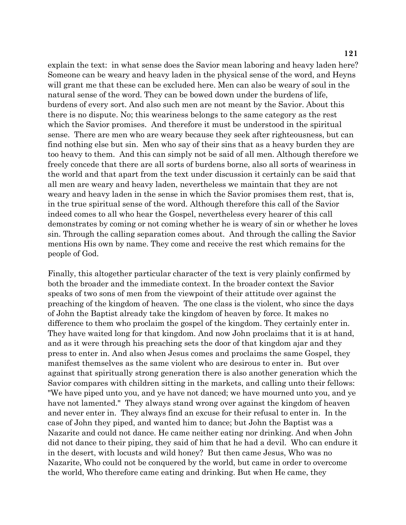explain the text: in what sense does the Savior mean laboring and heavy laden here? Someone can be weary and heavy laden in the physical sense of the word, and Heyns will grant me that these can be excluded here. Men can also be weary of soul in the natural sense of the word. They can be bowed down under the burdens of life, burdens of every sort. And also such men are not meant by the Savior. About this there is no dispute. No; this weariness belongs to the same category as the rest which the Savior promises. And therefore it must be understood in the spiritual sense. There are men who are weary because they seek after righteousness, but can find nothing else but sin. Men who say of their sins that as a heavy burden they are too heavy to them. And this can simply not be said of all men. Although therefore we freely concede that there are all sorts of burdens borne, also all sorts of weariness in the world and that apart from the text under discussion it certainly can be said that all men are weary and heavy laden, nevertheless we maintain that they are not weary and heavy laden in the sense in which the Savior promises them rest, that is, in the true spiritual sense of the word. Although therefore this call of the Savior indeed comes to all who hear the Gospel, nevertheless every hearer of this call demonstrates by coming or not coming whether he is weary of sin or whether he loves sin. Through the calling separation comes about. And through the calling the Savior mentions His own by name. They come and receive the rest which remains for the people of God.

Finally, this altogether particular character of the text is very plainly confirmed by both the broader and the immediate context. In the broader context the Savior speaks of two sons of men from the viewpoint of their attitude over against the preaching of the kingdom of heaven. The one class is the violent, who since the days of John the Baptist already take the kingdom of heaven by force. It makes no difference to them who proclaim the gospel of the kingdom. They certainly enter in. They have waited long for that kingdom. And now John proclaims that it is at hand, and as it were through his preaching sets the door of that kingdom ajar and they press to enter in. And also when Jesus comes and proclaims the same Gospel, they manifest themselves as the same violent who are desirous to enter in. But over against that spiritually strong generation there is also another generation which the Savior compares with children sitting in the markets, and calling unto their fellows: "We have piped unto you, and ye have not danced; we have mourned unto you, and ye have not lamented." They always stand wrong over against the kingdom of heaven and never enter in. They always find an excuse for their refusal to enter in. In the case of John they piped, and wanted him to dance; but John the Baptist was a Nazarite and could not dance. He came neither eating nor drinking. And when John did not dance to their piping, they said of him that he had a devil. Who can endure it in the desert, with locusts and wild honey? But then came Jesus, Who was no Nazarite, Who could not be conquered by the world, but came in order to overcome the world, Who therefore came eating and drinking. But when He came, they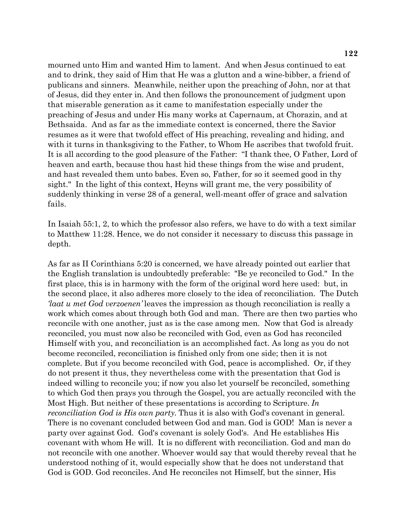mourned unto Him and wanted Him to lament. And when Jesus continued to eat and to drink, they said of Him that He was a glutton and a wine-bibber, a friend of publicans and sinners. Meanwhile, neither upon the preaching of John, nor at that of Jesus, did they enter in. And then follows the pronouncement of judgment upon that miserable generation as it came to manifestation especially under the preaching of Jesus and under His many works at Capernaum, at Chorazin, and at Bethsaida. And as far as the immediate context is concerned, there the Savior resumes as it were that twofold effect of His preaching, revealing and hiding, and with it turns in thanksgiving to the Father, to Whom He ascribes that twofold fruit. It is all according to the good pleasure of the Father: "I thank thee, O Father, Lord of heaven and earth, because thou hast hid these things from the wise and prudent, and hast revealed them unto babes. Even so, Father, for so it seemed good in thy sight." In the light of this context, Heyns will grant me, the very possibility of suddenly thinking in verse 28 of a general, well-meant offer of grace and salvation fails.

In Isaiah 55:1, 2, to which the professor also refers, we have to do with a text similar to Matthew 11:28. Hence, we do not consider it necessary to discuss this passage in depth.

As far as II Corinthians 5:20 is concerned, we have already pointed out earlier that the English translation is undoubtedly preferable: "Be ye reconciled to God." In the first place, this is in harmony with the form of the original word here used: but, in the second place, it also adheres more closely to the idea of reconciliation. The Dutch *'laat u met God verzoenen'* leaves the impression as though reconciliation is really a work which comes about through both God and man. There are then two parties who reconcile with one another, just as is the case among men. Now that God is already reconciled, you must now also be reconciled with God, even as God has reconciled Himself with you, and reconciliation is an accomplished fact. As long as you do not become reconciled, reconciliation is finished only from one side; then it is not complete. But if you become reconciled with God, peace is accomplished. Or, if they do not present it thus, they nevertheless come with the presentation that God is indeed willing to reconcile you; if now you also let yourself be reconciled, something to which God then prays you through the Gospel, you are actually reconciled with the Most High. But neither of these presentations is according to Scripture. *In reconciliation God is His own party.* Thus it is also with God's covenant in general. There is no covenant concluded between God and man. God is GOD! Man is never a party over against God. God's covenant is solely God's. And He establishes His covenant with whom He will. It is no different with reconciliation. God and man do not reconcile with one another. Whoever would say that would thereby reveal that he understood nothing of it, would especially show that he does not understand that God is GOD. God reconciles. And He reconciles not Himself, but the sinner, His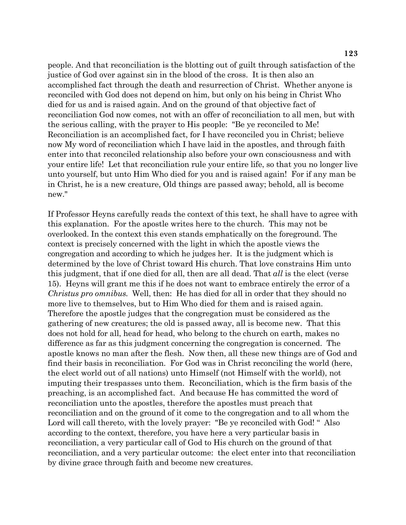people. And that reconciliation is the blotting out of guilt through satisfaction of the justice of God over against sin in the blood of the cross. It is then also an accomplished fact through the death and resurrection of Christ. Whether anyone is reconciled with God does not depend on him, but only on his being in Christ Who died for us and is raised again. And on the ground of that objective fact of reconciliation God now comes, not with an offer of reconciliation to all men, but with the serious calling, with the prayer to His people: "Be ye reconciled to Me! Reconciliation is an accomplished fact, for I have reconciled you in Christ; believe now My word of reconciliation which I have laid in the apostles, and through faith enter into that reconciled relationship also before your own consciousness and with your entire life! Let that reconciliation rule your entire life, so that you no longer live unto yourself, but unto Him Who died for you and is raised again! For if any man be in Christ, he is a new creature, Old things are passed away; behold, all is become new."

If Professor Heyns carefully reads the context of this text, he shall have to agree with this explanation. For the apostle writes here to the church. This may not be overlooked. In the context this even stands emphatically on the foreground. The context is precisely concerned with the light in which the apostle views the congregation and according to which he judges her. It is the judgment which is determined by the love of Christ toward His church. That love constrains Him unto this judgment, that if one died for all, then are all dead. That *all* is the elect (verse 15). Heyns will grant me this if he does not want to embrace entirely the error of a *Christus pro omnibus.* Well, then: He has died for all in order that they should no more live to themselves, but to Him Who died for them and is raised again. Therefore the apostle judges that the congregation must be considered as the gathering of new creatures; the old is passed away, all is become new. That this does not hold for all, head for head, who belong to the church on earth, makes no difference as far as this judgment concerning the congregation is concerned. The apostle knows no man after the flesh. Now then, all these new things are of God and find their basis in reconciliation. For God was in Christ reconciling the world (here, the elect world out of all nations) unto Himself (not Himself with the world), not imputing their trespasses unto them. Reconciliation, which is the firm basis of the preaching, is an accomplished fact. And because He has committed the word of reconciliation unto the apostles, therefore the apostles must preach that reconciliation and on the ground of it come to the congregation and to all whom the Lord will call thereto, with the lovely prayer: "Be ye reconciled with God! " Also according to the context, therefore, you have here a very particular basis in reconciliation, a very particular call of God to His church on the ground of that reconciliation, and a very particular outcome: the elect enter into that reconciliation by divine grace through faith and become new creatures.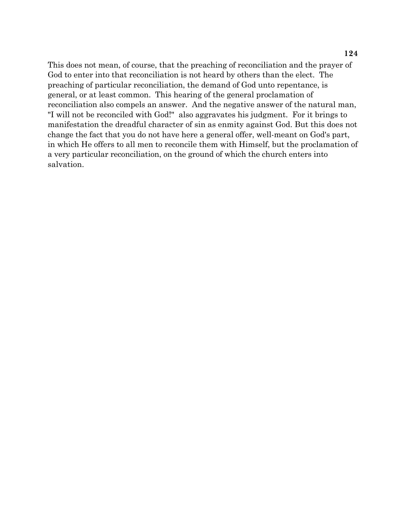This does not mean, of course, that the preaching of reconciliation and the prayer of God to enter into that reconciliation is not heard by others than the elect. The preaching of particular reconciliation, the demand of God unto repentance, is general, or at least common. This hearing of the general proclamation of reconciliation also compels an answer. And the negative answer of the natural man, "I will not be reconciled with God!" also aggravates his judgment. For it brings to manifestation the dreadful character of sin as enmity against God. But this does not change the fact that you do not have here a general offer, well-meant on God's part, in which He offers to all men to reconcile them with Himself, but the proclamation of a very particular reconciliation, on the ground of which the church enters into salvation.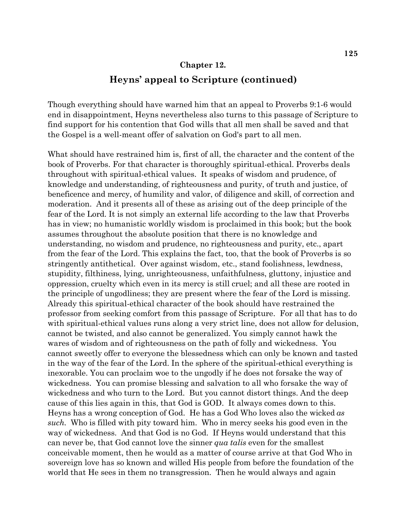#### **Chapter 12.**

### **Heyns' appeal to Scripture (continued)**

Though everything should have warned him that an appeal to Proverbs 9:1-6 would end in disappointment, Heyns nevertheless also turns to this passage of Scripture to find support for his contention that God wills that all men shall be saved and that the Gospel is a well-meant offer of salvation on God's part to all men.

What should have restrained him is, first of all, the character and the content of the book of Proverbs. For that character is thoroughly spiritual-ethical. Proverbs deals throughout with spiritual-ethical values. It speaks of wisdom and prudence, of knowledge and understanding, of righteousness and purity, of truth and justice, of beneficence and mercy, of humility and valor, of diligence and skill, of correction and moderation. And it presents all of these as arising out of the deep principle of the fear of the Lord. It is not simply an external life according to the law that Proverbs has in view; no humanistic worldly wisdom is proclaimed in this book; but the book assumes throughout the absolute position that there is no knowledge and understanding, no wisdom and prudence, no righteousness and purity, etc., apart from the fear of the Lord. This explains the fact, too, that the book of Proverbs is so stringently antithetical. Over against wisdom, etc., stand foolishness, lewdness, stupidity, filthiness, lying, unrighteousness, unfaithfulness, gluttony, injustice and oppression, cruelty which even in its mercy is still cruel; and all these are rooted in the principle of ungodliness; they are present where the fear of the Lord is missing. Already this spiritual-ethical character of the book should have restrained the professor from seeking comfort from this passage of Scripture. For all that has to do with spiritual-ethical values runs along a very strict line, does not allow for delusion, cannot be twisted, and also cannot be generalized. You simply cannot hawk the wares of wisdom and of righteousness on the path of folly and wickedness. You cannot sweetly offer to everyone the blessedness which can only be known and tasted in the way of the fear of the Lord. In the sphere of the spiritual-ethical everything is inexorable. You can proclaim woe to the ungodly if he does not forsake the way of wickedness. You can promise blessing and salvation to all who forsake the way of wickedness and who turn to the Lord. But you cannot distort things. And the deep cause of this lies again in this, that God is GOD. It always comes down to this. Heyns has a wrong conception of God. He has a God Who loves also the wicked *as such.* Who is filled with pity toward him. Who in mercy seeks his good even in the way of wickedness. And that God is no God. If Heyns would understand that this can never be, that God cannot love the sinner *qua talis* even for the smallest conceivable moment, then he would as a matter of course arrive at that God Who in sovereign love has so known and willed His people from before the foundation of the world that He sees in them no transgression. Then he would always and again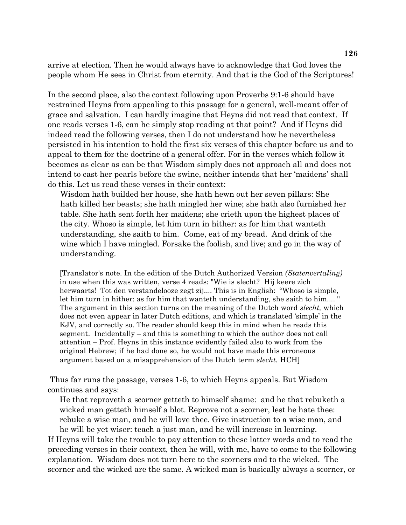arrive at election. Then he would always have to acknowledge that God loves the people whom He sees in Christ from eternity. And that is the God of the Scriptures!

In the second place, also the context following upon Proverbs 9:1-6 should have restrained Heyns from appealing to this passage for a general, well-meant offer of grace and salvation. I can hardly imagine that Heyns did not read that context. If one reads verses 1-6, can he simply stop reading at that point? And if Heyns did indeed read the following verses, then I do not understand how he nevertheless persisted in his intention to hold the first six verses of this chapter before us and to appeal to them for the doctrine of a general offer. For in the verses which follow it becomes as clear as can be that Wisdom simply does not approach all and does not intend to cast her pearls before the swine, neither intends that her 'maidens' shall do this. Let us read these verses in their context:

Wisdom hath builded her house, she hath hewn out her seven pillars: She hath killed her beasts; she hath mingled her wine; she hath also furnished her table. She hath sent forth her maidens; she crieth upon the highest places of the city. Whoso is simple, let him turn in hither: as for him that wanteth understanding, she saith to him. Come, eat of my bread. And drink of the wine which I have mingled. Forsake the foolish, and live; and go in the way of understanding.

[Translator's note. In the edition of the Dutch Authorized Version *(Statenvertaling)*  in use when this was written, verse 4 reads: "Wie is slecht? Hij keere zich herwaarts! Tot den verstandelooze zegt zij.... This is in English: "Whoso is simple, let him turn in hither: as for him that wanteth understanding, she saith to him.... " The argument in this section turns on the meaning of the Dutch word *slecht,* which does not even appear in later Dutch editions, and which is translated 'simple' in the KJV, and correctly so. The reader should keep this in mind when he reads this segment. Incidentally – and this is something to which the author does not call attention – Prof. Heyns in this instance evidently failed also to work from the original Hebrew; if he had done so, he would not have made this erroneous argument based on a misapprehension of the Dutch term *slecht.* HCH]

 Thus far runs the passage, verses 1-6, to which Heyns appeals. But Wisdom continues and says:

He that reproveth a scorner getteth to himself shame: and he that rebuketh a wicked man getteth himself a blot. Reprove not a scorner, lest he hate thee: rebuke a wise man, and he will love thee. Give instruction to a wise man, and he will be yet wiser: teach a just man, and he will increase in learning.

If Heyns will take the trouble to pay attention to these latter words and to read the preceding verses in their context, then he will, with me, have to come to the following explanation. Wisdom does not turn here to the scorners and to the wicked. The scorner and the wicked are the same. A wicked man is basically always a scorner, or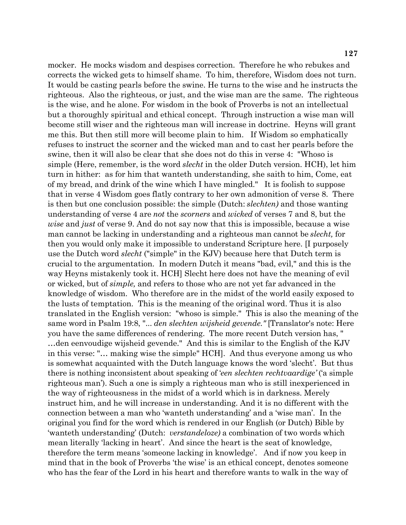mocker. He mocks wisdom and despises correction. Therefore he who rebukes and corrects the wicked gets to himself shame. To him, therefore, Wisdom does not turn. It would be casting pearls before the swine. He turns to the wise and he instructs the righteous. Also the righteous, or just, and the wise man are the same. The righteous is the wise, and he alone. For wisdom in the book of Proverbs is not an intellectual but a thoroughly spiritual and ethical concept. Through instruction a wise man will become still wiser and the righteous man will increase in doctrine. Heyns will grant me this. But then still more will become plain to him. If Wisdom so emphatically refuses to instruct the scorner and the wicked man and to cast her pearls before the swine, then it will also be clear that she does not do this in verse 4: "Whoso is simple (Here, remember, is the word *slecht* in the older Dutch version. HCH), let him turn in hither: as for him that wanteth understanding, she saith to him, Come, eat of my bread, and drink of the wine which I have mingled." It is foolish to suppose that in verse 4 Wisdom goes flatly contrary to her own admonition of verse 8. There is then but one conclusion possible: the simple (Dutch: *slechten)* and those wanting understanding of verse 4 are *not* the *scorners* and *wicked* of verses 7 and 8, but the *wise* and *just* of verse 9. And do not say now that this is impossible, because a wise man cannot be lacking in understanding and a righteous man cannot be *slecht,* for then you would only make it impossible to understand Scripture here. [I purposely use the Dutch word *slecht* ("simple" in the KJV) because here that Dutch term is crucial to the argumentation. In modern Dutch it means "bad, evil," and this is the way Heyns mistakenly took it. HCH] Slecht here does not have the meaning of evil or wicked, but of *simple,* and refers to those who are not yet far advanced in the knowledge of wisdom. Who therefore are in the midst of the world easily exposed to the lusts of temptation. This is the meaning of the original word. Thus it is also translated in the English version: "whoso is simple." This is also the meaning of the same word in Psalm 19:8, "... *den slechten wijsheid gevende."* [Translator's note: Here you have the same differences of rendering. The more recent Dutch version has, " …den eenvoudige wijsheid gevende." And this is similar to the English of the KJV in this verse: "… making wise the simple" HCH]. And thus everyone among us who is somewhat acquainted with the Dutch language knows the word 'slecht'. But thus there is nothing inconsistent about speaking of '*een slechten rechtvaardige'* ('a simple righteous man'). Such a one is simply a righteous man who is still inexperienced in the way of righteousness in the midst of a world which is in darkness. Merely instruct him, and he will increase in understanding. And it is no different with the connection between a man who 'wanteth understanding' and a 'wise man'. In the original you find for the word which is rendered in our English (or Dutch) Bible by 'wanteth understanding' (Dutch: *verstandeloze)* a combination of two words which mean literally 'lacking in heart'. And since the heart is the seat of knowledge, therefore the term means 'someone lacking in knowledge'. And if now you keep in mind that in the book of Proverbs 'the wise' is an ethical concept, denotes someone who has the fear of the Lord in his heart and therefore wants to walk in the way of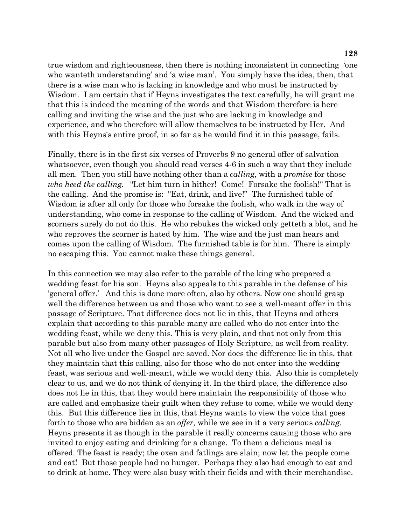true wisdom and righteousness, then there is nothing inconsistent in connecting 'one who wanteth understanding' and 'a wise man'. You simply have the idea, then, that there is a wise man who is lacking in knowledge and who must be instructed by Wisdom. I am certain that if Heyns investigates the text carefully, he will grant me that this is indeed the meaning of the words and that Wisdom therefore is here calling and inviting the wise and the just who are lacking in knowledge and experience, and who therefore will allow themselves to be instructed by Her. And with this Heyns's entire proof, in so far as he would find it in this passage, fails.

Finally, there is in the first six verses of Proverbs 9 no general offer of salvation whatsoever, even though you should read verses 4-6 in such a way that they include all men. Then you still have nothing other than a *calling,* with a *promise* for those *who heed the calling.* "Let him turn in hither! Come! Forsake the foolish!" That is the calling. And the promise is: "Eat, drink, and live!" The furnished table of Wisdom is after all only for those who forsake the foolish, who walk in the way of understanding, who come in response to the calling of Wisdom. And the wicked and scorners surely do not do this. He who rebukes the wicked only getteth a blot, and he who reproves the scorner is hated by him. The wise and the just man hears and comes upon the calling of Wisdom. The furnished table is for him. There is simply no escaping this. You cannot make these things general.

In this connection we may also refer to the parable of the king who prepared a wedding feast for his son. Heyns also appeals to this parable in the defense of his 'general offer.' And this is done more often, also by others. Now one should grasp well the difference between us and those who want to see a well-meant offer in this passage of Scripture. That difference does not lie in this, that Heyns and others explain that according to this parable many are called who do not enter into the wedding feast, while we deny this. This is very plain, and that not only from this parable but also from many other passages of Holy Scripture, as well from reality. Not all who live under the Gospel are saved. Nor does the difference lie in this, that they maintain that this calling, also for those who do not enter into the wedding feast, was serious and well-meant, while we would deny this. Also this is completely clear to us, and we do not think of denying it. In the third place, the difference also does not lie in this, that they would here maintain the responsibility of those who are called and emphasize their guilt when they refuse to come, while we would deny this. But this difference lies in this, that Heyns wants to view the voice that goes forth to those who are bidden as an *offer,* while we see in it a very serious *calling.*  Heyns presents it as though in the parable it really concerns causing those who are invited to enjoy eating and drinking for a change. To them a delicious meal is offered. The feast is ready; the oxen and fatlings are slain; now let the people come and eat! But those people had no hunger. Perhaps they also had enough to eat and to drink at home. They were also busy with their fields and with their merchandise.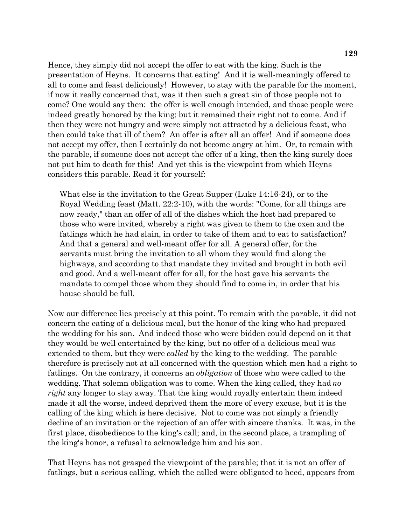Hence, they simply did not accept the offer to eat with the king. Such is the presentation of Heyns. It concerns that eating! And it is well-meaningly offered to all to come and feast deliciously! However, to stay with the parable for the moment, if now it really concerned that, was it then such a great sin of those people not to come? One would say then: the offer is well enough intended, and those people were indeed greatly honored by the king; but it remained their right not to come. And if then they were not hungry and were simply not attracted by a delicious feast, who then could take that ill of them? An offer is after all an offer! And if someone does not accept my offer, then I certainly do not become angry at him. Or, to remain with the parable, if someone does not accept the offer of a king, then the king surely does not put him to death for this! And yet this is the viewpoint from which Heyns considers this parable. Read it for yourself:

What else is the invitation to the Great Supper (Luke 14:16-24), or to the Royal Wedding feast (Matt. 22:2-10), with the words: "Come, for all things are now ready," than an offer of all of the dishes which the host had prepared to those who were invited, whereby a right was given to them to the oxen and the fatlings which he had slain, in order to take of them and to eat to satisfaction? And that a general and well-meant offer for all. A general offer, for the servants must bring the invitation to all whom they would find along the highways, and according to that mandate they invited and brought in both evil and good. And a well-meant offer for all, for the host gave his servants the mandate to compel those whom they should find to come in, in order that his house should be full.

Now our difference lies precisely at this point. To remain with the parable, it did not concern the eating of a delicious meal, but the honor of the king who had prepared the wedding for his son. And indeed those who were bidden could depend on it that they would be well entertained by the king, but no offer of a delicious meal was extended to them, but they were *called* by the king to the wedding. The parable therefore is precisely not at all concerned with the question which men had a right to fatlings. On the contrary, it concerns an *obligation* of those who were called to the wedding. That solemn obligation was to come. When the king called, they had *no right* any longer to stay away. That the king would royally entertain them indeed made it all the worse, indeed deprived them the more of every excuse, but it is the calling of the king which is here decisive. Not to come was not simply a friendly decline of an invitation or the rejection of an offer with sincere thanks. It was, in the first place, disobedience to the king's call; and, in the second place, a trampling of the king's honor, a refusal to acknowledge him and his son.

That Heyns has not grasped the viewpoint of the parable; that it is not an offer of fatlings, but a serious calling, which the called were obligated to heed, appears from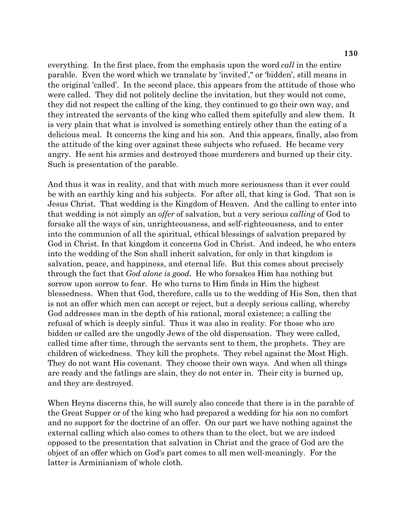everything. In the first place, from the emphasis upon the word *call* in the entire parable. Even the word which we translate by 'invited'," or 'bidden', still means in the original 'called'. In the second place, this appears from the attitude of those who were called. They did not politely decline the invitation, but they would not come, they did not respect the calling of the king, they continued to go their own way, and they intreated the servants of the king who called them spitefully and slew them. It is very plain that what is involved is something entirely other than the eating of a delicious meal. It concerns the king and his son. And this appears, finally, also from the attitude of the king over against these subjects who refused. He became very angry. He sent his armies and destroyed those murderers and burned up their city. Such is presentation of the parable.

And thus it was in reality, and that with much more seriousness than it ever could be with an earthly king and his subjects. For after all, that king is God. That son is Jesus Christ. That wedding is the Kingdom of Heaven. And the calling to enter into that wedding is not simply an *offer* of salvation, but a very serious *calling* of God to forsake all the ways of sin, unrighteousness, and self-righteousness, and to enter into the communion of all the spiritual, ethical blessings of salvation prepared by God in Christ. In that kingdom it concerns God in Christ. And indeed, he who enters into the wedding of the Son shall inherit salvation, for only in that kingdom is salvation, peace, and happiness, and eternal life. But this comes about precisely through the fact that *God alone is good.* He who forsakes Him has nothing but sorrow upon sorrow to fear. He who turns to Him finds in Him the highest blessedness. When that God, therefore, calls us to the wedding of His Son, then that is not an offer which men can accept or reject, but a deeply serious calling, whereby God addresses man in the depth of his rational, moral existence; a calling the refusal of which is deeply sinful. Thus it was also in reality. For those who are bidden or called are the ungodly Jews of the old dispensation. They were called, called time after time, through the servants sent to them, the prophets. They are children of wickedness. They kill the prophets. They rebel against the Most High. They do not want His covenant. They choose their own ways. And when all things are ready and the fatlings are slain, they do not enter in. Their city is burned up, and they are destroyed.

When Heyns discerns this, he will surely also concede that there is in the parable of the Great Supper or of the king who had prepared a wedding for his son no comfort and no support for the doctrine of an offer. On our part we have nothing against the external calling which also comes to others than to the elect, but we are indeed opposed to the presentation that salvation in Christ and the grace of God are the object of an offer which on God's part comes to all men well-meaningly. For the latter is Arminianism of whole cloth.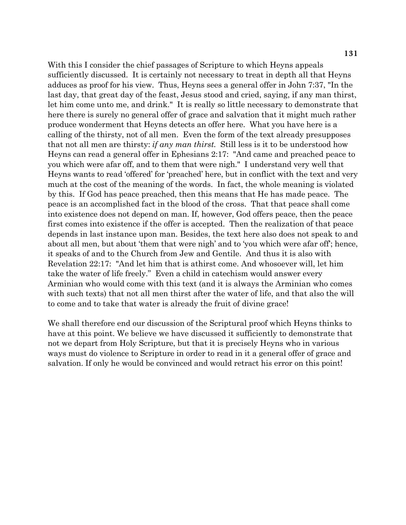With this I consider the chief passages of Scripture to which Heyns appeals sufficiently discussed. It is certainly not necessary to treat in depth all that Heyns adduces as proof for his view. Thus, Heyns sees a general offer in John 7:37, "In the last day, that great day of the feast, Jesus stood and cried, saying, if any man thirst, let him come unto me, and drink." It is really so little necessary to demonstrate that here there is surely no general offer of grace and salvation that it might much rather produce wonderment that Heyns detects an offer here. What you have here is a calling of the thirsty, not of all men. Even the form of the text already presupposes that not all men are thirsty: *if any man thirst.* Still less is it to be understood how Heyns can read a general offer in Ephesians 2:17: "And came and preached peace to you which were afar off, and to them that were nigh." I understand very well that Heyns wants to read 'offered' for 'preached' here, but in conflict with the text and very much at the cost of the meaning of the words. In fact, the whole meaning is violated by this. If God has peace preached, then this means that He has made peace. The peace is an accomplished fact in the blood of the cross. That that peace shall come into existence does not depend on man. If, however, God offers peace, then the peace first comes into existence if the offer is accepted. Then the realization of that peace depends in last instance upon man. Besides, the text here also does not speak to and about all men, but about 'them that were nigh' and to 'you which were afar off'; hence, it speaks of and to the Church from Jew and Gentile. And thus it is also with Revelation 22:17: "And let him that is athirst come. And whosoever will, let him take the water of life freely." Even a child in catechism would answer every Arminian who would come with this text (and it is always the Arminian who comes with such texts) that not all men thirst after the water of life, and that also the will to come and to take that water is already the fruit of divine grace!

We shall therefore end our discussion of the Scriptural proof which Heyns thinks to have at this point. We believe we have discussed it sufficiently to demonstrate that not we depart from Holy Scripture, but that it is precisely Heyns who in various ways must do violence to Scripture in order to read in it a general offer of grace and salvation. If only he would be convinced and would retract his error on this point!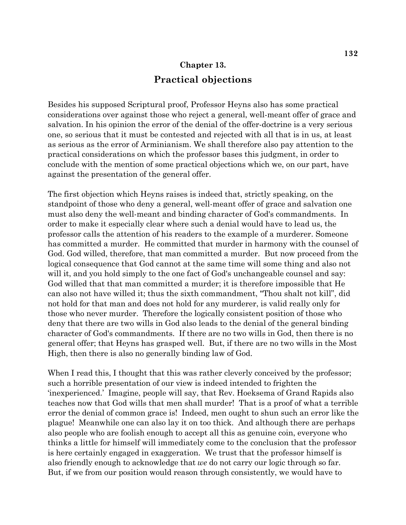# **Chapter 13. Practical objections**

Besides his supposed Scriptural proof, Professor Heyns also has some practical considerations over against those who reject a general, well-meant offer of grace and salvation. In his opinion the error of the denial of the offer-doctrine is a very serious one, so serious that it must be contested and rejected with all that is in us, at least as serious as the error of Arminianism. We shall therefore also pay attention to the practical considerations on which the professor bases this judgment, in order to conclude with the mention of some practical objections which we, on our part, have against the presentation of the general offer.

The first objection which Heyns raises is indeed that, strictly speaking, on the standpoint of those who deny a general, well-meant offer of grace and salvation one must also deny the well-meant and binding character of God's commandments. In order to make it especially clear where such a denial would have to lead us, the professor calls the attention of his readers to the example of a murderer. Someone has committed a murder. He committed that murder in harmony with the counsel of God. God willed, therefore, that man committed a murder. But now proceed from the logical consequence that God cannot at the same time will some thing and also not will it, and you hold simply to the one fact of God's unchangeable counsel and say: God willed that that man committed a murder; it is therefore impossible that He can also not have willed it; thus the sixth commandment, "Thou shalt not kill", did not hold for that man and does not hold for any murderer, is valid really only for those who never murder. Therefore the logically consistent position of those who deny that there are two wills in God also leads to the denial of the general binding character of God's commandments. If there are no two wills in God, then there is no general offer; that Heyns has grasped well. But, if there are no two wills in the Most High, then there is also no generally binding law of God.

When I read this, I thought that this was rather cleverly conceived by the professor; such a horrible presentation of our view is indeed intended to frighten the 'inexperienced.' Imagine, people will say, that Rev. Hoeksema of Grand Rapids also teaches now that God wills that men shall murder! That is a proof of what a terrible error the denial of common grace is! Indeed, men ought to shun such an error like the plague! Meanwhile one can also lay it on too thick. And although there are perhaps also people who are foolish enough to accept all this as genuine coin, everyone who thinks a little for himself will immediately come to the conclusion that the professor is here certainly engaged in exaggeration. We trust that the professor himself is also friendly enough to acknowledge that *we* do not carry our logic through so far. But, if we from our position would reason through consistently, we would have to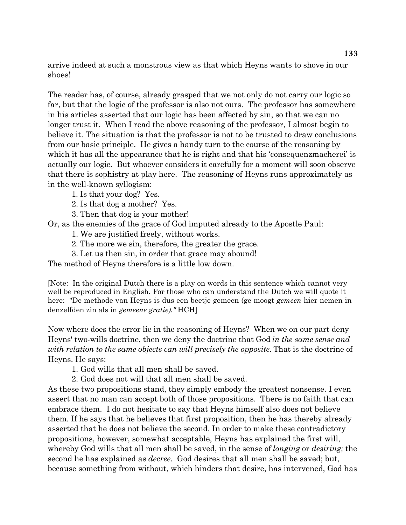arrive indeed at such a monstrous view as that which Heyns wants to shove in our shoes!

The reader has, of course, already grasped that we not only do not carry our logic so far, but that the logic of the professor is also not ours. The professor has somewhere in his articles asserted that our logic has been affected by sin, so that we can no longer trust it. When I read the above reasoning of the professor, I almost begin to believe it. The situation is that the professor is not to be trusted to draw conclusions from our basic principle. He gives a handy turn to the course of the reasoning by which it has all the appearance that he is right and that his 'consequenzmacherei' is actually our logic. But whoever considers it carefully for a moment will soon observe that there is sophistry at play here. The reasoning of Heyns runs approximately as in the well-known syllogism:

1. Is that your dog? Yes.

2. Is that dog a mother? Yes.

3. Then that dog is your mother!

Or, as the enemies of the grace of God imputed already to the Apostle Paul:

1. We are justified freely, without works.

2. The more we sin, therefore, the greater the grace.

3. Let us then sin, in order that grace may abound!

The method of Heyns therefore is a little low down.

[Note: In the original Dutch there is a play on words in this sentence which cannot very well be reproduced in English. For those who can understand the Dutch we will quote it here: "De methode van Heyns is dus een beetje gemeen (ge moogt *gemeen* hier nemen in denzelfden zin als in *gemeene gratie)."* HCH]

Now where does the error lie in the reasoning of Heyns? When we on our part deny Heyns' two-wills doctrine, then we deny the doctrine that God *in the same sense and with relation to the same objects can will precisely the opposite.* That is the doctrine of Heyns. He says:

1. God wills that all men shall be saved.

2. God does not will that all men shall be saved.

As these two propositions stand, they simply embody the greatest nonsense. I even assert that no man can accept both of those propositions. There is no faith that can embrace them. I do not hesitate to say that Heyns himself also does not believe them. If he says that he believes that first proposition, then he has thereby already asserted that he does not believe the second. In order to make these contradictory propositions, however, somewhat acceptable, Heyns has explained the first will, whereby God wills that all men shall be saved, in the sense of *longing* or *desiring;* the second he has explained as *decree.* God desires that all men shall be saved; but, because something from without, which hinders that desire, has intervened, God has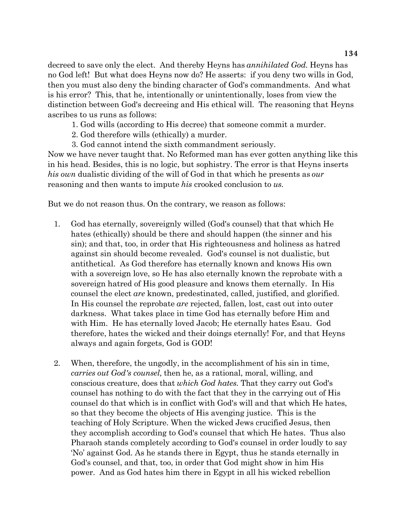decreed to save only the elect. And thereby Heyns has *annihilated God.* Heyns has no God left! But what does Heyns now do? He asserts: if you deny two wills in God, then you must also deny the binding character of God's commandments. And what is his error? This, that he, intentionally or unintentionally, loses from view the distinction between God's decreeing and His ethical will. The reasoning that Heyns ascribes to us runs as follows:

1. God wills (according to His decree) that someone commit a murder.

- 2. God therefore wills (ethically) a murder.
- 3. God cannot intend the sixth commandment seriously.

Now we have never taught that. No Reformed man has ever gotten anything like this in his head. Besides, this is no logic, but sophistry. The error is that Heyns inserts *his own* dualistic dividing of the will of God in that which he presents as *our*  reasoning and then wants to impute *his* crooked conclusion to *us.*

But we do not reason thus. On the contrary, we reason as follows:

- 1. God has eternally, sovereignly willed (God's counsel) that that which He hates (ethically) should be there and should happen (the sinner and his sin); and that, too, in order that His righteousness and holiness as hatred against sin should become revealed. God's counsel is not dualistic, but antithetical. As God therefore has eternally known and knows His own with a sovereign love, so He has also eternally known the reprobate with a sovereign hatred of His good pleasure and knows them eternally. In His counsel the elect *are* known, predestinated, called, justified, and glorified. In His counsel the reprobate *are* rejected, fallen, lost, cast out into outer darkness. What takes place in time God has eternally before Him and with Him. He has eternally loved Jacob; He eternally hates Esau. God therefore, hates the wicked and their doings eternally! For, and that Heyns always and again forgets, God is GOD!
- 2. When, therefore, the ungodly, in the accomplishment of his sin in time, *carries out God's counsel,* then he, as a rational, moral, willing, and conscious creature, does that *which God hates.* That they carry out God's counsel has nothing to do with the fact that they in the carrying out of His counsel do that which is in conflict with God's will and that which He hates, so that they become the objects of His avenging justice. This is the teaching of Holy Scripture. When the wicked Jews crucified Jesus, then they accomplish according to God's counsel that which He hates. Thus also Pharaoh stands completely according to God's counsel in order loudly to say 'No' against God. As he stands there in Egypt, thus he stands eternally in God's counsel, and that, too, in order that God might show in him His power. And as God hates him there in Egypt in all his wicked rebellion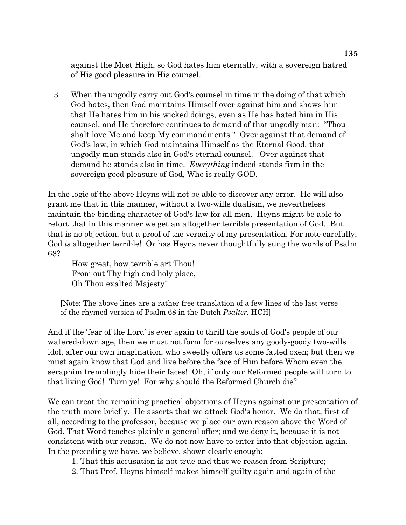against the Most High, so God hates him eternally, with a sovereign hatred of His good pleasure in His counsel.

 3. When the ungodly carry out God's counsel in time in the doing of that which God hates, then God maintains Himself over against him and shows him that He hates him in his wicked doings, even as He has hated him in His counsel, and He therefore continues to demand of that ungodly man: "Thou shalt love Me and keep My commandments." Over against that demand of God's law, in which God maintains Himself as the Eternal Good, that ungodly man stands also in God's eternal counsel. Over against that demand he stands also in time. *Everything* indeed stands firm in the sovereign good pleasure of God, Who is really GOD.

In the logic of the above Heyns will not be able to discover any error. He will also grant me that in this manner, without a two-wills dualism, we nevertheless maintain the binding character of God's law for all men. Heyns might be able to retort that in this manner we get an altogether terrible presentation of God. But that is no objection, but a proof of the veracity of my presentation. For note carefully, God *is* altogether terrible! Or has Heyns never thoughtfully sung the words of Psalm 68?

How great, how terrible art Thou! From out Thy high and holy place, Oh Thou exalted Majesty!

[Note: The above lines are a rather free translation of a few lines of the last verse of the rhymed version of Psalm 68 in the Dutch *Psalter.* HCH]

And if the 'fear of the Lord' is ever again to thrill the souls of God's people of our watered-down age, then we must not form for ourselves any goody-goody two-wills idol, after our own imagination, who sweetly offers us some fatted oxen; but then we must again know that God and live before the face of Him before Whom even the seraphim tremblingly hide their faces! Oh, if only our Reformed people will turn to that living God! Turn ye! For why should the Reformed Church die?

We can treat the remaining practical objections of Heyns against our presentation of the truth more briefly. He asserts that we attack God's honor. We do that, first of all, according to the professor, because we place our own reason above the Word of God. That Word teaches plainly a general offer; and we deny it, because it is not consistent with our reason. We do not now have to enter into that objection again. In the preceding we have, we believe, shown clearly enough:

1. That this accusation is not true and that we reason from Scripture;

2. That Prof. Heyns himself makes himself guilty again and again of the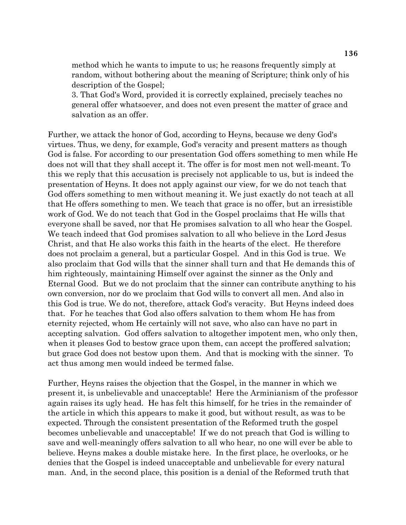method which he wants to impute to us; he reasons frequently simply at random, without bothering about the meaning of Scripture; think only of his description of the Gospel;

3. That God's Word, provided it is correctly explained, precisely teaches no general offer whatsoever, and does not even present the matter of grace and salvation as an offer.

Further, we attack the honor of God, according to Heyns, because we deny God's virtues. Thus, we deny, for example, God's veracity and present matters as though God is false. For according to our presentation God offers something to men while He does not will that they shall accept it. The offer is for most men not well-meant. To this we reply that this accusation is precisely not applicable to us, but is indeed the presentation of Heyns. It does not apply against our view, for we do not teach that God offers something to men without meaning it. We just exactly do not teach at all that He offers something to men. We teach that grace is no offer, but an irresistible work of God. We do not teach that God in the Gospel proclaims that He wills that everyone shall be saved, nor that He promises salvation to all who hear the Gospel. We teach indeed that God promises salvation to all who believe in the Lord Jesus Christ, and that He also works this faith in the hearts of the elect. He therefore does not proclaim a general, but a particular Gospel. And in this God is true. We also proclaim that God wills that the sinner shall turn and that He demands this of him righteously, maintaining Himself over against the sinner as the Only and Eternal Good. But we do not proclaim that the sinner can contribute anything to his own conversion, nor do we proclaim that God wills to convert all men. And also in this God is true. We do not, therefore, attack God's veracity. But Heyns indeed does that. For he teaches that God also offers salvation to them whom He has from eternity rejected, whom He certainly will not save, who also can have no part in accepting salvation. God offers salvation to altogether impotent men, who only then, when it pleases God to bestow grace upon them, can accept the proffered salvation; but grace God does not bestow upon them. And that is mocking with the sinner. To act thus among men would indeed be termed false.

Further, Heyns raises the objection that the Gospel, in the manner in which we present it, is unbelievable and unacceptable! Here the Arminianism of the professor again raises its ugly head. He has felt this himself, for he tries in the remainder of the article in which this appears to make it good, but without result, as was to be expected. Through the consistent presentation of the Reformed truth the gospel becomes unbelievable and unacceptable! If we do not preach that God is willing to save and well-meaningly offers salvation to all who hear, no one will ever be able to believe. Heyns makes a double mistake here. In the first place, he overlooks, or he denies that the Gospel is indeed unacceptable and unbelievable for every natural man. And, in the second place, this position is a denial of the Reformed truth that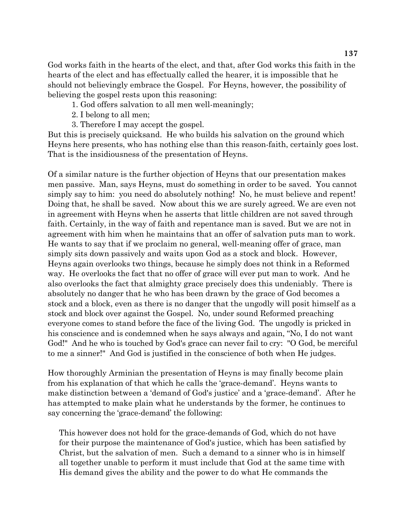God works faith in the hearts of the elect, and that, after God works this faith in the hearts of the elect and has effectually called the hearer, it is impossible that he should not believingly embrace the Gospel. For Heyns, however, the possibility of believing the gospel rests upon this reasoning:

- 1. God offers salvation to all men well-meaningly;
- 2. I belong to all men;
- 3. Therefore I may accept the gospel.

But this is precisely quicksand. He who builds his salvation on the ground which Heyns here presents, who has nothing else than this reason-faith, certainly goes lost. That is the insidiousness of the presentation of Heyns.

Of a similar nature is the further objection of Heyns that our presentation makes men passive. Man, says Heyns, must do something in order to be saved. You cannot simply say to him: you need do absolutely nothing! No, he must believe and repent! Doing that, he shall be saved. Now about this we are surely agreed. We are even not in agreement with Heyns when he asserts that little children are not saved through faith. Certainly, in the way of faith and repentance man is saved. But we are not in agreement with him when he maintains that an offer of salvation puts man to work. He wants to say that if we proclaim no general, well-meaning offer of grace, man simply sits down passively and waits upon God as a stock and block. However, Heyns again overlooks two things, because he simply does not think in a Reformed way. He overlooks the fact that no offer of grace will ever put man to work. And he also overlooks the fact that almighty grace precisely does this undeniably. There is absolutely no danger that he who has been drawn by the grace of God becomes a stock and a block, even as there is no danger that the ungodly will posit himself as a stock and block over against the Gospel. No, under sound Reformed preaching everyone comes to stand before the face of the living God. The ungodly is pricked in his conscience and is condemned when he says always and again, "No, I do not want God!" And he who is touched by God's grace can never fail to cry: "O God, be merciful to me a sinner!" And God is justified in the conscience of both when He judges.

How thoroughly Arminian the presentation of Heyns is may finally become plain from his explanation of that which he calls the 'grace-demand'. Heyns wants to make distinction between a 'demand of God's justice' and a 'grace-demand'. After he has attempted to make plain what he understands by the former, he continues to say concerning the 'grace-demand' the following:

This however does not hold for the grace-demands of God, which do not have for their purpose the maintenance of God's justice, which has been satisfied by Christ, but the salvation of men. Such a demand to a sinner who is in himself all together unable to perform it must include that God at the same time with His demand gives the ability and the power to do what He commands the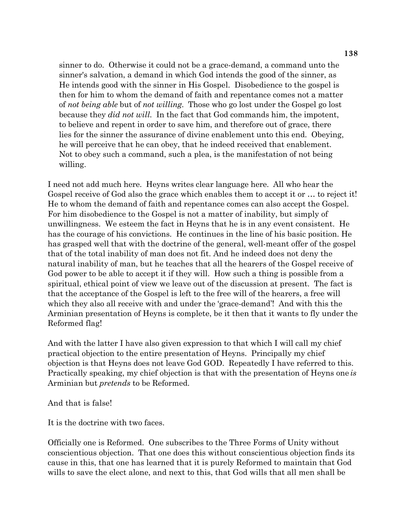sinner to do. Otherwise it could not be a grace-demand, a command unto the sinner's salvation, a demand in which God intends the good of the sinner, as He intends good with the sinner in His Gospel. Disobedience to the gospel is then for him to whom the demand of faith and repentance comes not a matter of *not being able* but of *not willing*. Those who go lost under the Gospel go lost because they *did not will*. In the fact that God commands him, the impotent, to believe and repent in order to save him, and therefore out of grace, there lies for the sinner the assurance of divine enablement unto this end. Obeying, he will perceive that he can obey, that he indeed received that enablement. Not to obey such a command, such a plea, is the manifestation of not being willing.

I need not add much here. Heyns writes clear language here. All who hear the Gospel receive of God also the grace which enables them to accept it or ... to reject it! He to whom the demand of faith and repentance comes can also accept the Gospel. For him disobedience to the Gospel is not a matter of inability, but simply of unwillingness. We esteem the fact in Heyns that he is in any event consistent. He has the courage of his convictions. He continues in the line of his basic position. He has grasped well that with the doctrine of the general, well-meant offer of the gospel that of the total inability of man does not fit. And he indeed does not deny the natural inability of man, but he teaches that all the hearers of the Gospel receive of God power to be able to accept it if they will. How such a thing is possible from a spiritual, ethical point of view we leave out of the discussion at present. The fact is that the acceptance of the Gospel is left to the free will of the hearers, a free will which they also all receive with and under the 'grace-demand'! And with this the Arminian presentation of Heyns is complete, be it then that it wants to fly under the Reformed flag!

And with the latter I have also given expression to that which I will call my chief practical objection to the entire presentation of Heyns. Principally my chief objection is that Heyns does not leave God GOD. Repeatedly I have referred to this. Practically speaking, my chief objection is that with the presentation of Heyns one *is* Arminian but *pretends* to be Reformed.

And that is false!

It is the doctrine with two faces.

Officially one is Reformed. One subscribes to the Three Forms of Unity without conscientious objection. That one does this without conscientious objection finds its cause in this, that one has learned that it is purely Reformed to maintain that God wills to save the elect alone, and next to this, that God wills that all men shall be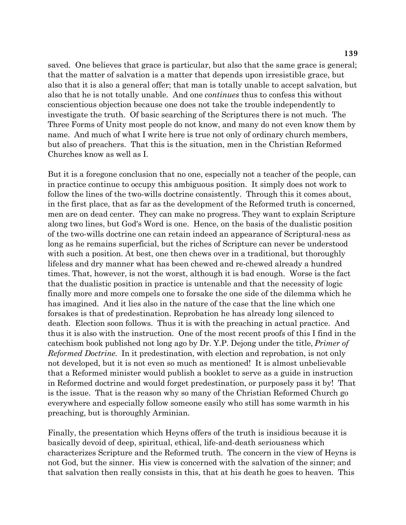saved. One believes that grace is particular, but also that the same grace is general; that the matter of salvation is a matter that depends upon irresistible grace, but also that it is also a general offer; that man is totally unable to accept salvation, but also that he is not totally unable. And one *continues* thus to confess this without conscientious objection because one does not take the trouble independently to investigate the truth. Of basic searching of the Scriptures there is not much. The Three Forms of Unity most people do not know, and many do not even know them by name. And much of what I write here is true not only of ordinary church members, but also of preachers. That this is the situation, men in the Christian Reformed Churches know as well as I.

But it is a foregone conclusion that no one, especially not a teacher of the people, can in practice continue to occupy this ambiguous position. It simply does not work to follow the lines of the two-wills doctrine consistently. Through this it comes about, in the first place, that as far as the development of the Reformed truth is concerned, men are on dead center. They can make no progress. They want to explain Scripture along two lines, but God's Word is one. Hence, on the basis of the dualistic position of the two-wills doctrine one can retain indeed an appearance of Scriptural-ness as long as he remains superficial, but the riches of Scripture can never be understood with such a position. At best, one then chews over in a traditional, but thoroughly lifeless and dry manner what has been chewed and re-chewed already a hundred times. That, however, is not the worst, although it is bad enough. Worse is the fact that the dualistic position in practice is untenable and that the necessity of logic finally more and more compels one to forsake the one side of the dilemma which he has imagined. And it lies also in the nature of the case that the line which one forsakes is that of predestination. Reprobation he has already long silenced to death. Election soon follows. Thus it is with the preaching in actual practice. And thus it is also with the instruction. One of the most recent proofs of this I find in the catechism book published not long ago by Dr. Y.P. Dejong under the title, *Primer of Reformed Doctrine.* In it predestination, with election and reprobation, is not only not developed, but it is not even so much as mentioned! It is almost unbelievable that a Reformed minister would publish a booklet to serve as a guide in instruction in Reformed doctrine and would forget predestination, or purposely pass it by! That is the issue. That is the reason why so many of the Christian Reformed Church go everywhere and especially follow someone easily who still has some warmth in his preaching, but is thoroughly Arminian.

Finally, the presentation which Heyns offers of the truth is insidious because it is basically devoid of deep, spiritual, ethical, life-and-death seriousness which characterizes Scripture and the Reformed truth. The concern in the view of Heyns is not God, but the sinner. His view is concerned with the salvation of the sinner; and that salvation then really consists in this, that at his death he goes to heaven. This